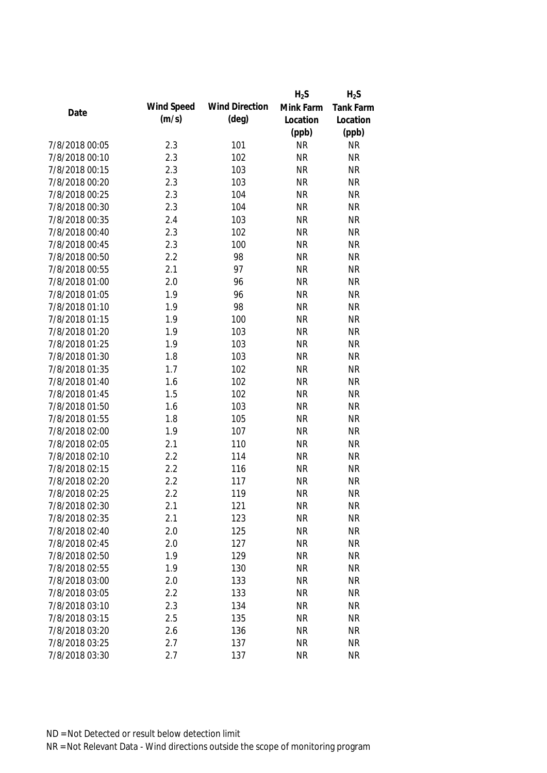|                |            |                       | $H_2S$    | $H_2S$           |
|----------------|------------|-----------------------|-----------|------------------|
| Date           | Wind Speed | <b>Wind Direction</b> | Mink Farm | <b>Tank Farm</b> |
|                | (m/s)      | $(\text{deg})$        | Location  | Location         |
|                |            |                       | (ppb)     | (ppb)            |
| 7/8/2018 00:05 | 2.3        | 101                   | <b>NR</b> | <b>NR</b>        |
| 7/8/2018 00:10 | 2.3        | 102                   | <b>NR</b> | <b>NR</b>        |
| 7/8/2018 00:15 | 2.3        | 103                   | <b>NR</b> | <b>NR</b>        |
| 7/8/2018 00:20 | 2.3        | 103                   | <b>NR</b> | <b>NR</b>        |
| 7/8/2018 00:25 | 2.3        | 104                   | <b>NR</b> | <b>NR</b>        |
| 7/8/2018 00:30 | 2.3        | 104                   | <b>NR</b> | <b>NR</b>        |
| 7/8/2018 00:35 | 2.4        | 103                   | <b>NR</b> | <b>NR</b>        |
| 7/8/2018 00:40 | 2.3        | 102                   | <b>NR</b> | <b>NR</b>        |
| 7/8/2018 00:45 | 2.3        | 100                   | <b>NR</b> | <b>NR</b>        |
| 7/8/2018 00:50 | 2.2        | 98                    | <b>NR</b> | <b>NR</b>        |
| 7/8/2018 00:55 | 2.1        | 97                    | <b>NR</b> | <b>NR</b>        |
| 7/8/2018 01:00 | 2.0        | 96                    | <b>NR</b> | <b>NR</b>        |
| 7/8/2018 01:05 | 1.9        | 96                    | <b>NR</b> | <b>NR</b>        |
| 7/8/2018 01:10 | 1.9        | 98                    | <b>NR</b> | <b>NR</b>        |
| 7/8/2018 01:15 | 1.9        | 100                   | <b>NR</b> | <b>NR</b>        |
| 7/8/2018 01:20 | 1.9        | 103                   | <b>NR</b> | <b>NR</b>        |
| 7/8/2018 01:25 | 1.9        | 103                   | <b>NR</b> | <b>NR</b>        |
| 7/8/2018 01:30 | 1.8        | 103                   | <b>NR</b> | <b>NR</b>        |
| 7/8/2018 01:35 | 1.7        | 102                   | <b>NR</b> | <b>NR</b>        |
| 7/8/2018 01:40 | 1.6        | 102                   | <b>NR</b> | <b>NR</b>        |
| 7/8/2018 01:45 | 1.5        | 102                   | <b>NR</b> | <b>NR</b>        |
| 7/8/2018 01:50 | 1.6        | 103                   | <b>NR</b> | <b>NR</b>        |
| 7/8/2018 01:55 | 1.8        | 105                   | <b>NR</b> | <b>NR</b>        |
| 7/8/2018 02:00 | 1.9        | 107                   | <b>NR</b> | <b>NR</b>        |
| 7/8/2018 02:05 | 2.1        | 110                   | <b>NR</b> | <b>NR</b>        |
| 7/8/2018 02:10 | 2.2        | 114                   | <b>NR</b> | <b>NR</b>        |
| 7/8/2018 02:15 | 2.2        | 116                   | <b>NR</b> | <b>NR</b>        |
| 7/8/2018 02:20 | 2.2        | 117                   | <b>NR</b> | <b>NR</b>        |
| 7/8/2018 02:25 | 2.2        | 119                   | <b>NR</b> | <b>NR</b>        |
| 7/8/2018 02:30 | 2.1        | 121                   | <b>NR</b> | <b>NR</b>        |
| 7/8/2018 02:35 | 2.1        | 123                   | <b>NR</b> | <b>NR</b>        |
| 7/8/2018 02:40 | 2.0        | 125                   | <b>NR</b> | <b>NR</b>        |
| 7/8/2018 02:45 | 2.0        | 127                   | <b>NR</b> | <b>NR</b>        |
| 7/8/2018 02:50 | 1.9        | 129                   | <b>NR</b> | <b>NR</b>        |
| 7/8/2018 02:55 | 1.9        | 130                   | <b>NR</b> | <b>NR</b>        |
| 7/8/2018 03:00 | 2.0        | 133                   | <b>NR</b> | <b>NR</b>        |
| 7/8/2018 03:05 | 2.2        | 133                   | <b>NR</b> | <b>NR</b>        |
| 7/8/2018 03:10 | 2.3        | 134                   | <b>NR</b> | <b>NR</b>        |
| 7/8/2018 03:15 | 2.5        | 135                   | <b>NR</b> | <b>NR</b>        |
| 7/8/2018 03:20 | 2.6        | 136                   | <b>NR</b> | <b>NR</b>        |
| 7/8/2018 03:25 | 2.7        | 137                   | <b>NR</b> | <b>NR</b>        |
| 7/8/2018 03:30 | 2.7        | 137                   | <b>NR</b> | <b>NR</b>        |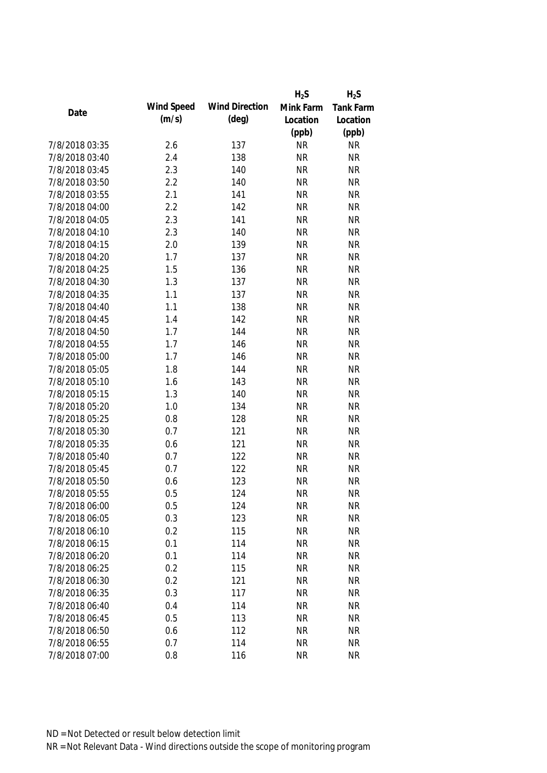|                |            |                       | $H_2S$    | $H_2S$           |
|----------------|------------|-----------------------|-----------|------------------|
|                | Wind Speed | <b>Wind Direction</b> | Mink Farm | <b>Tank Farm</b> |
| Date           | (m/s)      | $(\text{deg})$        | Location  | Location         |
|                |            |                       | (ppb)     | (ppb)            |
| 7/8/2018 03:35 | 2.6        | 137                   | <b>NR</b> | <b>NR</b>        |
| 7/8/2018 03:40 | 2.4        | 138                   | <b>NR</b> | <b>NR</b>        |
| 7/8/2018 03:45 | 2.3        | 140                   | <b>NR</b> | <b>NR</b>        |
| 7/8/2018 03:50 | 2.2        | 140                   | <b>NR</b> | <b>NR</b>        |
| 7/8/2018 03:55 | 2.1        | 141                   | <b>NR</b> | <b>NR</b>        |
| 7/8/2018 04:00 | 2.2        | 142                   | <b>NR</b> | <b>NR</b>        |
| 7/8/2018 04:05 | 2.3        | 141                   | <b>NR</b> | <b>NR</b>        |
| 7/8/2018 04:10 | 2.3        | 140                   | <b>NR</b> | <b>NR</b>        |
| 7/8/2018 04:15 | 2.0        | 139                   | <b>NR</b> | <b>NR</b>        |
| 7/8/2018 04:20 | 1.7        | 137                   | <b>NR</b> | <b>NR</b>        |
| 7/8/2018 04:25 | 1.5        | 136                   | <b>NR</b> | <b>NR</b>        |
| 7/8/2018 04:30 | 1.3        | 137                   | <b>NR</b> | <b>NR</b>        |
| 7/8/2018 04:35 | 1.1        | 137                   | <b>NR</b> | <b>NR</b>        |
| 7/8/2018 04:40 | 1.1        | 138                   | <b>NR</b> | <b>NR</b>        |
| 7/8/2018 04:45 | 1.4        | 142                   | <b>NR</b> | <b>NR</b>        |
| 7/8/2018 04:50 | 1.7        | 144                   | <b>NR</b> | <b>NR</b>        |
| 7/8/2018 04:55 | 1.7        | 146                   | <b>NR</b> | <b>NR</b>        |
| 7/8/2018 05:00 | 1.7        | 146                   | <b>NR</b> | <b>NR</b>        |
| 7/8/2018 05:05 | 1.8        | 144                   | <b>NR</b> | <b>NR</b>        |
| 7/8/2018 05:10 | 1.6        | 143                   | <b>NR</b> | <b>NR</b>        |
| 7/8/2018 05:15 | 1.3        | 140                   | <b>NR</b> | <b>NR</b>        |
| 7/8/2018 05:20 | 1.0        | 134                   | <b>NR</b> | <b>NR</b>        |
| 7/8/2018 05:25 | 0.8        | 128                   | <b>NR</b> | <b>NR</b>        |
| 7/8/2018 05:30 | 0.7        | 121                   | <b>NR</b> | <b>NR</b>        |
| 7/8/2018 05:35 | 0.6        | 121                   | <b>NR</b> | <b>NR</b>        |
| 7/8/2018 05:40 | 0.7        | 122                   | <b>NR</b> | <b>NR</b>        |
| 7/8/2018 05:45 | 0.7        | 122                   | <b>NR</b> | <b>NR</b>        |
| 7/8/2018 05:50 | 0.6        | 123                   | <b>NR</b> | <b>NR</b>        |
| 7/8/2018 05:55 | 0.5        | 124                   | <b>NR</b> | <b>NR</b>        |
| 7/8/2018 06:00 | 0.5        | 124                   | <b>NR</b> | <b>NR</b>        |
| 7/8/2018 06:05 | 0.3        | 123                   | <b>NR</b> | NR               |
| 7/8/2018 06:10 | 0.2        | 115                   | <b>NR</b> | <b>NR</b>        |
| 7/8/2018 06:15 | 0.1        | 114                   | <b>NR</b> | <b>NR</b>        |
| 7/8/2018 06:20 | 0.1        | 114                   | <b>NR</b> | <b>NR</b>        |
| 7/8/2018 06:25 | 0.2        | 115                   | <b>NR</b> | NR               |
| 7/8/2018 06:30 | 0.2        | 121                   | <b>NR</b> | <b>NR</b>        |
| 7/8/2018 06:35 | 0.3        | 117                   | <b>NR</b> | <b>NR</b>        |
| 7/8/2018 06:40 | 0.4        | 114                   | <b>NR</b> | <b>NR</b>        |
| 7/8/2018 06:45 | 0.5        | 113                   | <b>NR</b> | <b>NR</b>        |
| 7/8/2018 06:50 | 0.6        | 112                   | <b>NR</b> | <b>NR</b>        |
| 7/8/2018 06:55 | 0.7        | 114                   | <b>NR</b> | <b>NR</b>        |
| 7/8/2018 07:00 | 0.8        | 116                   | <b>NR</b> | <b>NR</b>        |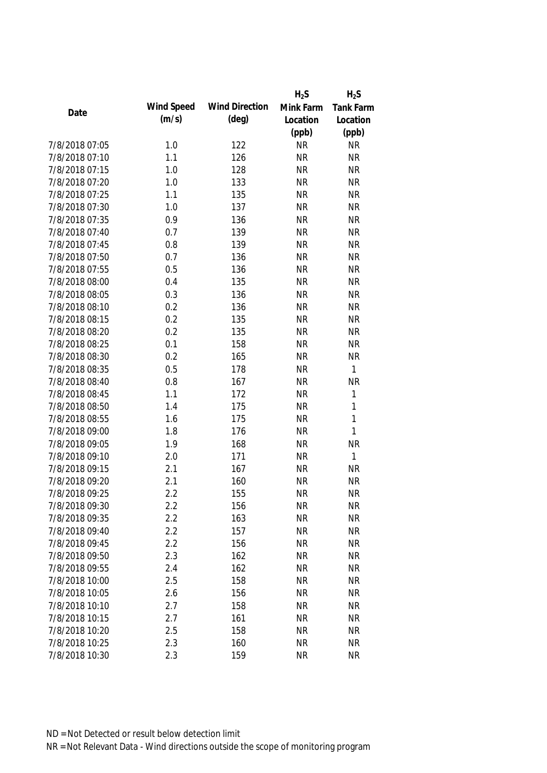|                |            |                       | $H_2S$    | $H_2S$           |
|----------------|------------|-----------------------|-----------|------------------|
|                | Wind Speed | <b>Wind Direction</b> | Mink Farm | <b>Tank Farm</b> |
| Date           | (m/s)      | $(\text{deg})$        | Location  | Location         |
|                |            |                       | (ppb)     | (ppb)            |
| 7/8/2018 07:05 | 1.0        | 122                   | <b>NR</b> | <b>NR</b>        |
| 7/8/2018 07:10 | 1.1        | 126                   | <b>NR</b> | <b>NR</b>        |
| 7/8/2018 07:15 | 1.0        | 128                   | <b>NR</b> | <b>NR</b>        |
| 7/8/2018 07:20 | 1.0        | 133                   | <b>NR</b> | <b>NR</b>        |
| 7/8/2018 07:25 | 1.1        | 135                   | <b>NR</b> | <b>NR</b>        |
| 7/8/2018 07:30 | 1.0        | 137                   | <b>NR</b> | <b>NR</b>        |
| 7/8/2018 07:35 | 0.9        | 136                   | <b>NR</b> | <b>NR</b>        |
| 7/8/2018 07:40 | 0.7        | 139                   | <b>NR</b> | <b>NR</b>        |
| 7/8/2018 07:45 | 0.8        | 139                   | <b>NR</b> | <b>NR</b>        |
| 7/8/2018 07:50 | 0.7        | 136                   | <b>NR</b> | <b>NR</b>        |
| 7/8/2018 07:55 | 0.5        | 136                   | <b>NR</b> | <b>NR</b>        |
| 7/8/2018 08:00 | 0.4        | 135                   | <b>NR</b> | <b>NR</b>        |
| 7/8/2018 08:05 | 0.3        | 136                   | <b>NR</b> | <b>NR</b>        |
| 7/8/2018 08:10 | 0.2        | 136                   | <b>NR</b> | <b>NR</b>        |
| 7/8/2018 08:15 | 0.2        | 135                   | <b>NR</b> | <b>NR</b>        |
| 7/8/2018 08:20 | 0.2        | 135                   | <b>NR</b> | <b>NR</b>        |
| 7/8/2018 08:25 | 0.1        | 158                   | <b>NR</b> | <b>NR</b>        |
| 7/8/2018 08:30 | 0.2        | 165                   | <b>NR</b> | <b>NR</b>        |
| 7/8/2018 08:35 | 0.5        | 178                   | <b>NR</b> | $\mathbf{1}$     |
| 7/8/2018 08:40 | 0.8        | 167                   | <b>NR</b> | <b>NR</b>        |
| 7/8/2018 08:45 | 1.1        | 172                   | <b>NR</b> | $\mathbf{1}$     |
| 7/8/2018 08:50 | 1.4        | 175                   | <b>NR</b> | $\mathbf{1}$     |
| 7/8/2018 08:55 | 1.6        | 175                   | <b>NR</b> | $\mathbf{1}$     |
| 7/8/2018 09:00 | 1.8        | 176                   | <b>NR</b> | $\mathbf{1}$     |
| 7/8/2018 09:05 | 1.9        | 168                   | <b>NR</b> | <b>NR</b>        |
| 7/8/2018 09:10 | 2.0        | 171                   | <b>NR</b> | $\mathbf{1}$     |
| 7/8/2018 09:15 | 2.1        | 167                   | <b>NR</b> | <b>NR</b>        |
| 7/8/2018 09:20 | 2.1        | 160                   | <b>NR</b> | <b>NR</b>        |
| 7/8/2018 09:25 | 2.2        | 155                   | <b>NR</b> | <b>NR</b>        |
| 7/8/2018 09:30 | 2.2        | 156                   | <b>NR</b> | NR               |
| 7/8/2018 09:35 | 2.2        | 163                   | <b>NR</b> | <b>NR</b>        |
| 7/8/2018 09:40 | 2.2        | 157                   | <b>NR</b> | <b>NR</b>        |
| 7/8/2018 09:45 | 2.2        | 156                   | <b>NR</b> | <b>NR</b>        |
| 7/8/2018 09:50 | 2.3        | 162                   | <b>NR</b> | <b>NR</b>        |
| 7/8/2018 09:55 | 2.4        | 162                   | <b>NR</b> | <b>NR</b>        |
| 7/8/2018 10:00 | 2.5        | 158                   | <b>NR</b> | <b>NR</b>        |
| 7/8/2018 10:05 | 2.6        | 156                   | <b>NR</b> | <b>NR</b>        |
| 7/8/2018 10:10 | 2.7        | 158                   | <b>NR</b> | <b>NR</b>        |
| 7/8/2018 10:15 | 2.7        | 161                   | <b>NR</b> | <b>NR</b>        |
| 7/8/2018 10:20 | 2.5        | 158                   | <b>NR</b> | <b>NR</b>        |
| 7/8/2018 10:25 | 2.3        | 160                   | <b>NR</b> | <b>NR</b>        |
| 7/8/2018 10:30 | 2.3        | 159                   | <b>NR</b> | <b>NR</b>        |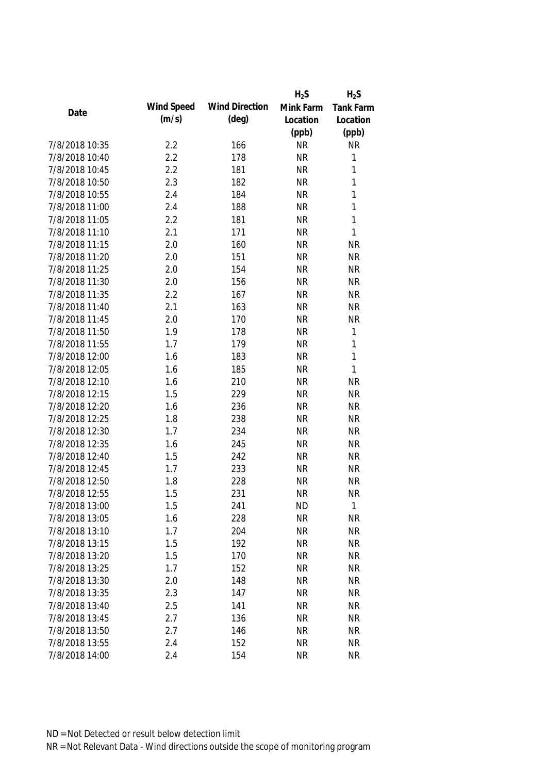|                |            |                       | $H_2S$    | $H_2S$           |
|----------------|------------|-----------------------|-----------|------------------|
|                | Wind Speed | <b>Wind Direction</b> | Mink Farm | <b>Tank Farm</b> |
| Date           | (m/s)      | $(\text{deg})$        | Location  | Location         |
|                |            |                       | (ppb)     | (ppb)            |
| 7/8/2018 10:35 | 2.2        | 166                   | <b>NR</b> | <b>NR</b>        |
| 7/8/2018 10:40 | 2.2        | 178                   | <b>NR</b> | $\mathbf{1}$     |
| 7/8/2018 10:45 | 2.2        | 181                   | <b>NR</b> | $\mathbf{1}$     |
| 7/8/2018 10:50 | 2.3        | 182                   | <b>NR</b> | $\mathbf{1}$     |
| 7/8/2018 10:55 | 2.4        | 184                   | <b>NR</b> | $\mathbf{1}$     |
| 7/8/2018 11:00 | 2.4        | 188                   | <b>NR</b> | $\mathbf{1}$     |
| 7/8/2018 11:05 | 2.2        | 181                   | <b>NR</b> | $\mathbf{1}$     |
| 7/8/2018 11:10 | 2.1        | 171                   | <b>NR</b> | 1                |
| 7/8/2018 11:15 | 2.0        | 160                   | <b>NR</b> | <b>NR</b>        |
| 7/8/2018 11:20 | 2.0        | 151                   | <b>NR</b> | <b>NR</b>        |
| 7/8/2018 11:25 | 2.0        | 154                   | <b>NR</b> | <b>NR</b>        |
| 7/8/2018 11:30 | 2.0        | 156                   | <b>NR</b> | <b>NR</b>        |
| 7/8/2018 11:35 | 2.2        | 167                   | <b>NR</b> | <b>NR</b>        |
| 7/8/2018 11:40 | 2.1        | 163                   | <b>NR</b> | <b>NR</b>        |
| 7/8/2018 11:45 | 2.0        | 170                   | <b>NR</b> | <b>NR</b>        |
| 7/8/2018 11:50 | 1.9        | 178                   | <b>NR</b> | $\mathbf 1$      |
| 7/8/2018 11:55 | 1.7        | 179                   | <b>NR</b> | $\mathbf{1}$     |
| 7/8/2018 12:00 | 1.6        | 183                   | <b>NR</b> | $\mathbf{1}$     |
| 7/8/2018 12:05 | 1.6        | 185                   | <b>NR</b> | $\mathbf{1}$     |
| 7/8/2018 12:10 | 1.6        | 210                   | <b>NR</b> | <b>NR</b>        |
| 7/8/2018 12:15 | 1.5        | 229                   | <b>NR</b> | <b>NR</b>        |
| 7/8/2018 12:20 | 1.6        | 236                   | <b>NR</b> | <b>NR</b>        |
| 7/8/2018 12:25 | 1.8        | 238                   | <b>NR</b> | <b>NR</b>        |
| 7/8/2018 12:30 | 1.7        | 234                   | <b>NR</b> | <b>NR</b>        |
| 7/8/2018 12:35 | 1.6        | 245                   | <b>NR</b> | <b>NR</b>        |
| 7/8/2018 12:40 | 1.5        | 242                   | <b>NR</b> | <b>NR</b>        |
| 7/8/2018 12:45 | 1.7        | 233                   | <b>NR</b> | <b>NR</b>        |
| 7/8/2018 12:50 | 1.8        | 228                   | <b>NR</b> | <b>NR</b>        |
| 7/8/2018 12:55 | 1.5        | 231                   | <b>NR</b> | <b>NR</b>        |
| 7/8/2018 13:00 | 1.5        | 241                   | <b>ND</b> | $\mathbf{1}$     |
| 7/8/2018 13:05 | 1.6        | 228                   | <b>NR</b> | <b>NR</b>        |
| 7/8/2018 13:10 | 1.7        | 204                   | <b>NR</b> | <b>NR</b>        |
| 7/8/2018 13:15 | 1.5        | 192                   | <b>NR</b> | <b>NR</b>        |
| 7/8/2018 13:20 | 1.5        | 170                   | <b>NR</b> | <b>NR</b>        |
| 7/8/2018 13:25 | 1.7        | 152                   | <b>NR</b> | <b>NR</b>        |
| 7/8/2018 13:30 | 2.0        | 148                   | <b>NR</b> | <b>NR</b>        |
| 7/8/2018 13:35 | 2.3        | 147                   | <b>NR</b> | <b>NR</b>        |
| 7/8/2018 13:40 | 2.5        | 141                   | <b>NR</b> | <b>NR</b>        |
| 7/8/2018 13:45 | 2.7        | 136                   | <b>NR</b> | <b>NR</b>        |
| 7/8/2018 13:50 | 2.7        | 146                   | <b>NR</b> | <b>NR</b>        |
| 7/8/2018 13:55 | 2.4        | 152                   | <b>NR</b> | <b>NR</b>        |
| 7/8/2018 14:00 | 2.4        | 154                   | <b>NR</b> | <b>NR</b>        |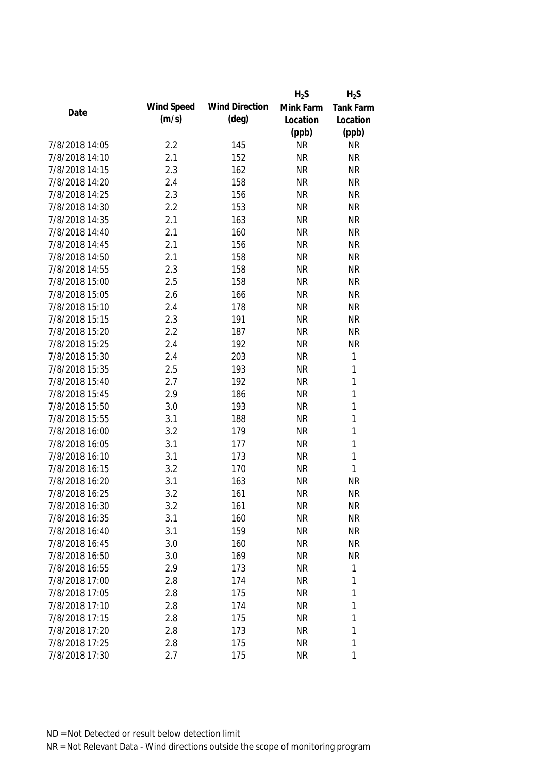|                |            |                       | $H_2S$    | $H_2S$           |
|----------------|------------|-----------------------|-----------|------------------|
| Date           | Wind Speed | <b>Wind Direction</b> | Mink Farm | <b>Tank Farm</b> |
|                | (m/s)      | $(\text{deg})$        | Location  | Location         |
|                |            |                       | (ppb)     | (ppb)            |
| 7/8/2018 14:05 | 2.2        | 145                   | <b>NR</b> | <b>NR</b>        |
| 7/8/2018 14:10 | 2.1        | 152                   | <b>NR</b> | <b>NR</b>        |
| 7/8/2018 14:15 | 2.3        | 162                   | <b>NR</b> | <b>NR</b>        |
| 7/8/2018 14:20 | 2.4        | 158                   | <b>NR</b> | <b>NR</b>        |
| 7/8/2018 14:25 | 2.3        | 156                   | <b>NR</b> | <b>NR</b>        |
| 7/8/2018 14:30 | 2.2        | 153                   | <b>NR</b> | <b>NR</b>        |
| 7/8/2018 14:35 | 2.1        | 163                   | <b>NR</b> | <b>NR</b>        |
| 7/8/2018 14:40 | 2.1        | 160                   | <b>NR</b> | <b>NR</b>        |
| 7/8/2018 14:45 | 2.1        | 156                   | <b>NR</b> | <b>NR</b>        |
| 7/8/2018 14:50 | 2.1        | 158                   | <b>NR</b> | <b>NR</b>        |
| 7/8/2018 14:55 | 2.3        | 158                   | <b>NR</b> | <b>NR</b>        |
| 7/8/2018 15:00 | 2.5        | 158                   | <b>NR</b> | <b>NR</b>        |
| 7/8/2018 15:05 | 2.6        | 166                   | <b>NR</b> | <b>NR</b>        |
| 7/8/2018 15:10 | 2.4        | 178                   | <b>NR</b> | <b>NR</b>        |
| 7/8/2018 15:15 | 2.3        | 191                   | <b>NR</b> | <b>NR</b>        |
| 7/8/2018 15:20 | 2.2        | 187                   | <b>NR</b> | <b>NR</b>        |
| 7/8/2018 15:25 | 2.4        | 192                   | <b>NR</b> | <b>NR</b>        |
| 7/8/2018 15:30 | 2.4        | 203                   | <b>NR</b> | $\mathbf 1$      |
| 7/8/2018 15:35 | 2.5        | 193                   | <b>NR</b> | 1                |
| 7/8/2018 15:40 | 2.7        | 192                   | <b>NR</b> | 1                |
| 7/8/2018 15:45 | 2.9        | 186                   | <b>NR</b> | 1                |
| 7/8/2018 15:50 | 3.0        | 193                   | <b>NR</b> | 1                |
| 7/8/2018 15:55 | 3.1        | 188                   | <b>NR</b> | 1                |
| 7/8/2018 16:00 | 3.2        | 179                   | <b>NR</b> | $\mathbf{1}$     |
| 7/8/2018 16:05 | 3.1        | 177                   | <b>NR</b> | 1                |
| 7/8/2018 16:10 | 3.1        | 173                   | <b>NR</b> | $\mathbf{1}$     |
| 7/8/2018 16:15 | 3.2        | 170                   | <b>NR</b> | $\mathbf{1}$     |
| 7/8/2018 16:20 | 3.1        | 163                   | <b>NR</b> | <b>NR</b>        |
| 7/8/2018 16:25 | 3.2        | 161                   | <b>NR</b> | <b>NR</b>        |
| 7/8/2018 16:30 | 3.2        | 161                   | <b>NR</b> | NR               |
| 7/8/2018 16:35 | 3.1        | 160                   | <b>NR</b> | <b>NR</b>        |
| 7/8/2018 16:40 | 3.1        | 159                   | <b>NR</b> | <b>NR</b>        |
| 7/8/2018 16:45 | 3.0        | 160                   | <b>NR</b> | <b>NR</b>        |
| 7/8/2018 16:50 | 3.0        | 169                   | <b>NR</b> | <b>NR</b>        |
| 7/8/2018 16:55 | 2.9        | 173                   | <b>NR</b> | 1                |
| 7/8/2018 17:00 | 2.8        | 174                   | <b>NR</b> | 1                |
| 7/8/2018 17:05 | 2.8        | 175                   | <b>NR</b> | 1                |
| 7/8/2018 17:10 | 2.8        | 174                   | <b>NR</b> | 1                |
| 7/8/2018 17:15 | 2.8        | 175                   | <b>NR</b> | 1                |
| 7/8/2018 17:20 | 2.8        | 173                   | <b>NR</b> | 1                |
| 7/8/2018 17:25 | 2.8        | 175                   | <b>NR</b> | 1                |
| 7/8/2018 17:30 | 2.7        | 175                   | <b>NR</b> | 1                |
|                |            |                       |           |                  |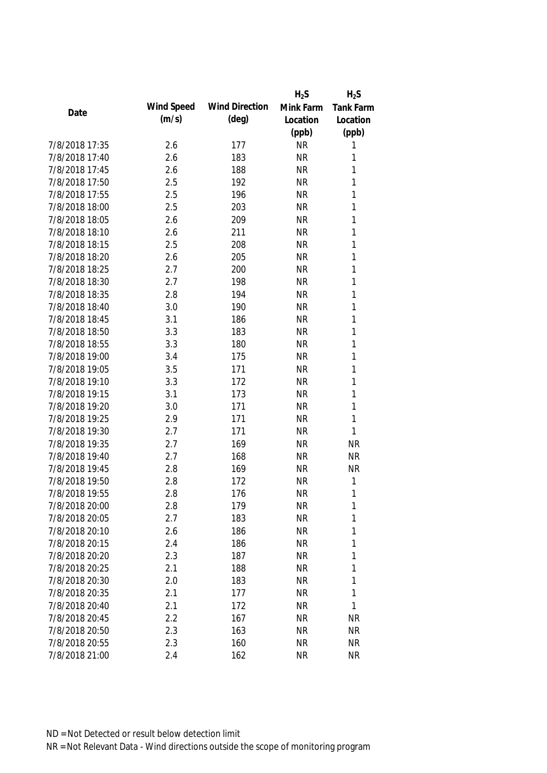|                |            |                       | $H_2S$    | $H_2S$           |
|----------------|------------|-----------------------|-----------|------------------|
|                | Wind Speed | <b>Wind Direction</b> | Mink Farm | <b>Tank Farm</b> |
| Date           | (m/s)      | $(\text{deg})$        | Location  | Location         |
|                |            |                       | (ppb)     | (ppb)            |
| 7/8/2018 17:35 | 2.6        | 177                   | <b>NR</b> | 1                |
| 7/8/2018 17:40 | 2.6        | 183                   | <b>NR</b> | 1                |
| 7/8/2018 17:45 | 2.6        | 188                   | <b>NR</b> | $\mathbf{1}$     |
| 7/8/2018 17:50 | 2.5        | 192                   | <b>NR</b> | $\mathbf{1}$     |
| 7/8/2018 17:55 | 2.5        | 196                   | <b>NR</b> | 1                |
| 7/8/2018 18:00 | 2.5        | 203                   | <b>NR</b> | $\mathbf{1}$     |
| 7/8/2018 18:05 | 2.6        | 209                   | <b>NR</b> | $\mathbf{1}$     |
| 7/8/2018 18:10 | 2.6        | 211                   | <b>NR</b> | $\mathbf{1}$     |
| 7/8/2018 18:15 | 2.5        | 208                   | <b>NR</b> | $\mathbf{1}$     |
| 7/8/2018 18:20 | 2.6        | 205                   | <b>NR</b> | 1                |
| 7/8/2018 18:25 | 2.7        | 200                   | <b>NR</b> | $\mathbf{1}$     |
| 7/8/2018 18:30 | 2.7        | 198                   | <b>NR</b> | 1                |
| 7/8/2018 18:35 | 2.8        | 194                   | <b>NR</b> | $\mathbf{1}$     |
| 7/8/2018 18:40 | 3.0        | 190                   | <b>NR</b> | $\mathbf{1}$     |
| 7/8/2018 18:45 | 3.1        | 186                   | <b>NR</b> | $\mathbf{1}$     |
| 7/8/2018 18:50 | 3.3        | 183                   | <b>NR</b> | $\mathbf{1}$     |
| 7/8/2018 18:55 | 3.3        | 180                   | <b>NR</b> | $\mathbf{1}$     |
| 7/8/2018 19:00 | 3.4        | 175                   | <b>NR</b> | $\mathbf{1}$     |
| 7/8/2018 19:05 | 3.5        | 171                   | <b>NR</b> | 1                |
| 7/8/2018 19:10 | 3.3        | 172                   | <b>NR</b> | $\mathbf 1$      |
| 7/8/2018 19:15 | 3.1        | 173                   | <b>NR</b> | 1                |
| 7/8/2018 19:20 | 3.0        | 171                   | <b>NR</b> | 1                |
| 7/8/2018 19:25 | 2.9        | 171                   | <b>NR</b> | 1                |
| 7/8/2018 19:30 | 2.7        | 171                   | <b>NR</b> | 1                |
| 7/8/2018 19:35 | 2.7        | 169                   | <b>NR</b> | <b>NR</b>        |
| 7/8/2018 19:40 | 2.7        | 168                   | <b>NR</b> | <b>NR</b>        |
| 7/8/2018 19:45 | 2.8        | 169                   | <b>NR</b> | <b>NR</b>        |
| 7/8/2018 19:50 | 2.8        | 172                   | <b>NR</b> | 1                |
| 7/8/2018 19:55 | 2.8        | 176                   | <b>NR</b> | 1                |
| 7/8/2018 20:00 | 2.8        | 179                   | <b>NR</b> | $\mathbf 1$      |
| 7/8/2018 20:05 | 2.7        | 183                   | <b>NR</b> | 1                |
| 7/8/2018 20:10 | 2.6        | 186                   | <b>NR</b> | 1                |
| 7/8/2018 20:15 | 2.4        | 186                   | <b>NR</b> | 1                |
| 7/8/2018 20:20 | 2.3        | 187                   | <b>NR</b> | 1                |
| 7/8/2018 20:25 | 2.1        | 188                   | <b>NR</b> | $\mathbf 1$      |
| 7/8/2018 20:30 | 2.0        | 183                   | <b>NR</b> | 1                |
| 7/8/2018 20:35 | 2.1        | 177                   | <b>NR</b> | $\mathbf 1$      |
| 7/8/2018 20:40 | 2.1        | 172                   | <b>NR</b> | 1                |
| 7/8/2018 20:45 | 2.2        | 167                   | <b>NR</b> | <b>NR</b>        |
| 7/8/2018 20:50 | 2.3        | 163                   | <b>NR</b> | <b>NR</b>        |
| 7/8/2018 20:55 | 2.3        | 160                   | <b>NR</b> | <b>NR</b>        |
| 7/8/2018 21:00 | 2.4        | 162                   | <b>NR</b> | <b>NR</b>        |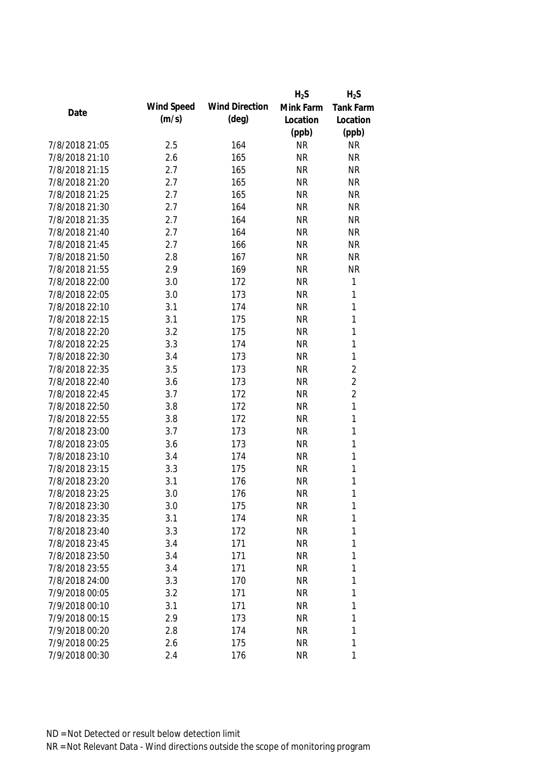|                |            |                       | $H_2S$    | $H_2S$           |
|----------------|------------|-----------------------|-----------|------------------|
|                | Wind Speed | <b>Wind Direction</b> | Mink Farm | <b>Tank Farm</b> |
| Date           | (m/s)      | $(\text{deg})$        | Location  | Location         |
|                |            |                       | (ppb)     | (ppb)            |
| 7/8/2018 21:05 | 2.5        | 164                   | <b>NR</b> | <b>NR</b>        |
| 7/8/2018 21:10 | 2.6        | 165                   | <b>NR</b> | <b>NR</b>        |
| 7/8/2018 21:15 | 2.7        | 165                   | <b>NR</b> | <b>NR</b>        |
| 7/8/2018 21:20 | 2.7        | 165                   | <b>NR</b> | <b>NR</b>        |
| 7/8/2018 21:25 | 2.7        | 165                   | <b>NR</b> | <b>NR</b>        |
| 7/8/2018 21:30 | 2.7        | 164                   | <b>NR</b> | <b>NR</b>        |
| 7/8/2018 21:35 | 2.7        | 164                   | <b>NR</b> | <b>NR</b>        |
| 7/8/2018 21:40 | 2.7        | 164                   | <b>NR</b> | <b>NR</b>        |
| 7/8/2018 21:45 | 2.7        | 166                   | <b>NR</b> | <b>NR</b>        |
| 7/8/2018 21:50 | 2.8        | 167                   | <b>NR</b> | <b>NR</b>        |
| 7/8/2018 21:55 | 2.9        | 169                   | <b>NR</b> | <b>NR</b>        |
| 7/8/2018 22:00 | 3.0        | 172                   | <b>NR</b> | $\mathbf{1}$     |
| 7/8/2018 22:05 | 3.0        | 173                   | <b>NR</b> | 1                |
| 7/8/2018 22:10 | 3.1        | 174                   | <b>NR</b> | $\mathbf{1}$     |
| 7/8/2018 22:15 | 3.1        | 175                   | <b>NR</b> | 1                |
| 7/8/2018 22:20 | 3.2        | 175                   | <b>NR</b> | $\mathbf{1}$     |
| 7/8/2018 22:25 | 3.3        | 174                   | <b>NR</b> | 1                |
| 7/8/2018 22:30 | 3.4        | 173                   | <b>NR</b> | $\mathbf{1}$     |
| 7/8/2018 22:35 | 3.5        | 173                   | <b>NR</b> | $\overline{2}$   |
| 7/8/2018 22:40 | 3.6        | 173                   | <b>NR</b> | $\overline{2}$   |
| 7/8/2018 22:45 | 3.7        | 172                   | <b>NR</b> | $\overline{2}$   |
| 7/8/2018 22:50 | 3.8        | 172                   | <b>NR</b> | $\mathbf 1$      |
| 7/8/2018 22:55 | 3.8        | 172                   | <b>NR</b> | 1                |
| 7/8/2018 23:00 | 3.7        | 173                   | <b>NR</b> | $\mathbf{1}$     |
| 7/8/2018 23:05 | 3.6        | 173                   | <b>NR</b> | $\mathbf{1}$     |
| 7/8/2018 23:10 | 3.4        | 174                   | <b>NR</b> | $\mathbf{1}$     |
| 7/8/2018 23:15 | 3.3        | 175                   | <b>NR</b> | 1                |
| 7/8/2018 23:20 | 3.1        | 176                   | <b>NR</b> | 1                |
| 7/8/2018 23:25 | 3.0        | 176                   | <b>NR</b> | 1                |
| 7/8/2018 23:30 | 3.0        | 175                   | <b>NR</b> | $\mathbf 1$      |
| 7/8/2018 23:35 | 3.1        | 174                   | <b>NR</b> | 1                |
| 7/8/2018 23:40 | 3.3        | 172                   | <b>NR</b> | 1                |
| 7/8/2018 23:45 | 3.4        | 171                   | <b>NR</b> | 1                |
| 7/8/2018 23:50 | 3.4        | 171                   | <b>NR</b> | 1                |
| 7/8/2018 23:55 | 3.4        | 171                   | <b>NR</b> | 1                |
| 7/8/2018 24:00 | 3.3        | 170                   | <b>NR</b> | 1                |
| 7/9/2018 00:05 | 3.2        | 171                   | <b>NR</b> | $\mathbf 1$      |
| 7/9/2018 00:10 | 3.1        | 171                   | <b>NR</b> | 1                |
| 7/9/2018 00:15 | 2.9        | 173                   | <b>NR</b> | 1                |
| 7/9/2018 00:20 | 2.8        | 174                   | <b>NR</b> | 1                |
| 7/9/2018 00:25 | 2.6        | 175                   | <b>NR</b> | $\mathbf 1$      |
| 7/9/2018 00:30 | 2.4        | 176                   | <b>NR</b> | 1                |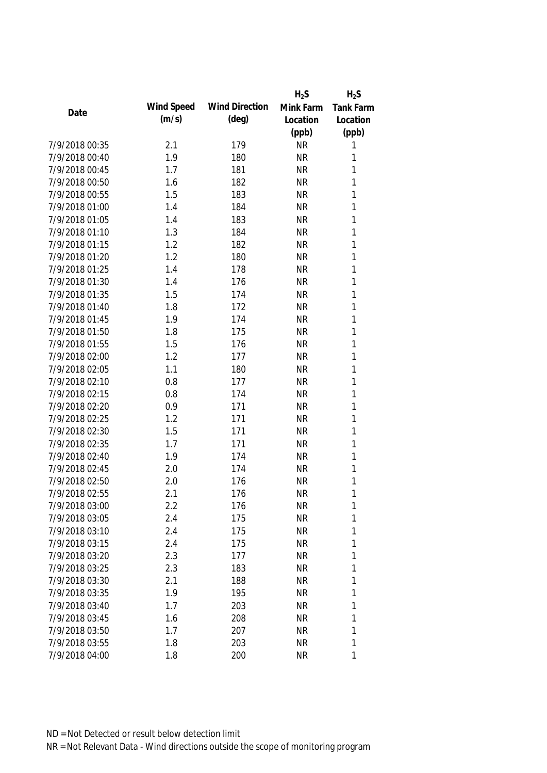|                |            |                       | $H_2S$    | $H_2S$           |
|----------------|------------|-----------------------|-----------|------------------|
|                | Wind Speed | <b>Wind Direction</b> | Mink Farm | <b>Tank Farm</b> |
| Date           | (m/s)      | $(\text{deg})$        | Location  | Location         |
|                |            |                       | (ppb)     | (ppb)            |
| 7/9/2018 00:35 | 2.1        | 179                   | <b>NR</b> | 1                |
| 7/9/2018 00:40 | 1.9        | 180                   | <b>NR</b> | 1                |
| 7/9/2018 00:45 | 1.7        | 181                   | <b>NR</b> | 1                |
| 7/9/2018 00:50 | 1.6        | 182                   | <b>NR</b> | 1                |
| 7/9/2018 00:55 | 1.5        | 183                   | <b>NR</b> | 1                |
| 7/9/2018 01:00 | 1.4        | 184                   | <b>NR</b> | 1                |
| 7/9/2018 01:05 | 1.4        | 183                   | <b>NR</b> | 1                |
| 7/9/2018 01:10 | 1.3        | 184                   | <b>NR</b> | 1                |
| 7/9/2018 01:15 | 1.2        | 182                   | <b>NR</b> | 1                |
| 7/9/2018 01:20 | 1.2        | 180                   | <b>NR</b> | 1                |
| 7/9/2018 01:25 | 1.4        | 178                   | <b>NR</b> | 1                |
| 7/9/2018 01:30 | 1.4        | 176                   | <b>NR</b> | 1                |
| 7/9/2018 01:35 | 1.5        | 174                   | <b>NR</b> | 1                |
| 7/9/2018 01:40 | 1.8        | 172                   | <b>NR</b> | 1                |
| 7/9/2018 01:45 | 1.9        | 174                   | <b>NR</b> | 1                |
| 7/9/2018 01:50 | 1.8        | 175                   | <b>NR</b> | 1                |
| 7/9/2018 01:55 | 1.5        | 176                   | <b>NR</b> | 1                |
| 7/9/2018 02:00 | 1.2        | 177                   | <b>NR</b> | 1                |
| 7/9/2018 02:05 | 1.1        | 180                   | <b>NR</b> | 1                |
| 7/9/2018 02:10 | 0.8        | 177                   | <b>NR</b> | 1                |
| 7/9/2018 02:15 | 0.8        | 174                   | <b>NR</b> | 1                |
| 7/9/2018 02:20 | 0.9        | 171                   | <b>NR</b> | $\mathbf{1}$     |
| 7/9/2018 02:25 | 1.2        | 171                   | <b>NR</b> | 1                |
| 7/9/2018 02:30 | 1.5        | 171                   | <b>NR</b> | 1                |
| 7/9/2018 02:35 | 1.7        | 171                   | <b>NR</b> | 1                |
| 7/9/2018 02:40 | 1.9        | 174                   | <b>NR</b> | 1                |
| 7/9/2018 02:45 | 2.0        | 174                   | <b>NR</b> | 1                |
| 7/9/2018 02:50 | 2.0        | 176                   | <b>NR</b> | 1                |
| 7/9/2018 02:55 | 2.1        | 176                   | <b>NR</b> | 1                |
| 7/9/2018 03:00 | 2.2        | 176                   | <b>NR</b> | 1                |
| 7/9/2018 03:05 | 2.4        | 175                   | <b>NR</b> | 1                |
| 7/9/2018 03:10 | 2.4        | 175                   | <b>NR</b> | 1                |
| 7/9/2018 03:15 | 2.4        | 175                   | <b>NR</b> | 1                |
| 7/9/2018 03:20 | 2.3        | 177                   | <b>NR</b> | 1                |
| 7/9/2018 03:25 | 2.3        | 183                   | <b>NR</b> | $\mathbf{1}$     |
| 7/9/2018 03:30 | 2.1        | 188                   | <b>NR</b> | 1                |
| 7/9/2018 03:35 | 1.9        | 195                   | <b>NR</b> | 1                |
| 7/9/2018 03:40 | 1.7        | 203                   | <b>NR</b> | 1                |
| 7/9/2018 03:45 | 1.6        | 208                   | <b>NR</b> | 1                |
| 7/9/2018 03:50 | 1.7        | 207                   | <b>NR</b> | 1                |
| 7/9/2018 03:55 | 1.8        | 203                   | <b>NR</b> | 1                |
| 7/9/2018 04:00 | 1.8        | 200                   | <b>NR</b> | 1                |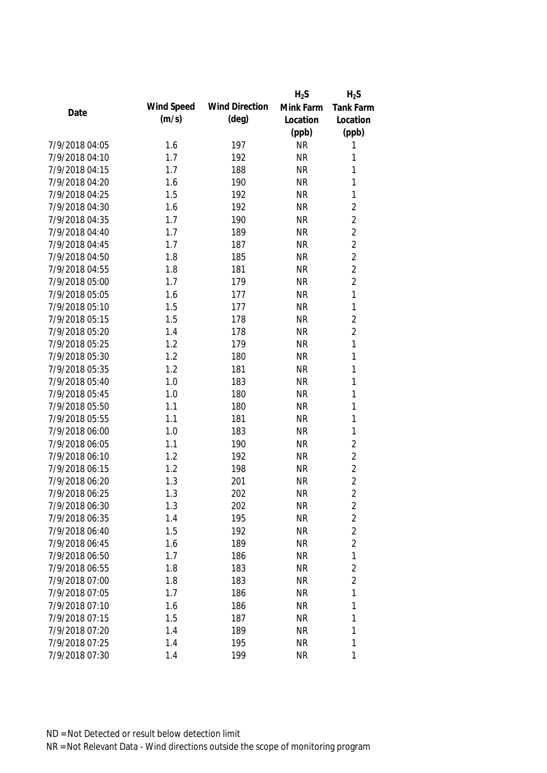|                |            |                       | $H_2S$    | $H_2S$                  |
|----------------|------------|-----------------------|-----------|-------------------------|
|                | Wind Speed | <b>Wind Direction</b> | Mink Farm | <b>Tank Farm</b>        |
| Date           | (m/s)      | $(\text{deg})$        | Location  | Location                |
|                |            |                       | (ppb)     | (ppb)                   |
| 7/9/2018 04:05 | 1.6        | 197                   | <b>NR</b> | 1                       |
| 7/9/2018 04:10 | 1.7        | 192                   | <b>NR</b> | 1                       |
| 7/9/2018 04:15 | 1.7        | 188                   | <b>NR</b> | 1                       |
| 7/9/2018 04:20 | 1.6        | 190                   | <b>NR</b> | 1                       |
| 7/9/2018 04:25 | 1.5        | 192                   | <b>NR</b> | 1                       |
| 7/9/2018 04:30 | 1.6        | 192                   | <b>NR</b> | $\overline{2}$          |
| 7/9/2018 04:35 | 1.7        | 190                   | <b>NR</b> | $\overline{2}$          |
| 7/9/2018 04:40 | 1.7        | 189                   | <b>NR</b> | $\overline{2}$          |
| 7/9/2018 04:45 | 1.7        | 187                   | <b>NR</b> | $\overline{2}$          |
| 7/9/2018 04:50 | 1.8        | 185                   | <b>NR</b> | $\overline{2}$          |
| 7/9/2018 04:55 | 1.8        | 181                   | <b>NR</b> | $\overline{2}$          |
| 7/9/2018 05:00 | 1.7        | 179                   | <b>NR</b> | $\overline{2}$          |
| 7/9/2018 05:05 | 1.6        | 177                   | <b>NR</b> | 1                       |
| 7/9/2018 05:10 | 1.5        | 177                   | <b>NR</b> | $\mathbf 1$             |
| 7/9/2018 05:15 | 1.5        | 178                   | <b>NR</b> | $\overline{2}$          |
| 7/9/2018 05:20 | 1.4        | 178                   | <b>NR</b> | $\overline{2}$          |
| 7/9/2018 05:25 | 1.2        | 179                   | <b>NR</b> | 1                       |
| 7/9/2018 05:30 | 1.2        | 180                   | <b>NR</b> | 1                       |
| 7/9/2018 05:35 | 1.2        | 181                   | <b>NR</b> | 1                       |
| 7/9/2018 05:40 | 1.0        | 183                   | <b>NR</b> | 1                       |
| 7/9/2018 05:45 | 1.0        | 180                   | <b>NR</b> | 1                       |
| 7/9/2018 05:50 | 1.1        | 180                   | <b>NR</b> | 1                       |
| 7/9/2018 05:55 | 1.1        | 181                   | <b>NR</b> | 1                       |
| 7/9/2018 06:00 | 1.0        | 183                   | <b>NR</b> | 1                       |
| 7/9/2018 06:05 | 1.1        | 190                   | <b>NR</b> | $\overline{2}$          |
| 7/9/2018 06:10 | 1.2        | 192                   | <b>NR</b> | $\overline{2}$          |
| 7/9/2018 06:15 | 1.2        | 198                   | <b>NR</b> | $\overline{c}$          |
| 7/9/2018 06:20 | 1.3        | 201                   | <b>NR</b> | $\overline{2}$          |
| 7/9/2018 06:25 | 1.3        | 202                   | <b>NR</b> | $\overline{2}$          |
| 7/9/2018 06:30 | 1.3        | 202                   | <b>NR</b> | $\overline{\mathbf{c}}$ |
| 7/9/2018 06:35 | 1.4        | 195                   | <b>NR</b> | $\overline{c}$          |
| 7/9/2018 06:40 | 1.5        | 192                   | <b>NR</b> | $\overline{2}$          |
| 7/9/2018 06:45 | 1.6        | 189                   | <b>NR</b> | $\overline{2}$          |
| 7/9/2018 06:50 | 1.7        | 186                   | <b>NR</b> | $\mathbf 1$             |
| 7/9/2018 06:55 | 1.8        | 183                   | <b>NR</b> | $\overline{2}$          |
| 7/9/2018 07:00 | 1.8        | 183                   | <b>NR</b> | $\overline{2}$          |
| 7/9/2018 07:05 | 1.7        | 186                   | <b>NR</b> | 1                       |
| 7/9/2018 07:10 | 1.6        | 186                   | <b>NR</b> | 1                       |
| 7/9/2018 07:15 | 1.5        | 187                   | <b>NR</b> | 1                       |
| 7/9/2018 07:20 | 1.4        | 189                   | <b>NR</b> | 1                       |
| 7/9/2018 07:25 | 1.4        | 195                   | <b>NR</b> | $\mathbf 1$             |
| 7/9/2018 07:30 | 1.4        | 199                   | <b>NR</b> | 1                       |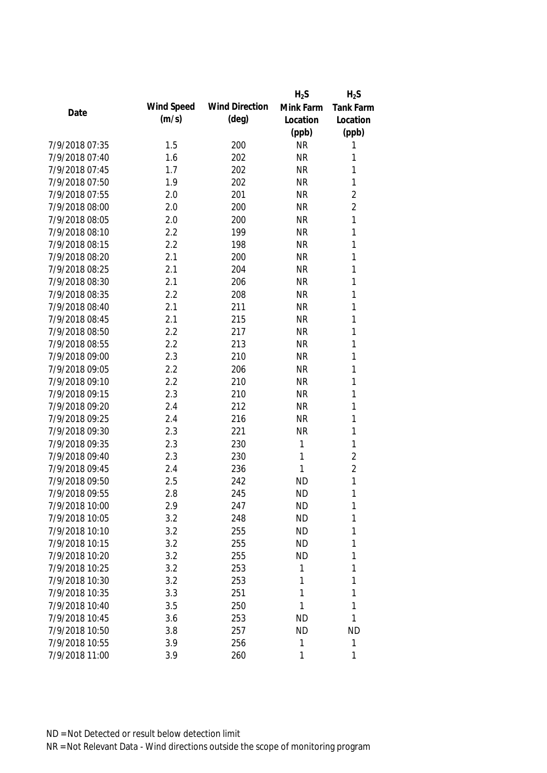| Wind Speed<br><b>Wind Direction</b><br>Mink Farm<br><b>Tank Farm</b><br>Date<br>(m/s)<br>$(\text{deg})$<br>Location<br>Location<br>(ppb)<br>(ppb)<br>7/9/2018 07:35<br>1.5<br>200<br><b>NR</b><br>1<br>7/9/2018 07:40<br>202<br><b>NR</b><br>1<br>1.6<br>202<br>1<br>7/9/2018 07:45<br>1.7<br><b>NR</b><br>7/9/2018 07:50<br>202<br>$\mathbf{1}$<br>1.9<br><b>NR</b><br>$\overline{2}$<br>7/9/2018 07:55<br>201<br><b>NR</b><br>2.0<br>$\overline{2}$<br>200<br><b>NR</b><br>7/9/2018 08:00<br>2.0<br>1<br>7/9/2018 08:05<br>2.0<br>200<br><b>NR</b><br>1<br>7/9/2018 08:10<br>2.2<br>199<br><b>NR</b><br>1<br>7/9/2018 08:15<br>2.2<br>198<br><b>NR</b><br>7/9/2018 08:20<br>200<br><b>NR</b><br>1<br>2.1<br>1<br>7/9/2018 08:25<br>2.1<br>204<br><b>NR</b><br>7/9/2018 08:30<br>1<br>206<br><b>NR</b><br>2.1<br>7/9/2018 08:35<br>1<br>2.2<br>208<br><b>NR</b><br>211<br><b>NR</b><br>1<br>7/9/2018 08:40<br>2.1<br>7/9/2018 08:45<br>2.1<br>215<br><b>NR</b><br>1<br>1<br>7/9/2018 08:50<br>2.2<br>217<br><b>NR</b><br>1<br>7/9/2018 08:55<br>2.2<br>213<br><b>NR</b><br>210<br><b>NR</b><br>1<br>7/9/2018 09:00<br>2.3<br>7/9/2018 09:05<br>2.2<br>1<br>206<br><b>NR</b><br>7/9/2018 09:10<br>1<br>2.2<br>210<br><b>NR</b><br>7/9/2018 09:15<br>2.3<br>210<br><b>NR</b><br>1<br>1<br>7/9/2018 09:20<br>2.4<br>212<br><b>NR</b><br>7/9/2018 09:25<br>216<br><b>NR</b><br>1<br>2.4<br>7/9/2018 09:30<br>1<br>2.3<br>221<br><b>NR</b><br>7/9/2018 09:35<br>230<br>$\mathbf{1}$<br>1<br>2.3<br>$\overline{2}$<br>2.3<br>1<br>7/9/2018 09:40<br>230<br>$\overline{2}$<br>7/9/2018 09:45<br>1<br>236<br>2.4<br>1<br>7/9/2018 09:50<br>2.5<br>242<br><b>ND</b><br>1<br>7/9/2018 09:55<br>2.8<br>245<br><b>ND</b><br><b>ND</b><br>7/9/2018 10:00<br>2.9<br>247<br>1<br>1<br>7/9/2018 10:05<br><b>ND</b><br>3.2<br>248<br>7/9/2018 10:10<br>3.2<br>255<br><b>ND</b><br>1<br>7/9/2018 10:15<br>3.2<br>255<br><b>ND</b><br>1<br>7/9/2018 10:20<br>3.2<br>255<br>1<br>ND<br>1<br>7/9/2018 10:25<br>3.2<br>253<br>1<br>7/9/2018 10:30<br>1<br>3.2<br>253<br>1<br>1<br>1<br>7/9/2018 10:35<br>3.3<br>251<br>1<br>7/9/2018 10:40<br>3.5<br>250<br>1<br>7/9/2018 10:45<br>1<br>253<br><b>ND</b><br>3.6<br>7/9/2018 10:50<br>257<br><b>ND</b><br><b>ND</b><br>3.8<br>1<br>7/9/2018 10:55<br>3.9<br>256<br>$\mathbf{1}$ |                |     |     | $H_2S$ | $H_2S$ |
|-----------------------------------------------------------------------------------------------------------------------------------------------------------------------------------------------------------------------------------------------------------------------------------------------------------------------------------------------------------------------------------------------------------------------------------------------------------------------------------------------------------------------------------------------------------------------------------------------------------------------------------------------------------------------------------------------------------------------------------------------------------------------------------------------------------------------------------------------------------------------------------------------------------------------------------------------------------------------------------------------------------------------------------------------------------------------------------------------------------------------------------------------------------------------------------------------------------------------------------------------------------------------------------------------------------------------------------------------------------------------------------------------------------------------------------------------------------------------------------------------------------------------------------------------------------------------------------------------------------------------------------------------------------------------------------------------------------------------------------------------------------------------------------------------------------------------------------------------------------------------------------------------------------------------------------------------------------------------------------------------------------------------------------------------------------------------------------------------------------------------------------------------------------------------------------------------------------------------------------------------------------------------------------------------------------|----------------|-----|-----|--------|--------|
|                                                                                                                                                                                                                                                                                                                                                                                                                                                                                                                                                                                                                                                                                                                                                                                                                                                                                                                                                                                                                                                                                                                                                                                                                                                                                                                                                                                                                                                                                                                                                                                                                                                                                                                                                                                                                                                                                                                                                                                                                                                                                                                                                                                                                                                                                                           |                |     |     |        |        |
|                                                                                                                                                                                                                                                                                                                                                                                                                                                                                                                                                                                                                                                                                                                                                                                                                                                                                                                                                                                                                                                                                                                                                                                                                                                                                                                                                                                                                                                                                                                                                                                                                                                                                                                                                                                                                                                                                                                                                                                                                                                                                                                                                                                                                                                                                                           |                |     |     |        |        |
|                                                                                                                                                                                                                                                                                                                                                                                                                                                                                                                                                                                                                                                                                                                                                                                                                                                                                                                                                                                                                                                                                                                                                                                                                                                                                                                                                                                                                                                                                                                                                                                                                                                                                                                                                                                                                                                                                                                                                                                                                                                                                                                                                                                                                                                                                                           |                |     |     |        |        |
|                                                                                                                                                                                                                                                                                                                                                                                                                                                                                                                                                                                                                                                                                                                                                                                                                                                                                                                                                                                                                                                                                                                                                                                                                                                                                                                                                                                                                                                                                                                                                                                                                                                                                                                                                                                                                                                                                                                                                                                                                                                                                                                                                                                                                                                                                                           |                |     |     |        |        |
|                                                                                                                                                                                                                                                                                                                                                                                                                                                                                                                                                                                                                                                                                                                                                                                                                                                                                                                                                                                                                                                                                                                                                                                                                                                                                                                                                                                                                                                                                                                                                                                                                                                                                                                                                                                                                                                                                                                                                                                                                                                                                                                                                                                                                                                                                                           |                |     |     |        |        |
|                                                                                                                                                                                                                                                                                                                                                                                                                                                                                                                                                                                                                                                                                                                                                                                                                                                                                                                                                                                                                                                                                                                                                                                                                                                                                                                                                                                                                                                                                                                                                                                                                                                                                                                                                                                                                                                                                                                                                                                                                                                                                                                                                                                                                                                                                                           |                |     |     |        |        |
|                                                                                                                                                                                                                                                                                                                                                                                                                                                                                                                                                                                                                                                                                                                                                                                                                                                                                                                                                                                                                                                                                                                                                                                                                                                                                                                                                                                                                                                                                                                                                                                                                                                                                                                                                                                                                                                                                                                                                                                                                                                                                                                                                                                                                                                                                                           |                |     |     |        |        |
|                                                                                                                                                                                                                                                                                                                                                                                                                                                                                                                                                                                                                                                                                                                                                                                                                                                                                                                                                                                                                                                                                                                                                                                                                                                                                                                                                                                                                                                                                                                                                                                                                                                                                                                                                                                                                                                                                                                                                                                                                                                                                                                                                                                                                                                                                                           |                |     |     |        |        |
|                                                                                                                                                                                                                                                                                                                                                                                                                                                                                                                                                                                                                                                                                                                                                                                                                                                                                                                                                                                                                                                                                                                                                                                                                                                                                                                                                                                                                                                                                                                                                                                                                                                                                                                                                                                                                                                                                                                                                                                                                                                                                                                                                                                                                                                                                                           |                |     |     |        |        |
|                                                                                                                                                                                                                                                                                                                                                                                                                                                                                                                                                                                                                                                                                                                                                                                                                                                                                                                                                                                                                                                                                                                                                                                                                                                                                                                                                                                                                                                                                                                                                                                                                                                                                                                                                                                                                                                                                                                                                                                                                                                                                                                                                                                                                                                                                                           |                |     |     |        |        |
|                                                                                                                                                                                                                                                                                                                                                                                                                                                                                                                                                                                                                                                                                                                                                                                                                                                                                                                                                                                                                                                                                                                                                                                                                                                                                                                                                                                                                                                                                                                                                                                                                                                                                                                                                                                                                                                                                                                                                                                                                                                                                                                                                                                                                                                                                                           |                |     |     |        |        |
|                                                                                                                                                                                                                                                                                                                                                                                                                                                                                                                                                                                                                                                                                                                                                                                                                                                                                                                                                                                                                                                                                                                                                                                                                                                                                                                                                                                                                                                                                                                                                                                                                                                                                                                                                                                                                                                                                                                                                                                                                                                                                                                                                                                                                                                                                                           |                |     |     |        |        |
|                                                                                                                                                                                                                                                                                                                                                                                                                                                                                                                                                                                                                                                                                                                                                                                                                                                                                                                                                                                                                                                                                                                                                                                                                                                                                                                                                                                                                                                                                                                                                                                                                                                                                                                                                                                                                                                                                                                                                                                                                                                                                                                                                                                                                                                                                                           |                |     |     |        |        |
|                                                                                                                                                                                                                                                                                                                                                                                                                                                                                                                                                                                                                                                                                                                                                                                                                                                                                                                                                                                                                                                                                                                                                                                                                                                                                                                                                                                                                                                                                                                                                                                                                                                                                                                                                                                                                                                                                                                                                                                                                                                                                                                                                                                                                                                                                                           |                |     |     |        |        |
|                                                                                                                                                                                                                                                                                                                                                                                                                                                                                                                                                                                                                                                                                                                                                                                                                                                                                                                                                                                                                                                                                                                                                                                                                                                                                                                                                                                                                                                                                                                                                                                                                                                                                                                                                                                                                                                                                                                                                                                                                                                                                                                                                                                                                                                                                                           |                |     |     |        |        |
|                                                                                                                                                                                                                                                                                                                                                                                                                                                                                                                                                                                                                                                                                                                                                                                                                                                                                                                                                                                                                                                                                                                                                                                                                                                                                                                                                                                                                                                                                                                                                                                                                                                                                                                                                                                                                                                                                                                                                                                                                                                                                                                                                                                                                                                                                                           |                |     |     |        |        |
|                                                                                                                                                                                                                                                                                                                                                                                                                                                                                                                                                                                                                                                                                                                                                                                                                                                                                                                                                                                                                                                                                                                                                                                                                                                                                                                                                                                                                                                                                                                                                                                                                                                                                                                                                                                                                                                                                                                                                                                                                                                                                                                                                                                                                                                                                                           |                |     |     |        |        |
|                                                                                                                                                                                                                                                                                                                                                                                                                                                                                                                                                                                                                                                                                                                                                                                                                                                                                                                                                                                                                                                                                                                                                                                                                                                                                                                                                                                                                                                                                                                                                                                                                                                                                                                                                                                                                                                                                                                                                                                                                                                                                                                                                                                                                                                                                                           |                |     |     |        |        |
|                                                                                                                                                                                                                                                                                                                                                                                                                                                                                                                                                                                                                                                                                                                                                                                                                                                                                                                                                                                                                                                                                                                                                                                                                                                                                                                                                                                                                                                                                                                                                                                                                                                                                                                                                                                                                                                                                                                                                                                                                                                                                                                                                                                                                                                                                                           |                |     |     |        |        |
|                                                                                                                                                                                                                                                                                                                                                                                                                                                                                                                                                                                                                                                                                                                                                                                                                                                                                                                                                                                                                                                                                                                                                                                                                                                                                                                                                                                                                                                                                                                                                                                                                                                                                                                                                                                                                                                                                                                                                                                                                                                                                                                                                                                                                                                                                                           |                |     |     |        |        |
|                                                                                                                                                                                                                                                                                                                                                                                                                                                                                                                                                                                                                                                                                                                                                                                                                                                                                                                                                                                                                                                                                                                                                                                                                                                                                                                                                                                                                                                                                                                                                                                                                                                                                                                                                                                                                                                                                                                                                                                                                                                                                                                                                                                                                                                                                                           |                |     |     |        |        |
|                                                                                                                                                                                                                                                                                                                                                                                                                                                                                                                                                                                                                                                                                                                                                                                                                                                                                                                                                                                                                                                                                                                                                                                                                                                                                                                                                                                                                                                                                                                                                                                                                                                                                                                                                                                                                                                                                                                                                                                                                                                                                                                                                                                                                                                                                                           |                |     |     |        |        |
|                                                                                                                                                                                                                                                                                                                                                                                                                                                                                                                                                                                                                                                                                                                                                                                                                                                                                                                                                                                                                                                                                                                                                                                                                                                                                                                                                                                                                                                                                                                                                                                                                                                                                                                                                                                                                                                                                                                                                                                                                                                                                                                                                                                                                                                                                                           |                |     |     |        |        |
|                                                                                                                                                                                                                                                                                                                                                                                                                                                                                                                                                                                                                                                                                                                                                                                                                                                                                                                                                                                                                                                                                                                                                                                                                                                                                                                                                                                                                                                                                                                                                                                                                                                                                                                                                                                                                                                                                                                                                                                                                                                                                                                                                                                                                                                                                                           |                |     |     |        |        |
|                                                                                                                                                                                                                                                                                                                                                                                                                                                                                                                                                                                                                                                                                                                                                                                                                                                                                                                                                                                                                                                                                                                                                                                                                                                                                                                                                                                                                                                                                                                                                                                                                                                                                                                                                                                                                                                                                                                                                                                                                                                                                                                                                                                                                                                                                                           |                |     |     |        |        |
|                                                                                                                                                                                                                                                                                                                                                                                                                                                                                                                                                                                                                                                                                                                                                                                                                                                                                                                                                                                                                                                                                                                                                                                                                                                                                                                                                                                                                                                                                                                                                                                                                                                                                                                                                                                                                                                                                                                                                                                                                                                                                                                                                                                                                                                                                                           |                |     |     |        |        |
|                                                                                                                                                                                                                                                                                                                                                                                                                                                                                                                                                                                                                                                                                                                                                                                                                                                                                                                                                                                                                                                                                                                                                                                                                                                                                                                                                                                                                                                                                                                                                                                                                                                                                                                                                                                                                                                                                                                                                                                                                                                                                                                                                                                                                                                                                                           |                |     |     |        |        |
|                                                                                                                                                                                                                                                                                                                                                                                                                                                                                                                                                                                                                                                                                                                                                                                                                                                                                                                                                                                                                                                                                                                                                                                                                                                                                                                                                                                                                                                                                                                                                                                                                                                                                                                                                                                                                                                                                                                                                                                                                                                                                                                                                                                                                                                                                                           |                |     |     |        |        |
|                                                                                                                                                                                                                                                                                                                                                                                                                                                                                                                                                                                                                                                                                                                                                                                                                                                                                                                                                                                                                                                                                                                                                                                                                                                                                                                                                                                                                                                                                                                                                                                                                                                                                                                                                                                                                                                                                                                                                                                                                                                                                                                                                                                                                                                                                                           |                |     |     |        |        |
|                                                                                                                                                                                                                                                                                                                                                                                                                                                                                                                                                                                                                                                                                                                                                                                                                                                                                                                                                                                                                                                                                                                                                                                                                                                                                                                                                                                                                                                                                                                                                                                                                                                                                                                                                                                                                                                                                                                                                                                                                                                                                                                                                                                                                                                                                                           |                |     |     |        |        |
|                                                                                                                                                                                                                                                                                                                                                                                                                                                                                                                                                                                                                                                                                                                                                                                                                                                                                                                                                                                                                                                                                                                                                                                                                                                                                                                                                                                                                                                                                                                                                                                                                                                                                                                                                                                                                                                                                                                                                                                                                                                                                                                                                                                                                                                                                                           |                |     |     |        |        |
|                                                                                                                                                                                                                                                                                                                                                                                                                                                                                                                                                                                                                                                                                                                                                                                                                                                                                                                                                                                                                                                                                                                                                                                                                                                                                                                                                                                                                                                                                                                                                                                                                                                                                                                                                                                                                                                                                                                                                                                                                                                                                                                                                                                                                                                                                                           |                |     |     |        |        |
|                                                                                                                                                                                                                                                                                                                                                                                                                                                                                                                                                                                                                                                                                                                                                                                                                                                                                                                                                                                                                                                                                                                                                                                                                                                                                                                                                                                                                                                                                                                                                                                                                                                                                                                                                                                                                                                                                                                                                                                                                                                                                                                                                                                                                                                                                                           |                |     |     |        |        |
|                                                                                                                                                                                                                                                                                                                                                                                                                                                                                                                                                                                                                                                                                                                                                                                                                                                                                                                                                                                                                                                                                                                                                                                                                                                                                                                                                                                                                                                                                                                                                                                                                                                                                                                                                                                                                                                                                                                                                                                                                                                                                                                                                                                                                                                                                                           |                |     |     |        |        |
|                                                                                                                                                                                                                                                                                                                                                                                                                                                                                                                                                                                                                                                                                                                                                                                                                                                                                                                                                                                                                                                                                                                                                                                                                                                                                                                                                                                                                                                                                                                                                                                                                                                                                                                                                                                                                                                                                                                                                                                                                                                                                                                                                                                                                                                                                                           |                |     |     |        |        |
|                                                                                                                                                                                                                                                                                                                                                                                                                                                                                                                                                                                                                                                                                                                                                                                                                                                                                                                                                                                                                                                                                                                                                                                                                                                                                                                                                                                                                                                                                                                                                                                                                                                                                                                                                                                                                                                                                                                                                                                                                                                                                                                                                                                                                                                                                                           |                |     |     |        |        |
|                                                                                                                                                                                                                                                                                                                                                                                                                                                                                                                                                                                                                                                                                                                                                                                                                                                                                                                                                                                                                                                                                                                                                                                                                                                                                                                                                                                                                                                                                                                                                                                                                                                                                                                                                                                                                                                                                                                                                                                                                                                                                                                                                                                                                                                                                                           |                |     |     |        |        |
|                                                                                                                                                                                                                                                                                                                                                                                                                                                                                                                                                                                                                                                                                                                                                                                                                                                                                                                                                                                                                                                                                                                                                                                                                                                                                                                                                                                                                                                                                                                                                                                                                                                                                                                                                                                                                                                                                                                                                                                                                                                                                                                                                                                                                                                                                                           |                |     |     |        |        |
|                                                                                                                                                                                                                                                                                                                                                                                                                                                                                                                                                                                                                                                                                                                                                                                                                                                                                                                                                                                                                                                                                                                                                                                                                                                                                                                                                                                                                                                                                                                                                                                                                                                                                                                                                                                                                                                                                                                                                                                                                                                                                                                                                                                                                                                                                                           |                |     |     |        |        |
|                                                                                                                                                                                                                                                                                                                                                                                                                                                                                                                                                                                                                                                                                                                                                                                                                                                                                                                                                                                                                                                                                                                                                                                                                                                                                                                                                                                                                                                                                                                                                                                                                                                                                                                                                                                                                                                                                                                                                                                                                                                                                                                                                                                                                                                                                                           |                |     |     |        |        |
|                                                                                                                                                                                                                                                                                                                                                                                                                                                                                                                                                                                                                                                                                                                                                                                                                                                                                                                                                                                                                                                                                                                                                                                                                                                                                                                                                                                                                                                                                                                                                                                                                                                                                                                                                                                                                                                                                                                                                                                                                                                                                                                                                                                                                                                                                                           |                |     |     |        |        |
|                                                                                                                                                                                                                                                                                                                                                                                                                                                                                                                                                                                                                                                                                                                                                                                                                                                                                                                                                                                                                                                                                                                                                                                                                                                                                                                                                                                                                                                                                                                                                                                                                                                                                                                                                                                                                                                                                                                                                                                                                                                                                                                                                                                                                                                                                                           |                |     |     |        |        |
|                                                                                                                                                                                                                                                                                                                                                                                                                                                                                                                                                                                                                                                                                                                                                                                                                                                                                                                                                                                                                                                                                                                                                                                                                                                                                                                                                                                                                                                                                                                                                                                                                                                                                                                                                                                                                                                                                                                                                                                                                                                                                                                                                                                                                                                                                                           |                |     |     |        |        |
|                                                                                                                                                                                                                                                                                                                                                                                                                                                                                                                                                                                                                                                                                                                                                                                                                                                                                                                                                                                                                                                                                                                                                                                                                                                                                                                                                                                                                                                                                                                                                                                                                                                                                                                                                                                                                                                                                                                                                                                                                                                                                                                                                                                                                                                                                                           |                |     |     |        |        |
|                                                                                                                                                                                                                                                                                                                                                                                                                                                                                                                                                                                                                                                                                                                                                                                                                                                                                                                                                                                                                                                                                                                                                                                                                                                                                                                                                                                                                                                                                                                                                                                                                                                                                                                                                                                                                                                                                                                                                                                                                                                                                                                                                                                                                                                                                                           | 7/9/2018 11:00 | 3.9 | 260 | 1      | 1      |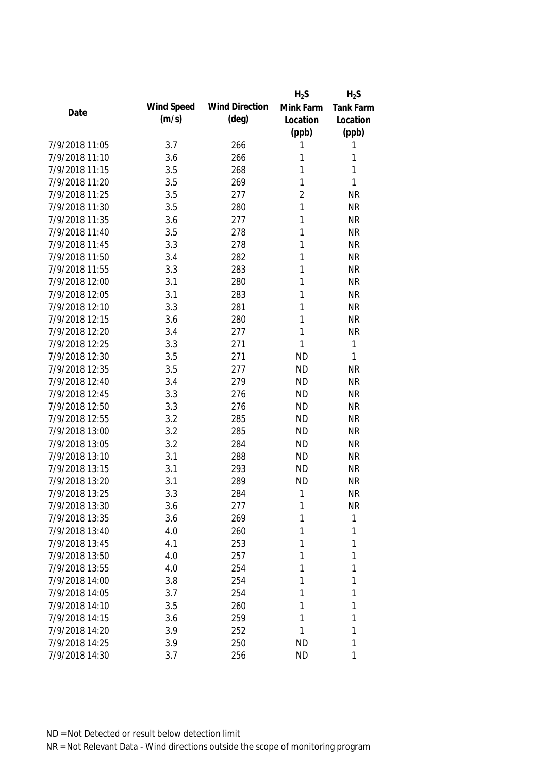|                |            |                       | $H_2S$         | $H_2S$           |
|----------------|------------|-----------------------|----------------|------------------|
| Date           | Wind Speed | <b>Wind Direction</b> | Mink Farm      | <b>Tank Farm</b> |
|                | (m/s)      | $(\text{deg})$        | Location       | Location         |
|                |            |                       | (ppb)          | (ppb)            |
| 7/9/2018 11:05 | 3.7        | 266                   | 1              | 1                |
| 7/9/2018 11:10 | 3.6        | 266                   | 1              | 1                |
| 7/9/2018 11:15 | 3.5        | 268                   | 1              | 1                |
| 7/9/2018 11:20 | 3.5        | 269                   | 1              | 1                |
| 7/9/2018 11:25 | 3.5        | 277                   | $\overline{2}$ | <b>NR</b>        |
| 7/9/2018 11:30 | 3.5        | 280                   | 1              | <b>NR</b>        |
| 7/9/2018 11:35 | 3.6        | 277                   | 1              | <b>NR</b>        |
| 7/9/2018 11:40 | 3.5        | 278                   | 1              | <b>NR</b>        |
| 7/9/2018 11:45 | 3.3        | 278                   | 1              | <b>NR</b>        |
| 7/9/2018 11:50 | 3.4        | 282                   | 1              | <b>NR</b>        |
| 7/9/2018 11:55 | 3.3        | 283                   | 1              | <b>NR</b>        |
| 7/9/2018 12:00 | 3.1        | 280                   | 1              | <b>NR</b>        |
| 7/9/2018 12:05 | 3.1        | 283                   | 1              | <b>NR</b>        |
| 7/9/2018 12:10 | 3.3        | 281                   | 1              | <b>NR</b>        |
| 7/9/2018 12:15 | 3.6        | 280                   | 1              | <b>NR</b>        |
| 7/9/2018 12:20 | 3.4        | 277                   | 1              | <b>NR</b>        |
| 7/9/2018 12:25 | 3.3        | 271                   | 1              | $\mathbf{1}$     |
| 7/9/2018 12:30 | 3.5        | 271                   | <b>ND</b>      | 1                |
| 7/9/2018 12:35 | 3.5        | 277                   | <b>ND</b>      | <b>NR</b>        |
| 7/9/2018 12:40 | 3.4        | 279                   | <b>ND</b>      | <b>NR</b>        |
| 7/9/2018 12:45 | 3.3        | 276                   | <b>ND</b>      | <b>NR</b>        |
| 7/9/2018 12:50 | 3.3        | 276                   | <b>ND</b>      | <b>NR</b>        |
| 7/9/2018 12:55 | 3.2        | 285                   | <b>ND</b>      | <b>NR</b>        |
| 7/9/2018 13:00 | 3.2        | 285                   | <b>ND</b>      | <b>NR</b>        |
| 7/9/2018 13:05 | 3.2        | 284                   | <b>ND</b>      | <b>NR</b>        |
| 7/9/2018 13:10 | 3.1        | 288                   | <b>ND</b>      | <b>NR</b>        |
| 7/9/2018 13:15 | 3.1        | 293                   | <b>ND</b>      | <b>NR</b>        |
| 7/9/2018 13:20 | 3.1        | 289                   | <b>ND</b>      | <b>NR</b>        |
| 7/9/2018 13:25 | 3.3        | 284                   | $\mathbf{1}$   | <b>NR</b>        |
| 7/9/2018 13:30 | 3.6        | 277                   | 1              | <b>NR</b>        |
| 7/9/2018 13:35 | 3.6        | 269                   | 1              | 1                |
| 7/9/2018 13:40 | 4.0        | 260                   | 1              | 1                |
| 7/9/2018 13:45 | 4.1        | 253                   | 1              | 1                |
| 7/9/2018 13:50 | 4.0        | 257                   | 1              | 1                |
| 7/9/2018 13:55 | 4.0        | 254                   | 1              | $\mathbf{1}$     |
| 7/9/2018 14:00 | 3.8        | 254                   | 1              | 1                |
| 7/9/2018 14:05 | 3.7        | 254                   | 1              | 1                |
| 7/9/2018 14:10 | 3.5        | 260                   | 1              | 1                |
| 7/9/2018 14:15 | 3.6        | 259                   | 1              | 1                |
| 7/9/2018 14:20 | 3.9        | 252                   | 1              | 1                |
| 7/9/2018 14:25 | 3.9        | 250                   | <b>ND</b>      | 1                |
| 7/9/2018 14:30 | 3.7        | 256                   | <b>ND</b>      | 1                |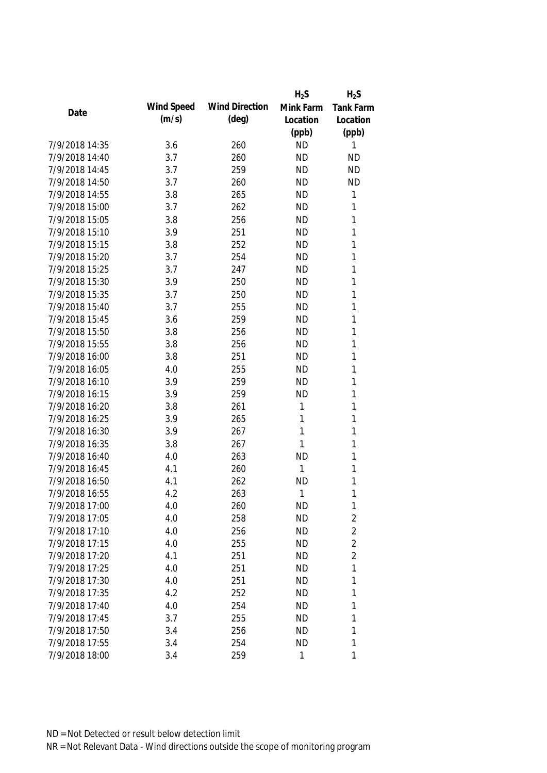|                |            |                       | $H_2S$       | $H_2S$           |
|----------------|------------|-----------------------|--------------|------------------|
|                | Wind Speed | <b>Wind Direction</b> | Mink Farm    | <b>Tank Farm</b> |
| Date           | (m/s)      | $(\text{deg})$        | Location     | Location         |
|                |            |                       | (ppb)        | (ppb)            |
| 7/9/2018 14:35 | 3.6        | 260                   | <b>ND</b>    | 1                |
| 7/9/2018 14:40 | 3.7        | 260                   | <b>ND</b>    | <b>ND</b>        |
| 7/9/2018 14:45 | 3.7        | 259                   | <b>ND</b>    | <b>ND</b>        |
| 7/9/2018 14:50 | 3.7        | 260                   | <b>ND</b>    | <b>ND</b>        |
| 7/9/2018 14:55 | 3.8        | 265                   | <b>ND</b>    | 1                |
| 7/9/2018 15:00 | 3.7        | 262                   | <b>ND</b>    | 1                |
| 7/9/2018 15:05 | 3.8        | 256                   | <b>ND</b>    | 1                |
| 7/9/2018 15:10 | 3.9        | 251                   | <b>ND</b>    | 1                |
| 7/9/2018 15:15 | 3.8        | 252                   | <b>ND</b>    | 1                |
| 7/9/2018 15:20 | 3.7        | 254                   | <b>ND</b>    | 1                |
| 7/9/2018 15:25 | 3.7        | 247                   | <b>ND</b>    | 1                |
| 7/9/2018 15:30 | 3.9        | 250                   | <b>ND</b>    | 1                |
| 7/9/2018 15:35 | 3.7        | 250                   | <b>ND</b>    | 1                |
| 7/9/2018 15:40 | 3.7        | 255                   | <b>ND</b>    | 1                |
| 7/9/2018 15:45 | 3.6        | 259                   | <b>ND</b>    | 1                |
| 7/9/2018 15:50 | 3.8        | 256                   | <b>ND</b>    | 1                |
| 7/9/2018 15:55 | 3.8        | 256                   | <b>ND</b>    | 1                |
| 7/9/2018 16:00 | 3.8        | 251                   | <b>ND</b>    | 1                |
| 7/9/2018 16:05 | 4.0        | 255                   | <b>ND</b>    | 1                |
| 7/9/2018 16:10 | 3.9        | 259                   | <b>ND</b>    | 1                |
| 7/9/2018 16:15 | 3.9        | 259                   | <b>ND</b>    | 1                |
| 7/9/2018 16:20 | 3.8        | 261                   | 1            | 1                |
| 7/9/2018 16:25 | 3.9        | 265                   | 1            | 1                |
| 7/9/2018 16:30 | 3.9        | 267                   | 1            | 1                |
| 7/9/2018 16:35 | 3.8        | 267                   | 1            | 1                |
| 7/9/2018 16:40 | 4.0        | 263                   | <b>ND</b>    | 1                |
| 7/9/2018 16:45 | 4.1        | 260                   | 1            | 1                |
| 7/9/2018 16:50 | 4.1        | 262                   | <b>ND</b>    | 1                |
| 7/9/2018 16:55 | 4.2        | 263                   | 1            | 1                |
| 7/9/2018 17:00 | 4.0        | 260                   | <b>ND</b>    | 1                |
| 7/9/2018 17:05 | 4.0        | 258                   | <b>ND</b>    | $\overline{2}$   |
| 7/9/2018 17:10 | 4.0        | 256                   | <b>ND</b>    | $\overline{2}$   |
| 7/9/2018 17:15 | 4.0        | 255                   | <b>ND</b>    | $\overline{2}$   |
| 7/9/2018 17:20 | 4.1        | 251                   | <b>ND</b>    | $\overline{2}$   |
| 7/9/2018 17:25 | 4.0        | 251                   | <b>ND</b>    | 1                |
| 7/9/2018 17:30 | 4.0        | 251                   | <b>ND</b>    | 1                |
| 7/9/2018 17:35 | 4.2        | 252                   | <b>ND</b>    | 1                |
| 7/9/2018 17:40 | 4.0        | 254                   | <b>ND</b>    | 1                |
| 7/9/2018 17:45 | 3.7        | 255                   | <b>ND</b>    | 1                |
| 7/9/2018 17:50 | 3.4        | 256                   | <b>ND</b>    | 1                |
| 7/9/2018 17:55 | 3.4        | 254                   | <b>ND</b>    | 1                |
| 7/9/2018 18:00 | 3.4        | 259                   | $\mathbf{1}$ | 1                |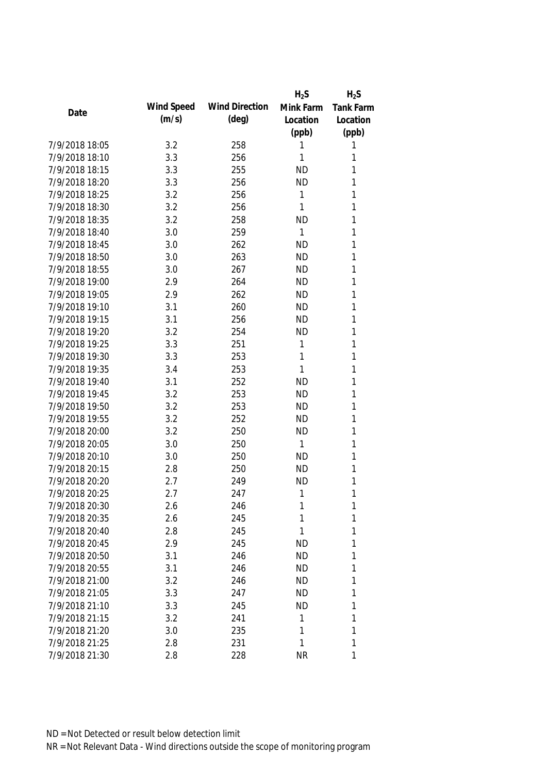|                |            |                       | $H_2S$       | $H_2S$           |
|----------------|------------|-----------------------|--------------|------------------|
| Date           | Wind Speed | <b>Wind Direction</b> | Mink Farm    | <b>Tank Farm</b> |
|                | (m/s)      | $(\text{deg})$        | Location     | Location         |
|                |            |                       | (ppb)        | (ppb)            |
| 7/9/2018 18:05 | 3.2        | 258                   | 1            | 1                |
| 7/9/2018 18:10 | 3.3        | 256                   | 1            | 1                |
| 7/9/2018 18:15 | 3.3        | 255                   | <b>ND</b>    | 1                |
| 7/9/2018 18:20 | 3.3        | 256                   | <b>ND</b>    | 1                |
| 7/9/2018 18:25 | 3.2        | 256                   | 1            | 1                |
| 7/9/2018 18:30 | 3.2        | 256                   | 1            | 1                |
| 7/9/2018 18:35 | 3.2        | 258                   | <b>ND</b>    | 1                |
| 7/9/2018 18:40 | 3.0        | 259                   | 1            | 1                |
| 7/9/2018 18:45 | 3.0        | 262                   | <b>ND</b>    | 1                |
| 7/9/2018 18:50 | 3.0        | 263                   | <b>ND</b>    | 1                |
| 7/9/2018 18:55 | 3.0        | 267                   | <b>ND</b>    | 1                |
| 7/9/2018 19:00 | 2.9        | 264                   | <b>ND</b>    | 1                |
| 7/9/2018 19:05 | 2.9        | 262                   | <b>ND</b>    | 1                |
| 7/9/2018 19:10 | 3.1        | 260                   | <b>ND</b>    | 1                |
| 7/9/2018 19:15 | 3.1        | 256                   | <b>ND</b>    | 1                |
| 7/9/2018 19:20 | 3.2        | 254                   | <b>ND</b>    | 1                |
| 7/9/2018 19:25 | 3.3        | 251                   | 1            | 1                |
| 7/9/2018 19:30 | 3.3        | 253                   | 1            | 1                |
| 7/9/2018 19:35 | 3.4        | 253                   | 1            | 1                |
| 7/9/2018 19:40 | 3.1        | 252                   | <b>ND</b>    | 1                |
| 7/9/2018 19:45 | 3.2        | 253                   | <b>ND</b>    | 1                |
| 7/9/2018 19:50 | 3.2        | 253                   | <b>ND</b>    | 1                |
| 7/9/2018 19:55 | 3.2        | 252                   | <b>ND</b>    | 1                |
| 7/9/2018 20:00 | 3.2        | 250                   | <b>ND</b>    | 1                |
| 7/9/2018 20:05 | 3.0        | 250                   | $\mathbf{1}$ | 1                |
| 7/9/2018 20:10 | 3.0        | 250                   | <b>ND</b>    | 1                |
| 7/9/2018 20:15 | 2.8        | 250                   | <b>ND</b>    | 1                |
| 7/9/2018 20:20 | 2.7        | 249                   | <b>ND</b>    | 1                |
| 7/9/2018 20:25 | 2.7        | 247                   | $\mathbf{1}$ | 1                |
| 7/9/2018 20:30 | 2.6        | 246                   | 1            | 1                |
| 7/9/2018 20:35 | 2.6        | 245                   | 1            | 1                |
| 7/9/2018 20:40 | 2.8        | 245                   | 1            | 1                |
| 7/9/2018 20:45 | 2.9        | 245                   | <b>ND</b>    | 1                |
| 7/9/2018 20:50 | 3.1        | 246                   | <b>ND</b>    | 1                |
| 7/9/2018 20:55 | 3.1        | 246                   | <b>ND</b>    | 1                |
| 7/9/2018 21:00 | 3.2        | 246                   | <b>ND</b>    | 1                |
| 7/9/2018 21:05 | 3.3        | 247                   | <b>ND</b>    | 1                |
| 7/9/2018 21:10 | 3.3        | 245                   | <b>ND</b>    | 1                |
| 7/9/2018 21:15 | 3.2        | 241                   | 1            | 1                |
| 7/9/2018 21:20 | 3.0        | 235                   | 1            | 1                |
| 7/9/2018 21:25 | 2.8        | 231                   | 1            | 1                |
| 7/9/2018 21:30 | 2.8        | 228                   | <b>NR</b>    | 1                |
|                |            |                       |              |                  |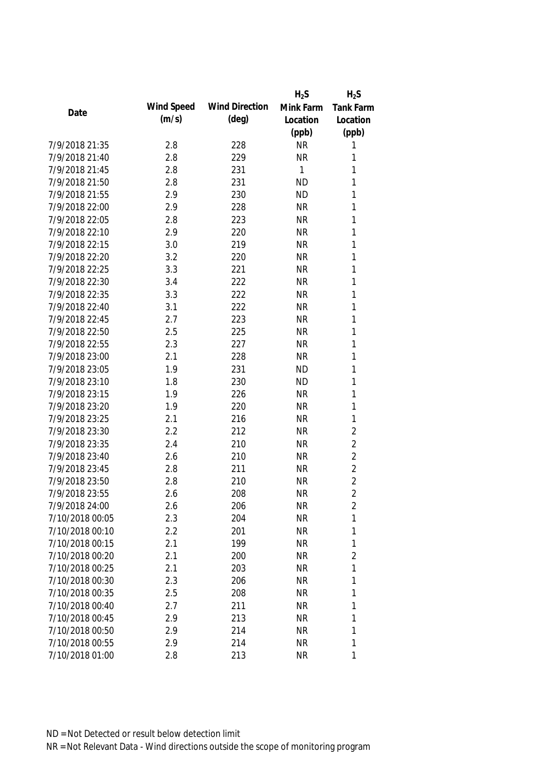|                 |            |                       | $H_2S$    | $H_2S$         |
|-----------------|------------|-----------------------|-----------|----------------|
|                 | Wind Speed | <b>Wind Direction</b> | Mink Farm | Tank Farm      |
| Date            | (m/s)      | $(\text{deg})$        | Location  | Location       |
|                 |            |                       | (ppb)     | (ppb)          |
| 7/9/2018 21:35  | 2.8        | 228                   | <b>NR</b> | 1              |
| 7/9/2018 21:40  | 2.8        | 229                   | <b>NR</b> | 1              |
| 7/9/2018 21:45  | 2.8        | 231                   | 1         | 1              |
| 7/9/2018 21:50  | 2.8        | 231                   | <b>ND</b> | 1              |
| 7/9/2018 21:55  | 2.9        | 230                   | <b>ND</b> | 1              |
| 7/9/2018 22:00  | 2.9        | 228                   | <b>NR</b> | 1              |
| 7/9/2018 22:05  | 2.8        | 223                   | <b>NR</b> | 1              |
| 7/9/2018 22:10  | 2.9        | 220                   | <b>NR</b> | 1              |
| 7/9/2018 22:15  | 3.0        | 219                   | <b>NR</b> | 1              |
| 7/9/2018 22:20  | 3.2        | 220                   | <b>NR</b> | 1              |
| 7/9/2018 22:25  | 3.3        | 221                   | <b>NR</b> | 1              |
| 7/9/2018 22:30  | 3.4        | 222                   | <b>NR</b> | 1              |
| 7/9/2018 22:35  | 3.3        | 222                   | <b>NR</b> | 1              |
| 7/9/2018 22:40  | 3.1        | 222                   | <b>NR</b> | 1              |
| 7/9/2018 22:45  | 2.7        | 223                   | <b>NR</b> | 1              |
| 7/9/2018 22:50  | 2.5        | 225                   | <b>NR</b> | 1              |
| 7/9/2018 22:55  | 2.3        | 227                   | <b>NR</b> | 1              |
| 7/9/2018 23:00  | 2.1        | 228                   | <b>NR</b> | 1              |
| 7/9/2018 23:05  | 1.9        | 231                   | <b>ND</b> | 1              |
| 7/9/2018 23:10  | 1.8        | 230                   | <b>ND</b> | 1              |
| 7/9/2018 23:15  | 1.9        | 226                   | <b>NR</b> | 1              |
| 7/9/2018 23:20  | 1.9        | 220                   | <b>NR</b> | 1              |
| 7/9/2018 23:25  | 2.1        | 216                   | <b>NR</b> | 1              |
| 7/9/2018 23:30  | 2.2        | 212                   | <b>NR</b> | $\overline{2}$ |
| 7/9/2018 23:35  | 2.4        | 210                   | <b>NR</b> | $\overline{2}$ |
| 7/9/2018 23:40  | 2.6        | 210                   | <b>NR</b> | $\overline{2}$ |
| 7/9/2018 23:45  | 2.8        | 211                   | <b>NR</b> | $\overline{2}$ |
| 7/9/2018 23:50  | 2.8        | 210                   | <b>NR</b> | $\overline{2}$ |
| 7/9/2018 23:55  | 2.6        | 208                   | <b>NR</b> | $\overline{2}$ |
| 7/9/2018 24:00  | 2.6        | 206                   | <b>NR</b> | 2              |
| 7/10/2018 00:05 | 2.3        | 204                   | <b>NR</b> | 1              |
| 7/10/2018 00:10 | 2.2        | 201                   | <b>NR</b> | 1              |
| 7/10/2018 00:15 | 2.1        | 199                   | <b>NR</b> | 1              |
| 7/10/2018 00:20 | 2.1        | 200                   | <b>NR</b> | $\overline{2}$ |
| 7/10/2018 00:25 | 2.1        | 203                   | <b>NR</b> | 1              |
| 7/10/2018 00:30 | 2.3        | 206                   | <b>NR</b> | 1              |
| 7/10/2018 00:35 | 2.5        | 208                   | <b>NR</b> | 1              |
| 7/10/2018 00:40 | 2.7        | 211                   | <b>NR</b> | 1              |
| 7/10/2018 00:45 | 2.9        | 213                   | <b>NR</b> | 1              |
| 7/10/2018 00:50 | 2.9        | 214                   | <b>NR</b> | 1              |
| 7/10/2018 00:55 | 2.9        | 214                   | <b>NR</b> | 1              |
| 7/10/2018 01:00 | 2.8        | 213                   | <b>NR</b> | 1              |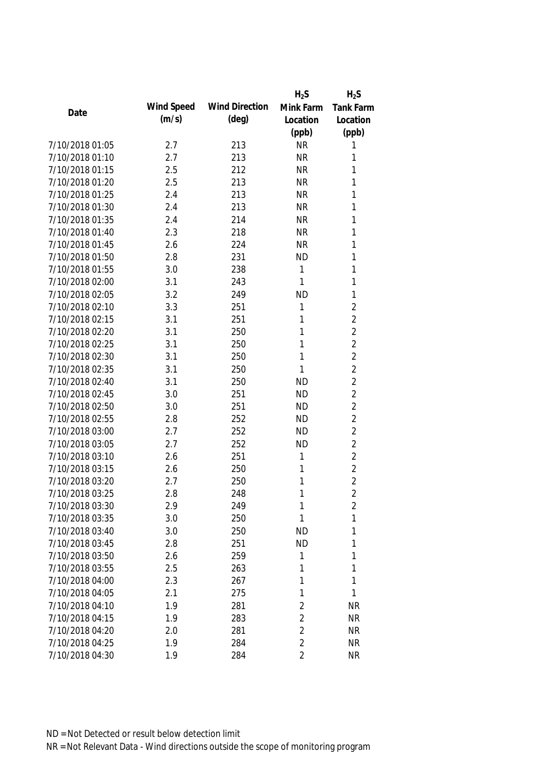|                 |            |                       | $H_2S$         | $H_2S$         |
|-----------------|------------|-----------------------|----------------|----------------|
|                 | Wind Speed | <b>Wind Direction</b> | Mink Farm      | Tank Farm      |
| Date            | (m/s)      | $(\text{deg})$        | Location       | Location       |
|                 |            |                       | (ppb)          | (ppb)          |
| 7/10/2018 01:05 | 2.7        | 213                   | <b>NR</b>      | 1              |
| 7/10/2018 01:10 | 2.7        | 213                   | <b>NR</b>      | 1              |
| 7/10/2018 01:15 | 2.5        | 212                   | <b>NR</b>      | 1              |
| 7/10/2018 01:20 | 2.5        | 213                   | <b>NR</b>      | 1              |
| 7/10/2018 01:25 | 2.4        | 213                   | <b>NR</b>      | 1              |
| 7/10/2018 01:30 | 2.4        | 213                   | <b>NR</b>      | 1              |
| 7/10/2018 01:35 | 2.4        | 214                   | <b>NR</b>      | 1              |
| 7/10/2018 01:40 | 2.3        | 218                   | <b>NR</b>      | 1              |
| 7/10/2018 01:45 | 2.6        | 224                   | <b>NR</b>      | 1              |
| 7/10/2018 01:50 | 2.8        | 231                   | <b>ND</b>      | 1              |
| 7/10/2018 01:55 | 3.0        | 238                   | 1              | 1              |
| 7/10/2018 02:00 | 3.1        | 243                   | 1              | 1              |
| 7/10/2018 02:05 | 3.2        | 249                   | <b>ND</b>      | 1              |
| 7/10/2018 02:10 | 3.3        | 251                   | 1              | $\overline{2}$ |
| 7/10/2018 02:15 | 3.1        | 251                   | 1              | $\overline{2}$ |
| 7/10/2018 02:20 | 3.1        | 250                   | 1              | $\overline{2}$ |
| 7/10/2018 02:25 | 3.1        | 250                   | 1              | $\overline{2}$ |
| 7/10/2018 02:30 | 3.1        | 250                   | 1              | $\overline{2}$ |
| 7/10/2018 02:35 | 3.1        | 250                   | 1              | $\overline{2}$ |
| 7/10/2018 02:40 | 3.1        | 250                   | <b>ND</b>      | $\overline{2}$ |
| 7/10/2018 02:45 | 3.0        | 251                   | <b>ND</b>      | $\overline{2}$ |
| 7/10/2018 02:50 | 3.0        | 251                   | <b>ND</b>      | $\overline{2}$ |
| 7/10/2018 02:55 | 2.8        | 252                   | <b>ND</b>      | $\overline{2}$ |
| 7/10/2018 03:00 | 2.7        | 252                   | <b>ND</b>      | $\overline{2}$ |
| 7/10/2018 03:05 | 2.7        | 252                   | <b>ND</b>      | $\overline{2}$ |
| 7/10/2018 03:10 | 2.6        | 251                   | 1              | $\overline{2}$ |
| 7/10/2018 03:15 | 2.6        | 250                   | $\mathbf 1$    | $\overline{2}$ |
| 7/10/2018 03:20 | 2.7        | 250                   | 1              | $\overline{2}$ |
| 7/10/2018 03:25 | 2.8        | 248                   | 1              | $\overline{2}$ |
| 7/10/2018 03:30 | 2.9        | 249                   | 1              | 2              |
| 7/10/2018 03:35 | 3.0        | 250                   | $\mathbf 1$    | 1              |
| 7/10/2018 03:40 | 3.0        | 250                   | <b>ND</b>      | 1              |
| 7/10/2018 03:45 | 2.8        | 251                   | <b>ND</b>      | 1              |
| 7/10/2018 03:50 | 2.6        | 259                   | 1              | 1              |
| 7/10/2018 03:55 | 2.5        | 263                   | 1              | 1              |
| 7/10/2018 04:00 | 2.3        | 267                   | 1              | 1              |
| 7/10/2018 04:05 | 2.1        | 275                   | 1              | 1              |
| 7/10/2018 04:10 | 1.9        | 281                   | 2              | <b>NR</b>      |
| 7/10/2018 04:15 | 1.9        | 283                   | $\overline{2}$ | <b>NR</b>      |
| 7/10/2018 04:20 | 2.0        | 281                   | 2              | <b>NR</b>      |
| 7/10/2018 04:25 | 1.9        | 284                   | $\overline{2}$ | <b>NR</b>      |
| 7/10/2018 04:30 | 1.9        | 284                   | $\overline{2}$ | <b>NR</b>      |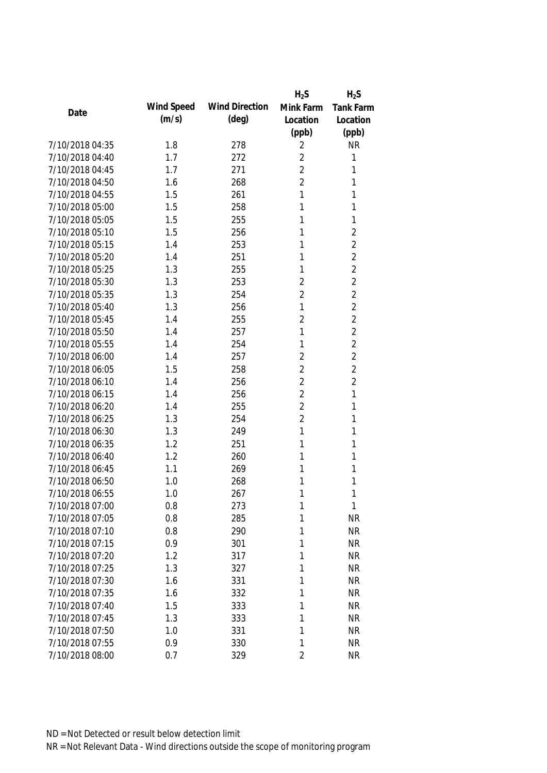|                 |            |                       | $H_2S$         | $H_2S$           |
|-----------------|------------|-----------------------|----------------|------------------|
|                 | Wind Speed | <b>Wind Direction</b> | Mink Farm      | <b>Tank Farm</b> |
| Date            | (m/s)      | $(\text{deg})$        | Location       | Location         |
|                 |            |                       | (ppb)          | (ppb)            |
| 7/10/2018 04:35 | 1.8        | 278                   | 2              | <b>NR</b>        |
| 7/10/2018 04:40 | 1.7        | 272                   | $\overline{2}$ | 1                |
| 7/10/2018 04:45 | 1.7        | 271                   | $\overline{2}$ | 1                |
| 7/10/2018 04:50 | 1.6        | 268                   | $\overline{2}$ | 1                |
| 7/10/2018 04:55 | 1.5        | 261                   | 1              | 1                |
| 7/10/2018 05:00 | 1.5        | 258                   | 1              | 1                |
| 7/10/2018 05:05 | 1.5        | 255                   | 1              | 1                |
| 7/10/2018 05:10 | 1.5        | 256                   | 1              | $\overline{2}$   |
| 7/10/2018 05:15 | 1.4        | 253                   | 1              | $\overline{2}$   |
| 7/10/2018 05:20 | 1.4        | 251                   | 1              | $\overline{2}$   |
| 7/10/2018 05:25 | 1.3        | 255                   | 1              | $\overline{2}$   |
| 7/10/2018 05:30 | 1.3        | 253                   | $\overline{2}$ | $\overline{2}$   |
| 7/10/2018 05:35 | 1.3        | 254                   | $\overline{2}$ | $\overline{2}$   |
| 7/10/2018 05:40 | 1.3        | 256                   | 1              | $\overline{2}$   |
| 7/10/2018 05:45 | 1.4        | 255                   | $\overline{2}$ | $\overline{2}$   |
| 7/10/2018 05:50 | 1.4        | 257                   | 1              | $\overline{2}$   |
| 7/10/2018 05:55 | 1.4        | 254                   | 1              | $\overline{2}$   |
| 7/10/2018 06:00 | 1.4        | 257                   | $\overline{2}$ | $\overline{2}$   |
| 7/10/2018 06:05 | 1.5        | 258                   | $\overline{2}$ | $\overline{2}$   |
| 7/10/2018 06:10 | 1.4        | 256                   | $\overline{2}$ | $\overline{2}$   |
| 7/10/2018 06:15 | 1.4        | 256                   | $\overline{2}$ | 1                |
| 7/10/2018 06:20 | 1.4        | 255                   | $\overline{2}$ | 1                |
| 7/10/2018 06:25 | 1.3        | 254                   | $\overline{2}$ | 1                |
| 7/10/2018 06:30 | 1.3        | 249                   | 1              | 1                |
| 7/10/2018 06:35 | 1.2        | 251                   | 1              | 1                |
| 7/10/2018 06:40 | 1.2        | 260                   | 1              | 1                |
| 7/10/2018 06:45 | 1.1        | 269                   | 1              | 1                |
| 7/10/2018 06:50 | 1.0        | 268                   | 1              | 1                |
| 7/10/2018 06:55 | 1.0        | 267                   | 1              | 1                |
| 7/10/2018 07:00 | 0.8        | 273                   | 1              | 1                |
| 7/10/2018 07:05 | 0.8        | 285                   | 1              | NR               |
| 7/10/2018 07:10 | 0.8        | 290                   | 1              | <b>NR</b>        |
| 7/10/2018 07:15 | 0.9        | 301                   | 1              | <b>NR</b>        |
| 7/10/2018 07:20 | 1.2        | 317                   | 1              | <b>NR</b>        |
| 7/10/2018 07:25 | 1.3        | 327                   | 1              | <b>NR</b>        |
| 7/10/2018 07:30 | 1.6        | 331                   | 1              | <b>NR</b>        |
| 7/10/2018 07:35 | 1.6        | 332                   | 1              | <b>NR</b>        |
| 7/10/2018 07:40 | 1.5        | 333                   | 1              | <b>NR</b>        |
| 7/10/2018 07:45 | 1.3        | 333                   | 1              | <b>NR</b>        |
| 7/10/2018 07:50 | 1.0        | 331                   | 1              | <b>NR</b>        |
| 7/10/2018 07:55 | 0.9        | 330                   | 1              | <b>NR</b>        |
| 7/10/2018 08:00 | 0.7        | 329                   | 2              | <b>NR</b>        |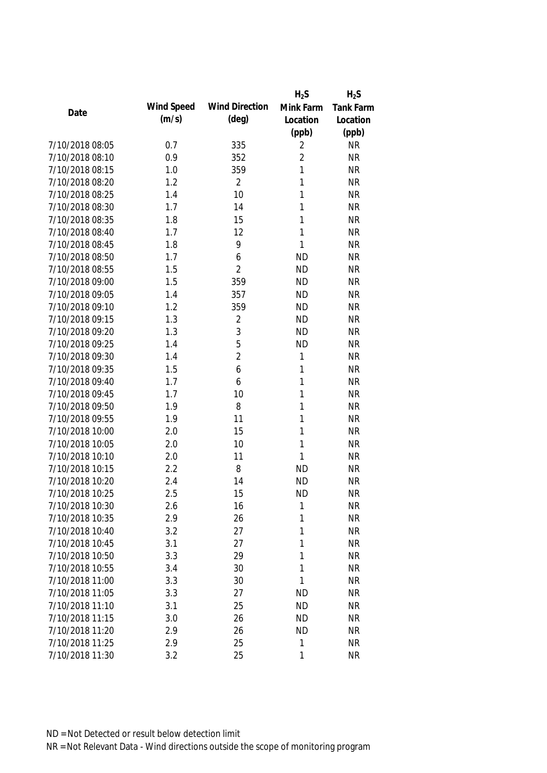|                 |            |                       | $H_2S$         | $H_2S$           |
|-----------------|------------|-----------------------|----------------|------------------|
| Date            | Wind Speed | <b>Wind Direction</b> | Mink Farm      | <b>Tank Farm</b> |
|                 | (m/s)      | $(\text{deg})$        | Location       | Location         |
|                 |            |                       | (ppb)          | (ppb)            |
| 7/10/2018 08:05 | 0.7        | 335                   | 2              | <b>NR</b>        |
| 7/10/2018 08:10 | 0.9        | 352                   | $\overline{2}$ | <b>NR</b>        |
| 7/10/2018 08:15 | 1.0        | 359                   | $\mathbf{1}$   | <b>NR</b>        |
| 7/10/2018 08:20 | 1.2        | $\overline{2}$        | 1              | <b>NR</b>        |
| 7/10/2018 08:25 | 1.4        | 10                    | 1              | <b>NR</b>        |
| 7/10/2018 08:30 | 1.7        | 14                    | 1              | <b>NR</b>        |
| 7/10/2018 08:35 | 1.8        | 15                    | 1              | <b>NR</b>        |
| 7/10/2018 08:40 | 1.7        | 12                    | 1              | <b>NR</b>        |
| 7/10/2018 08:45 | 1.8        | 9                     | 1              | <b>NR</b>        |
| 7/10/2018 08:50 | 1.7        | 6                     | <b>ND</b>      | <b>NR</b>        |
| 7/10/2018 08:55 | 1.5        | $\overline{2}$        | <b>ND</b>      | <b>NR</b>        |
| 7/10/2018 09:00 | 1.5        | 359                   | <b>ND</b>      | <b>NR</b>        |
| 7/10/2018 09:05 | 1.4        | 357                   | <b>ND</b>      | <b>NR</b>        |
| 7/10/2018 09:10 | 1.2        | 359                   | <b>ND</b>      | <b>NR</b>        |
| 7/10/2018 09:15 | 1.3        | $\overline{2}$        | <b>ND</b>      | <b>NR</b>        |
| 7/10/2018 09:20 | 1.3        | 3                     | <b>ND</b>      | <b>NR</b>        |
| 7/10/2018 09:25 | 1.4        | 5                     | <b>ND</b>      | <b>NR</b>        |
| 7/10/2018 09:30 | 1.4        | $\overline{2}$        | 1              | <b>NR</b>        |
| 7/10/2018 09:35 | 1.5        | 6                     | 1              | <b>NR</b>        |
| 7/10/2018 09:40 | 1.7        | 6                     | $\mathbf{1}$   | <b>NR</b>        |
| 7/10/2018 09:45 | 1.7        | 10                    | 1              | <b>NR</b>        |
| 7/10/2018 09:50 | 1.9        | 8                     | 1              | <b>NR</b>        |
| 7/10/2018 09:55 | 1.9        | 11                    | $\mathbf{1}$   | <b>NR</b>        |
| 7/10/2018 10:00 | 2.0        | 15                    | 1              | <b>NR</b>        |
| 7/10/2018 10:05 | 2.0        | 10                    | 1              | <b>NR</b>        |
| 7/10/2018 10:10 | 2.0        | 11                    | 1              | <b>NR</b>        |
| 7/10/2018 10:15 | 2.2        | 8                     | <b>ND</b>      | <b>NR</b>        |
| 7/10/2018 10:20 | 2.4        | 14                    | <b>ND</b>      | <b>NR</b>        |
| 7/10/2018 10:25 | 2.5        | 15                    | <b>ND</b>      | <b>NR</b>        |
| 7/10/2018 10:30 | 2.6        | 16                    | 1              | <b>NR</b>        |
| 7/10/2018 10:35 | 2.9        | 26                    | 1              | <b>NR</b>        |
| 7/10/2018 10:40 | 3.2        | 27                    | 1              | <b>NR</b>        |
| 7/10/2018 10:45 | 3.1        | 27                    | 1              | <b>NR</b>        |
| 7/10/2018 10:50 | 3.3        | 29                    | 1              | <b>NR</b>        |
| 7/10/2018 10:55 | 3.4        | 30                    | 1              | <b>NR</b>        |
| 7/10/2018 11:00 | 3.3        | 30                    | 1              | <b>NR</b>        |
| 7/10/2018 11:05 | 3.3        | 27                    | <b>ND</b>      | <b>NR</b>        |
| 7/10/2018 11:10 | 3.1        | 25                    | <b>ND</b>      | <b>NR</b>        |
| 7/10/2018 11:15 | 3.0        | 26                    | <b>ND</b>      | <b>NR</b>        |
| 7/10/2018 11:20 | 2.9        | 26                    | <b>ND</b>      | <b>NR</b>        |
| 7/10/2018 11:25 | 2.9        | 25                    | 1              | <b>NR</b>        |
| 7/10/2018 11:30 | 3.2        | 25                    | 1              | <b>NR</b>        |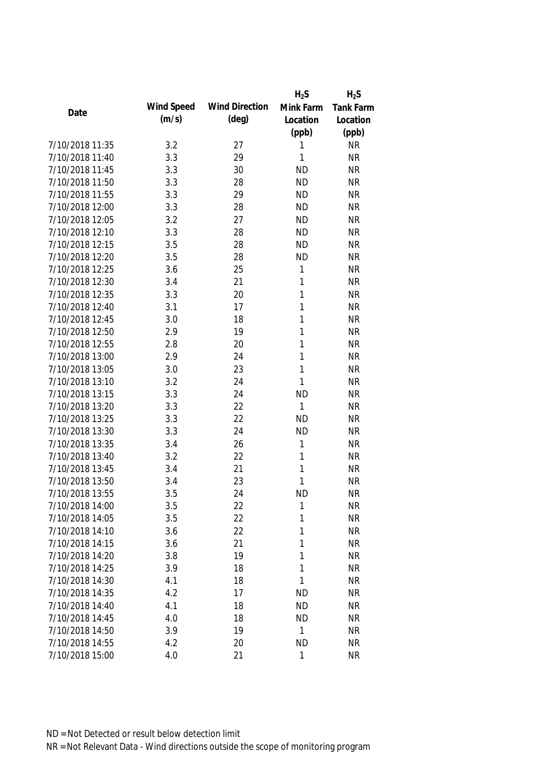|                 |            |                       | $H_2S$       | $H_2S$           |
|-----------------|------------|-----------------------|--------------|------------------|
| Date            | Wind Speed | <b>Wind Direction</b> | Mink Farm    | <b>Tank Farm</b> |
|                 | (m/s)      | $(\text{deg})$        | Location     | Location         |
|                 |            |                       | (ppb)        | (ppb)            |
| 7/10/2018 11:35 | 3.2        | 27                    | 1            | <b>NR</b>        |
| 7/10/2018 11:40 | 3.3        | 29                    | 1            | <b>NR</b>        |
| 7/10/2018 11:45 | 3.3        | 30                    | <b>ND</b>    | <b>NR</b>        |
| 7/10/2018 11:50 | 3.3        | 28                    | <b>ND</b>    | <b>NR</b>        |
| 7/10/2018 11:55 | 3.3        | 29                    | <b>ND</b>    | <b>NR</b>        |
| 7/10/2018 12:00 | 3.3        | 28                    | <b>ND</b>    | <b>NR</b>        |
| 7/10/2018 12:05 | 3.2        | 27                    | <b>ND</b>    | <b>NR</b>        |
| 7/10/2018 12:10 | 3.3        | 28                    | <b>ND</b>    | <b>NR</b>        |
| 7/10/2018 12:15 | 3.5        | 28                    | <b>ND</b>    | <b>NR</b>        |
| 7/10/2018 12:20 | 3.5        | 28                    | <b>ND</b>    | <b>NR</b>        |
| 7/10/2018 12:25 | 3.6        | 25                    | 1            | <b>NR</b>        |
| 7/10/2018 12:30 | 3.4        | 21                    | 1            | <b>NR</b>        |
| 7/10/2018 12:35 | 3.3        | 20                    | 1            | <b>NR</b>        |
| 7/10/2018 12:40 | 3.1        | 17                    | 1            | <b>NR</b>        |
| 7/10/2018 12:45 | 3.0        | 18                    | 1            | <b>NR</b>        |
| 7/10/2018 12:50 | 2.9        | 19                    | 1            | <b>NR</b>        |
| 7/10/2018 12:55 | 2.8        | 20                    | 1            | <b>NR</b>        |
| 7/10/2018 13:00 | 2.9        | 24                    | 1            | <b>NR</b>        |
| 7/10/2018 13:05 | 3.0        | 23                    | 1            | <b>NR</b>        |
| 7/10/2018 13:10 | 3.2        | 24                    | 1            | <b>NR</b>        |
| 7/10/2018 13:15 | 3.3        | 24                    | <b>ND</b>    | <b>NR</b>        |
| 7/10/2018 13:20 | 3.3        | 22                    | $\mathbf{1}$ | <b>NR</b>        |
| 7/10/2018 13:25 | 3.3        | 22                    | <b>ND</b>    | <b>NR</b>        |
| 7/10/2018 13:30 | 3.3        | 24                    | <b>ND</b>    | <b>NR</b>        |
| 7/10/2018 13:35 | 3.4        | 26                    | 1            | <b>NR</b>        |
| 7/10/2018 13:40 | 3.2        | 22                    | 1            | <b>NR</b>        |
| 7/10/2018 13:45 | 3.4        | 21                    | 1            | <b>NR</b>        |
| 7/10/2018 13:50 | 3.4        | 23                    | 1            | <b>NR</b>        |
| 7/10/2018 13:55 | 3.5        | 24                    | <b>ND</b>    | <b>NR</b>        |
| 7/10/2018 14:00 | 3.5        | 22                    | 1            | <b>NR</b>        |
| 7/10/2018 14:05 | 3.5        | 22                    | 1            | <b>NR</b>        |
| 7/10/2018 14:10 | 3.6        | 22                    | 1            | <b>NR</b>        |
| 7/10/2018 14:15 | 3.6        | 21                    | 1            | <b>NR</b>        |
| 7/10/2018 14:20 | 3.8        | 19                    | 1            | <b>NR</b>        |
| 7/10/2018 14:25 | 3.9        | 18                    | 1            | <b>NR</b>        |
| 7/10/2018 14:30 | 4.1        | 18                    | 1            | <b>NR</b>        |
| 7/10/2018 14:35 | 4.2        | 17                    | <b>ND</b>    | <b>NR</b>        |
| 7/10/2018 14:40 | 4.1        | 18                    | <b>ND</b>    | <b>NR</b>        |
| 7/10/2018 14:45 | 4.0        | 18                    | <b>ND</b>    | <b>NR</b>        |
| 7/10/2018 14:50 | 3.9        | 19                    | 1            | <b>NR</b>        |
| 7/10/2018 14:55 | 4.2        | 20                    | <b>ND</b>    | <b>NR</b>        |
| 7/10/2018 15:00 | 4.0        | 21                    | $\mathbf 1$  | <b>NR</b>        |
|                 |            |                       |              |                  |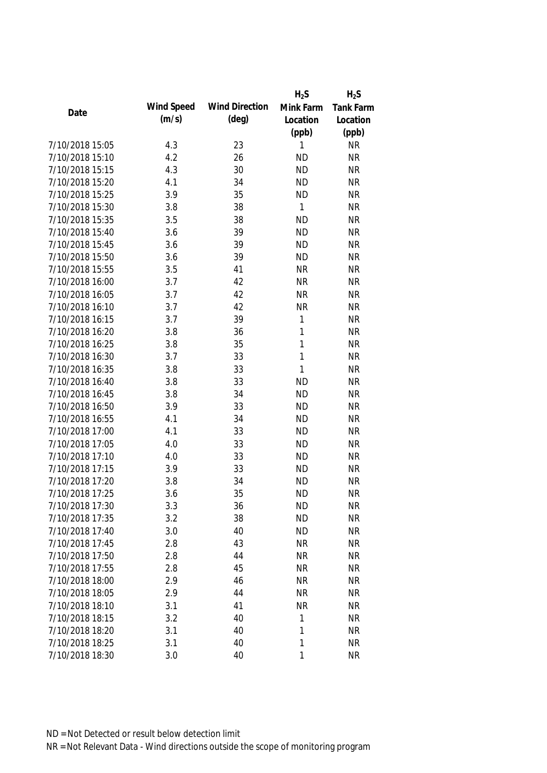|                 |            |                       | $H_2S$       | $H_2S$    |
|-----------------|------------|-----------------------|--------------|-----------|
|                 | Wind Speed | <b>Wind Direction</b> | Mink Farm    | Tank Farm |
| Date            | (m/s)      | $(\text{deg})$        | Location     | Location  |
|                 |            |                       | (ppb)        | (ppb)     |
| 7/10/2018 15:05 | 4.3        | 23                    | 1            | <b>NR</b> |
| 7/10/2018 15:10 | 4.2        | 26                    | <b>ND</b>    | <b>NR</b> |
| 7/10/2018 15:15 | 4.3        | 30                    | <b>ND</b>    | <b>NR</b> |
| 7/10/2018 15:20 | 4.1        | 34                    | <b>ND</b>    | <b>NR</b> |
| 7/10/2018 15:25 | 3.9        | 35                    | <b>ND</b>    | <b>NR</b> |
| 7/10/2018 15:30 | 3.8        | 38                    | 1            | <b>NR</b> |
| 7/10/2018 15:35 | 3.5        | 38                    | <b>ND</b>    | <b>NR</b> |
| 7/10/2018 15:40 | 3.6        | 39                    | <b>ND</b>    | <b>NR</b> |
| 7/10/2018 15:45 | 3.6        | 39                    | <b>ND</b>    | <b>NR</b> |
| 7/10/2018 15:50 | 3.6        | 39                    | <b>ND</b>    | <b>NR</b> |
| 7/10/2018 15:55 | 3.5        | 41                    | <b>NR</b>    | <b>NR</b> |
| 7/10/2018 16:00 | 3.7        | 42                    | <b>NR</b>    | <b>NR</b> |
| 7/10/2018 16:05 | 3.7        | 42                    | <b>NR</b>    | <b>NR</b> |
| 7/10/2018 16:10 | 3.7        | 42                    | <b>NR</b>    | <b>NR</b> |
| 7/10/2018 16:15 | 3.7        | 39                    | $\mathbf 1$  | <b>NR</b> |
| 7/10/2018 16:20 | 3.8        | 36                    | $\mathbf{1}$ | <b>NR</b> |
| 7/10/2018 16:25 | 3.8        | 35                    | $\mathbf{1}$ | <b>NR</b> |
| 7/10/2018 16:30 | 3.7        | 33                    | 1            | <b>NR</b> |
| 7/10/2018 16:35 | 3.8        | 33                    | 1            | <b>NR</b> |
| 7/10/2018 16:40 | 3.8        | 33                    | <b>ND</b>    | <b>NR</b> |
| 7/10/2018 16:45 | 3.8        | 34                    | <b>ND</b>    | <b>NR</b> |
| 7/10/2018 16:50 | 3.9        | 33                    | <b>ND</b>    | <b>NR</b> |
| 7/10/2018 16:55 | 4.1        | 34                    | <b>ND</b>    | <b>NR</b> |
| 7/10/2018 17:00 | 4.1        | 33                    | <b>ND</b>    | <b>NR</b> |
| 7/10/2018 17:05 | 4.0        | 33                    | <b>ND</b>    | <b>NR</b> |
| 7/10/2018 17:10 | 4.0        | 33                    | <b>ND</b>    | <b>NR</b> |
| 7/10/2018 17:15 | 3.9        | 33                    | <b>ND</b>    | <b>NR</b> |
| 7/10/2018 17:20 | 3.8        | 34                    | <b>ND</b>    | <b>NR</b> |
| 7/10/2018 17:25 | 3.6        | 35                    | <b>ND</b>    | <b>NR</b> |
| 7/10/2018 17:30 | 3.3        | 36                    | <b>ND</b>    | <b>NR</b> |
| 7/10/2018 17:35 | 3.2        | 38                    | <b>ND</b>    | <b>NR</b> |
| 7/10/2018 17:40 | 3.0        | 40                    | <b>ND</b>    | <b>NR</b> |
| 7/10/2018 17:45 | 2.8        | 43                    | <b>NR</b>    | <b>NR</b> |
| 7/10/2018 17:50 | 2.8        | 44                    | <b>NR</b>    | <b>NR</b> |
| 7/10/2018 17:55 | 2.8        | 45                    | <b>NR</b>    | <b>NR</b> |
| 7/10/2018 18:00 | 2.9        | 46                    | <b>NR</b>    | <b>NR</b> |
| 7/10/2018 18:05 | 2.9        | 44                    | <b>NR</b>    | <b>NR</b> |
| 7/10/2018 18:10 | 3.1        | 41                    | <b>NR</b>    | <b>NR</b> |
| 7/10/2018 18:15 | 3.2        | 40                    | 1            | <b>NR</b> |
| 7/10/2018 18:20 | 3.1        | 40                    | 1            | <b>NR</b> |
| 7/10/2018 18:25 | 3.1        | 40                    | 1            | <b>NR</b> |
| 7/10/2018 18:30 | 3.0        | 40                    | 1            | <b>NR</b> |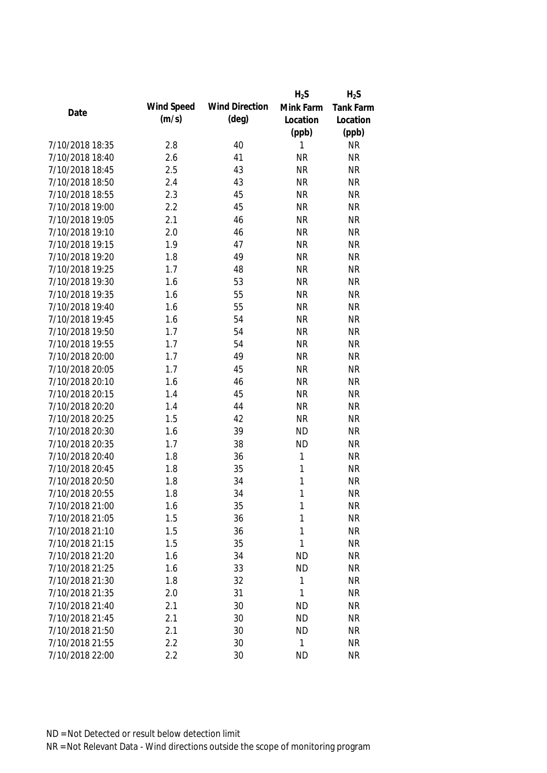|                 |            |                       | $H_2S$       | $H_2S$    |
|-----------------|------------|-----------------------|--------------|-----------|
| Date            | Wind Speed | <b>Wind Direction</b> | Mink Farm    | Tank Farm |
|                 | (m/s)      | $(\text{deg})$        | Location     | Location  |
|                 |            |                       | (ppb)        | (ppb)     |
| 7/10/2018 18:35 | 2.8        | 40                    | 1            | <b>NR</b> |
| 7/10/2018 18:40 | 2.6        | 41                    | <b>NR</b>    | <b>NR</b> |
| 7/10/2018 18:45 | 2.5        | 43                    | <b>NR</b>    | <b>NR</b> |
| 7/10/2018 18:50 | 2.4        | 43                    | <b>NR</b>    | <b>NR</b> |
| 7/10/2018 18:55 | 2.3        | 45                    | <b>NR</b>    | <b>NR</b> |
| 7/10/2018 19:00 | 2.2        | 45                    | <b>NR</b>    | <b>NR</b> |
| 7/10/2018 19:05 | 2.1        | 46                    | <b>NR</b>    | <b>NR</b> |
| 7/10/2018 19:10 | 2.0        | 46                    | <b>NR</b>    | <b>NR</b> |
| 7/10/2018 19:15 | 1.9        | 47                    | <b>NR</b>    | <b>NR</b> |
| 7/10/2018 19:20 | 1.8        | 49                    | <b>NR</b>    | <b>NR</b> |
| 7/10/2018 19:25 | 1.7        | 48                    | <b>NR</b>    | <b>NR</b> |
| 7/10/2018 19:30 | 1.6        | 53                    | <b>NR</b>    | <b>NR</b> |
| 7/10/2018 19:35 | 1.6        | 55                    | <b>NR</b>    | <b>NR</b> |
| 7/10/2018 19:40 | 1.6        | 55                    | <b>NR</b>    | <b>NR</b> |
| 7/10/2018 19:45 | 1.6        | 54                    | <b>NR</b>    | <b>NR</b> |
| 7/10/2018 19:50 | 1.7        | 54                    | <b>NR</b>    | <b>NR</b> |
| 7/10/2018 19:55 | 1.7        | 54                    | <b>NR</b>    | <b>NR</b> |
| 7/10/2018 20:00 | 1.7        | 49                    | <b>NR</b>    | <b>NR</b> |
| 7/10/2018 20:05 | 1.7        | 45                    | <b>NR</b>    | <b>NR</b> |
| 7/10/2018 20:10 | 1.6        | 46                    | <b>NR</b>    | <b>NR</b> |
| 7/10/2018 20:15 | 1.4        | 45                    | <b>NR</b>    | <b>NR</b> |
| 7/10/2018 20:20 | 1.4        | 44                    | <b>NR</b>    | <b>NR</b> |
| 7/10/2018 20:25 | 1.5        | 42                    | <b>NR</b>    | <b>NR</b> |
| 7/10/2018 20:30 | 1.6        | 39                    | <b>ND</b>    | <b>NR</b> |
| 7/10/2018 20:35 | 1.7        | 38                    | <b>ND</b>    | <b>NR</b> |
| 7/10/2018 20:40 | 1.8        | 36                    | $\mathbf{1}$ | <b>NR</b> |
| 7/10/2018 20:45 | 1.8        | 35                    | 1            | <b>NR</b> |
| 7/10/2018 20:50 | 1.8        | 34                    | 1            | <b>NR</b> |
| 7/10/2018 20:55 | 1.8        | 34                    | 1            | <b>NR</b> |
| 7/10/2018 21:00 | 1.6        | 35                    | 1            | <b>NR</b> |
| 7/10/2018 21:05 | 1.5        | 36                    | 1            | <b>NR</b> |
| 7/10/2018 21:10 | 1.5        | 36                    | 1            | <b>NR</b> |
| 7/10/2018 21:15 | 1.5        | 35                    | 1            | <b>NR</b> |
| 7/10/2018 21:20 | 1.6        | 34                    | <b>ND</b>    | <b>NR</b> |
| 7/10/2018 21:25 | 1.6        | 33                    | <b>ND</b>    | <b>NR</b> |
| 7/10/2018 21:30 | 1.8        | 32                    | 1            | <b>NR</b> |
| 7/10/2018 21:35 | 2.0        | 31                    | 1            | <b>NR</b> |
| 7/10/2018 21:40 | 2.1        | 30                    | <b>ND</b>    | <b>NR</b> |
| 7/10/2018 21:45 | 2.1        | 30                    | <b>ND</b>    | <b>NR</b> |
| 7/10/2018 21:50 | 2.1        | 30                    | <b>ND</b>    | <b>NR</b> |
| 7/10/2018 21:55 | 2.2        | 30                    | $\mathbf{1}$ | <b>NR</b> |
| 7/10/2018 22:00 | 2.2        | 30                    | <b>ND</b>    | <b>NR</b> |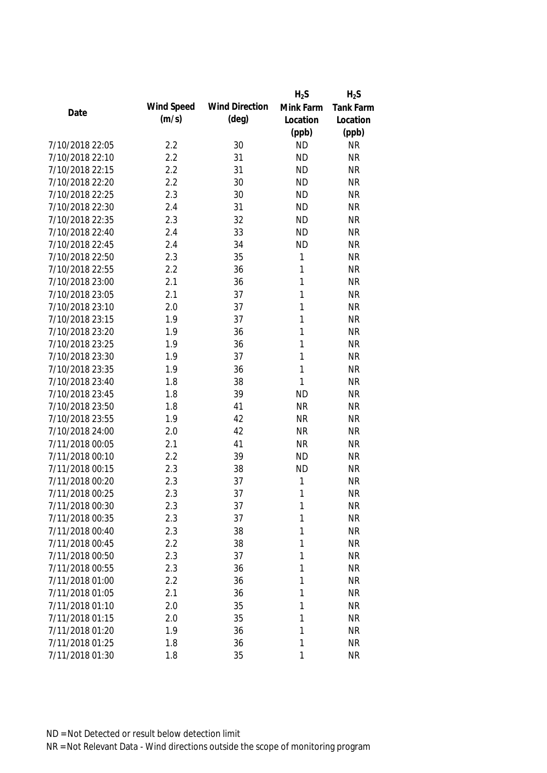|                 |            |                       | $H_2S$       | $H_2S$           |
|-----------------|------------|-----------------------|--------------|------------------|
|                 | Wind Speed | <b>Wind Direction</b> | Mink Farm    | <b>Tank Farm</b> |
| Date            | (m/s)      | $(\text{deg})$        | Location     | Location         |
|                 |            |                       | (ppb)        | (ppb)            |
| 7/10/2018 22:05 | 2.2        | 30                    | <b>ND</b>    | <b>NR</b>        |
| 7/10/2018 22:10 | 2.2        | 31                    | <b>ND</b>    | <b>NR</b>        |
| 7/10/2018 22:15 | 2.2        | 31                    | <b>ND</b>    | <b>NR</b>        |
| 7/10/2018 22:20 | 2.2        | 30                    | <b>ND</b>    | <b>NR</b>        |
| 7/10/2018 22:25 | 2.3        | 30                    | <b>ND</b>    | <b>NR</b>        |
| 7/10/2018 22:30 | 2.4        | 31                    | <b>ND</b>    | <b>NR</b>        |
| 7/10/2018 22:35 | 2.3        | 32                    | <b>ND</b>    | <b>NR</b>        |
| 7/10/2018 22:40 | 2.4        | 33                    | <b>ND</b>    | <b>NR</b>        |
| 7/10/2018 22:45 | 2.4        | 34                    | <b>ND</b>    | <b>NR</b>        |
| 7/10/2018 22:50 | 2.3        | 35                    | 1            | <b>NR</b>        |
| 7/10/2018 22:55 | 2.2        | 36                    | 1            | <b>NR</b>        |
| 7/10/2018 23:00 | 2.1        | 36                    | 1            | <b>NR</b>        |
| 7/10/2018 23:05 | 2.1        | 37                    | 1            | <b>NR</b>        |
| 7/10/2018 23:10 | 2.0        | 37                    | 1            | <b>NR</b>        |
| 7/10/2018 23:15 | 1.9        | 37                    | 1            | <b>NR</b>        |
| 7/10/2018 23:20 | 1.9        | 36                    | $\mathbf{1}$ | <b>NR</b>        |
| 7/10/2018 23:25 | 1.9        | 36                    | 1            | <b>NR</b>        |
| 7/10/2018 23:30 | 1.9        | 37                    | 1            | <b>NR</b>        |
| 7/10/2018 23:35 | 1.9        | 36                    | 1            | <b>NR</b>        |
| 7/10/2018 23:40 | 1.8        | 38                    | 1            | <b>NR</b>        |
| 7/10/2018 23:45 | 1.8        | 39                    | <b>ND</b>    | <b>NR</b>        |
| 7/10/2018 23:50 | 1.8        | 41                    | <b>NR</b>    | <b>NR</b>        |
| 7/10/2018 23:55 | 1.9        | 42                    | <b>NR</b>    | <b>NR</b>        |
| 7/10/2018 24:00 | 2.0        | 42                    | <b>NR</b>    | <b>NR</b>        |
| 7/11/2018 00:05 | 2.1        | 41                    | <b>NR</b>    | <b>NR</b>        |
| 7/11/2018 00:10 | 2.2        | 39                    | <b>ND</b>    | <b>NR</b>        |
| 7/11/2018 00:15 | 2.3        | 38                    | <b>ND</b>    | <b>NR</b>        |
| 7/11/2018 00:20 | 2.3        | 37                    | 1            | <b>NR</b>        |
| 7/11/2018 00:25 | 2.3        | 37                    | 1            | <b>NR</b>        |
| 7/11/2018 00:30 | 2.3        | 37                    | 1            | NR               |
| 7/11/2018 00:35 | 2.3        | 37                    | 1            | <b>NR</b>        |
| 7/11/2018 00:40 | 2.3        | 38                    | 1            | <b>NR</b>        |
| 7/11/2018 00:45 | 2.2        | 38                    | 1            | <b>NR</b>        |
| 7/11/2018 00:50 | 2.3        | 37                    | 1            | <b>NR</b>        |
| 7/11/2018 00:55 | 2.3        | 36                    | 1            | <b>NR</b>        |
| 7/11/2018 01:00 | 2.2        | 36                    | 1            | <b>NR</b>        |
| 7/11/2018 01:05 | 2.1        | 36                    | 1            | <b>NR</b>        |
| 7/11/2018 01:10 | 2.0        | 35                    | 1            | <b>NR</b>        |
| 7/11/2018 01:15 | 2.0        | 35                    | 1            | <b>NR</b>        |
| 7/11/2018 01:20 | 1.9        | 36                    | 1            | <b>NR</b>        |
| 7/11/2018 01:25 | 1.8        | 36                    | 1            | <b>NR</b>        |
| 7/11/2018 01:30 | 1.8        | 35                    | 1            | <b>NR</b>        |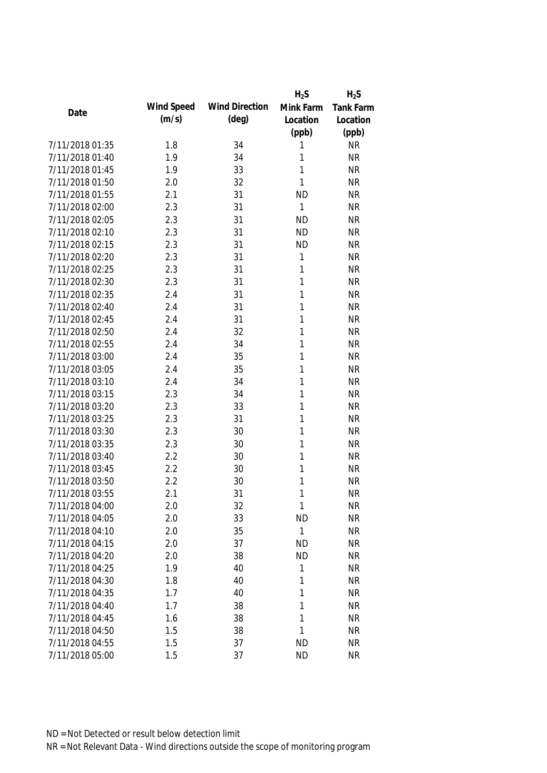|                 |            |                       | $H_2S$    | $H_2S$           |
|-----------------|------------|-----------------------|-----------|------------------|
| Date            | Wind Speed | <b>Wind Direction</b> | Mink Farm | <b>Tank Farm</b> |
|                 | (m/s)      | $(\text{deg})$        | Location  | Location         |
|                 |            |                       | (ppb)     | (ppb)            |
| 7/11/2018 01:35 | 1.8        | 34                    | 1         | <b>NR</b>        |
| 7/11/2018 01:40 | 1.9        | 34                    | 1         | <b>NR</b>        |
| 7/11/2018 01:45 | 1.9        | 33                    | 1         | <b>NR</b>        |
| 7/11/2018 01:50 | 2.0        | 32                    | 1         | <b>NR</b>        |
| 7/11/2018 01:55 | 2.1        | 31                    | <b>ND</b> | <b>NR</b>        |
| 7/11/2018 02:00 | 2.3        | 31                    | 1         | <b>NR</b>        |
| 7/11/2018 02:05 | 2.3        | 31                    | <b>ND</b> | <b>NR</b>        |
| 7/11/2018 02:10 | 2.3        | 31                    | <b>ND</b> | <b>NR</b>        |
| 7/11/2018 02:15 | 2.3        | 31                    | <b>ND</b> | <b>NR</b>        |
| 7/11/2018 02:20 | 2.3        | 31                    | 1         | <b>NR</b>        |
| 7/11/2018 02:25 | 2.3        | 31                    | 1         | <b>NR</b>        |
| 7/11/2018 02:30 | 2.3        | 31                    | 1         | <b>NR</b>        |
| 7/11/2018 02:35 | 2.4        | 31                    | 1         | <b>NR</b>        |
| 7/11/2018 02:40 | 2.4        | 31                    | 1         | <b>NR</b>        |
| 7/11/2018 02:45 | 2.4        | 31                    | 1         | <b>NR</b>        |
| 7/11/2018 02:50 | 2.4        | 32                    | 1         | <b>NR</b>        |
| 7/11/2018 02:55 | 2.4        | 34                    | 1         | <b>NR</b>        |
| 7/11/2018 03:00 | 2.4        | 35                    | 1         | <b>NR</b>        |
| 7/11/2018 03:05 | 2.4        | 35                    | 1         | <b>NR</b>        |
| 7/11/2018 03:10 | 2.4        | 34                    | 1         | <b>NR</b>        |
| 7/11/2018 03:15 | 2.3        | 34                    | 1         | <b>NR</b>        |
| 7/11/2018 03:20 | 2.3        | 33                    | 1         | <b>NR</b>        |
| 7/11/2018 03:25 | 2.3        | 31                    | 1         | <b>NR</b>        |
| 7/11/2018 03:30 | 2.3        | 30                    | 1         | <b>NR</b>        |
| 7/11/2018 03:35 | 2.3        | 30                    | 1         | <b>NR</b>        |
| 7/11/2018 03:40 | 2.2        | 30                    | 1         | <b>NR</b>        |
| 7/11/2018 03:45 | 2.2        | 30                    | 1         | <b>NR</b>        |
| 7/11/2018 03:50 | 2.2        | 30                    | 1         | <b>NR</b>        |
| 7/11/2018 03:55 | 2.1        | 31                    | 1         | <b>NR</b>        |
| 7/11/2018 04:00 | 2.0        | 32                    | 1         | <b>NR</b>        |
| 7/11/2018 04:05 | 2.0        | 33                    | <b>ND</b> | <b>NR</b>        |
| 7/11/2018 04:10 | 2.0        | 35                    | 1         | <b>NR</b>        |
| 7/11/2018 04:15 | 2.0        | 37                    | <b>ND</b> | <b>NR</b>        |
| 7/11/2018 04:20 | 2.0        | 38                    | <b>ND</b> | <b>NR</b>        |
| 7/11/2018 04:25 | 1.9        | 40                    | 1         | <b>NR</b>        |
| 7/11/2018 04:30 | 1.8        | 40                    | 1         | <b>NR</b>        |
| 7/11/2018 04:35 | 1.7        | 40                    | 1         | <b>NR</b>        |
| 7/11/2018 04:40 | 1.7        | 38                    | 1         | <b>NR</b>        |
| 7/11/2018 04:45 | 1.6        | 38                    | 1         | <b>NR</b>        |
| 7/11/2018 04:50 | 1.5        | 38                    | 1         | <b>NR</b>        |
| 7/11/2018 04:55 | 1.5        | 37                    | <b>ND</b> | <b>NR</b>        |
| 7/11/2018 05:00 | 1.5        | 37                    | <b>ND</b> | <b>NR</b>        |
|                 |            |                       |           |                  |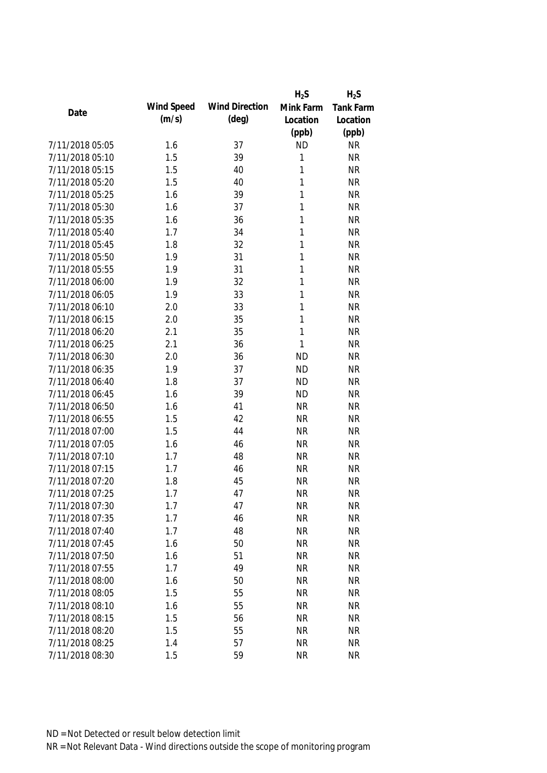|                 |            |                       | $H_2S$    | $H_2S$           |
|-----------------|------------|-----------------------|-----------|------------------|
| Date            | Wind Speed | <b>Wind Direction</b> | Mink Farm | <b>Tank Farm</b> |
|                 | (m/s)      | $(\text{deg})$        | Location  | Location         |
|                 |            |                       | (ppb)     | (ppb)            |
| 7/11/2018 05:05 | 1.6        | 37                    | <b>ND</b> | <b>NR</b>        |
| 7/11/2018 05:10 | 1.5        | 39                    | 1         | <b>NR</b>        |
| 7/11/2018 05:15 | 1.5        | 40                    | 1         | <b>NR</b>        |
| 7/11/2018 05:20 | 1.5        | 40                    | 1         | <b>NR</b>        |
| 7/11/2018 05:25 | 1.6        | 39                    | 1         | <b>NR</b>        |
| 7/11/2018 05:30 | 1.6        | 37                    | 1         | <b>NR</b>        |
| 7/11/2018 05:35 | 1.6        | 36                    | 1         | <b>NR</b>        |
| 7/11/2018 05:40 | 1.7        | 34                    | 1         | <b>NR</b>        |
| 7/11/2018 05:45 | 1.8        | 32                    | 1         | <b>NR</b>        |
| 7/11/2018 05:50 | 1.9        | 31                    | 1         | <b>NR</b>        |
| 7/11/2018 05:55 | 1.9        | 31                    | 1         | <b>NR</b>        |
| 7/11/2018 06:00 | 1.9        | 32                    | 1         | <b>NR</b>        |
| 7/11/2018 06:05 | 1.9        | 33                    | 1         | <b>NR</b>        |
| 7/11/2018 06:10 | 2.0        | 33                    | 1         | <b>NR</b>        |
| 7/11/2018 06:15 | 2.0        | 35                    | 1         | <b>NR</b>        |
| 7/11/2018 06:20 | 2.1        | 35                    | 1         | <b>NR</b>        |
| 7/11/2018 06:25 | 2.1        | 36                    | 1         | <b>NR</b>        |
| 7/11/2018 06:30 | 2.0        | 36                    | <b>ND</b> | <b>NR</b>        |
| 7/11/2018 06:35 | 1.9        | 37                    | <b>ND</b> | <b>NR</b>        |
| 7/11/2018 06:40 | 1.8        | 37                    | <b>ND</b> | <b>NR</b>        |
| 7/11/2018 06:45 | 1.6        | 39                    | <b>ND</b> | <b>NR</b>        |
| 7/11/2018 06:50 | 1.6        | 41                    | <b>NR</b> | <b>NR</b>        |
| 7/11/2018 06:55 | 1.5        | 42                    | <b>NR</b> | <b>NR</b>        |
| 7/11/2018 07:00 | 1.5        | 44                    | <b>NR</b> | <b>NR</b>        |
| 7/11/2018 07:05 | 1.6        | 46                    | <b>NR</b> | <b>NR</b>        |
| 7/11/2018 07:10 | 1.7        | 48                    | <b>NR</b> | <b>NR</b>        |
| 7/11/2018 07:15 | 1.7        | 46                    | <b>NR</b> | <b>NR</b>        |
| 7/11/2018 07:20 | 1.8        | 45                    | <b>NR</b> | <b>NR</b>        |
| 7/11/2018 07:25 | 1.7        | 47                    | <b>NR</b> | <b>NR</b>        |
| 7/11/2018 07:30 | 1.7        | 47                    | <b>NR</b> | NR               |
| 7/11/2018 07:35 | 1.7        | 46                    | <b>NR</b> | <b>NR</b>        |
| 7/11/2018 07:40 | 1.7        | 48                    | <b>NR</b> | <b>NR</b>        |
| 7/11/2018 07:45 | 1.6        | 50                    | <b>NR</b> | <b>NR</b>        |
| 7/11/2018 07:50 | 1.6        | 51                    | <b>NR</b> | <b>NR</b>        |
| 7/11/2018 07:55 | 1.7        | 49                    | <b>NR</b> | <b>NR</b>        |
| 7/11/2018 08:00 | 1.6        | 50                    | <b>NR</b> | <b>NR</b>        |
| 7/11/2018 08:05 | 1.5        | 55                    | <b>NR</b> | <b>NR</b>        |
| 7/11/2018 08:10 | 1.6        | 55                    | <b>NR</b> | <b>NR</b>        |
| 7/11/2018 08:15 | 1.5        | 56                    | <b>NR</b> | <b>NR</b>        |
| 7/11/2018 08:20 | 1.5        | 55                    | <b>NR</b> | <b>NR</b>        |
| 7/11/2018 08:25 | 1.4        | 57                    | <b>NR</b> | <b>NR</b>        |
| 7/11/2018 08:30 | 1.5        | 59                    | <b>NR</b> | <b>NR</b>        |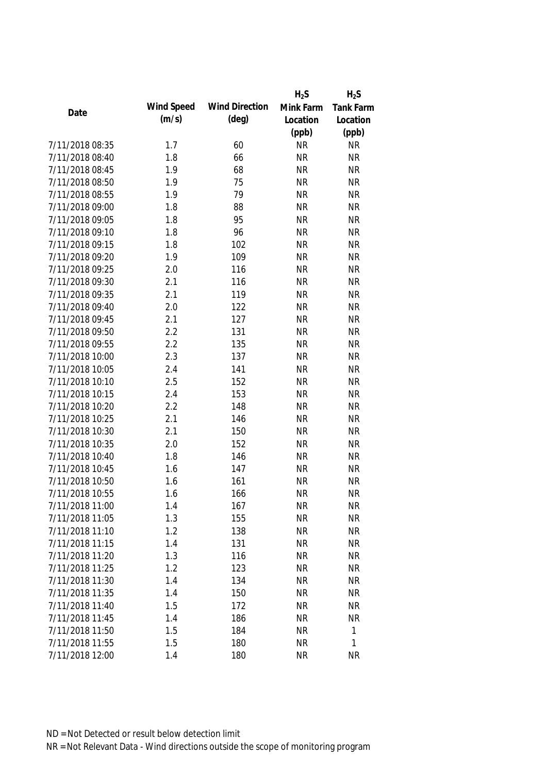|                 |            |                       | $H_2S$    | $H_2S$           |
|-----------------|------------|-----------------------|-----------|------------------|
| Date            | Wind Speed | <b>Wind Direction</b> | Mink Farm | <b>Tank Farm</b> |
|                 | (m/s)      | $(\text{deg})$        | Location  | Location         |
|                 |            |                       | (ppb)     | (ppb)            |
| 7/11/2018 08:35 | 1.7        | 60                    | <b>NR</b> | <b>NR</b>        |
| 7/11/2018 08:40 | 1.8        | 66                    | <b>NR</b> | <b>NR</b>        |
| 7/11/2018 08:45 | 1.9        | 68                    | <b>NR</b> | <b>NR</b>        |
| 7/11/2018 08:50 | 1.9        | 75                    | <b>NR</b> | <b>NR</b>        |
| 7/11/2018 08:55 | 1.9        | 79                    | <b>NR</b> | <b>NR</b>        |
| 7/11/2018 09:00 | 1.8        | 88                    | <b>NR</b> | <b>NR</b>        |
| 7/11/2018 09:05 | 1.8        | 95                    | <b>NR</b> | <b>NR</b>        |
| 7/11/2018 09:10 | 1.8        | 96                    | <b>NR</b> | <b>NR</b>        |
| 7/11/2018 09:15 | 1.8        | 102                   | <b>NR</b> | <b>NR</b>        |
| 7/11/2018 09:20 | 1.9        | 109                   | <b>NR</b> | <b>NR</b>        |
| 7/11/2018 09:25 | 2.0        | 116                   | <b>NR</b> | <b>NR</b>        |
| 7/11/2018 09:30 | 2.1        | 116                   | <b>NR</b> | <b>NR</b>        |
| 7/11/2018 09:35 | 2.1        | 119                   | <b>NR</b> | <b>NR</b>        |
| 7/11/2018 09:40 | 2.0        | 122                   | <b>NR</b> | <b>NR</b>        |
| 7/11/2018 09:45 | 2.1        | 127                   | <b>NR</b> | <b>NR</b>        |
| 7/11/2018 09:50 | 2.2        | 131                   | <b>NR</b> | <b>NR</b>        |
| 7/11/2018 09:55 | 2.2        | 135                   | <b>NR</b> | <b>NR</b>        |
| 7/11/2018 10:00 | 2.3        | 137                   | <b>NR</b> | <b>NR</b>        |
| 7/11/2018 10:05 | 2.4        | 141                   | <b>NR</b> | <b>NR</b>        |
| 7/11/2018 10:10 | 2.5        | 152                   | <b>NR</b> | <b>NR</b>        |
| 7/11/2018 10:15 | 2.4        | 153                   | <b>NR</b> | <b>NR</b>        |
| 7/11/2018 10:20 | 2.2        | 148                   | <b>NR</b> | <b>NR</b>        |
| 7/11/2018 10:25 | 2.1        | 146                   | <b>NR</b> | <b>NR</b>        |
| 7/11/2018 10:30 | 2.1        | 150                   | <b>NR</b> | <b>NR</b>        |
| 7/11/2018 10:35 | 2.0        | 152                   | <b>NR</b> | <b>NR</b>        |
| 7/11/2018 10:40 | 1.8        | 146                   | <b>NR</b> | <b>NR</b>        |
| 7/11/2018 10:45 | 1.6        | 147                   | <b>NR</b> | <b>NR</b>        |
| 7/11/2018 10:50 | 1.6        | 161                   | <b>NR</b> | <b>NR</b>        |
| 7/11/2018 10:55 | 1.6        | 166                   | <b>NR</b> | <b>NR</b>        |
| 7/11/2018 11:00 | 1.4        | 167                   | <b>NR</b> | <b>NR</b>        |
| 7/11/2018 11:05 | 1.3        | 155                   | <b>NR</b> | <b>NR</b>        |
| 7/11/2018 11:10 | 1.2        | 138                   | <b>NR</b> | <b>NR</b>        |
| 7/11/2018 11:15 | 1.4        | 131                   | <b>NR</b> | <b>NR</b>        |
| 7/11/2018 11:20 | 1.3        | 116                   | <b>NR</b> | <b>NR</b>        |
| 7/11/2018 11:25 | 1.2        | 123                   | <b>NR</b> | <b>NR</b>        |
| 7/11/2018 11:30 | 1.4        | 134                   | <b>NR</b> | <b>NR</b>        |
| 7/11/2018 11:35 | 1.4        | 150                   | <b>NR</b> | <b>NR</b>        |
| 7/11/2018 11:40 | 1.5        | 172                   | <b>NR</b> | <b>NR</b>        |
| 7/11/2018 11:45 | 1.4        | 186                   | <b>NR</b> | <b>NR</b>        |
| 7/11/2018 11:50 | 1.5        | 184                   | <b>NR</b> | $\mathbf 1$      |
| 7/11/2018 11:55 | 1.5        | 180                   | <b>NR</b> | 1                |
| 7/11/2018 12:00 | 1.4        | 180                   | <b>NR</b> | <b>NR</b>        |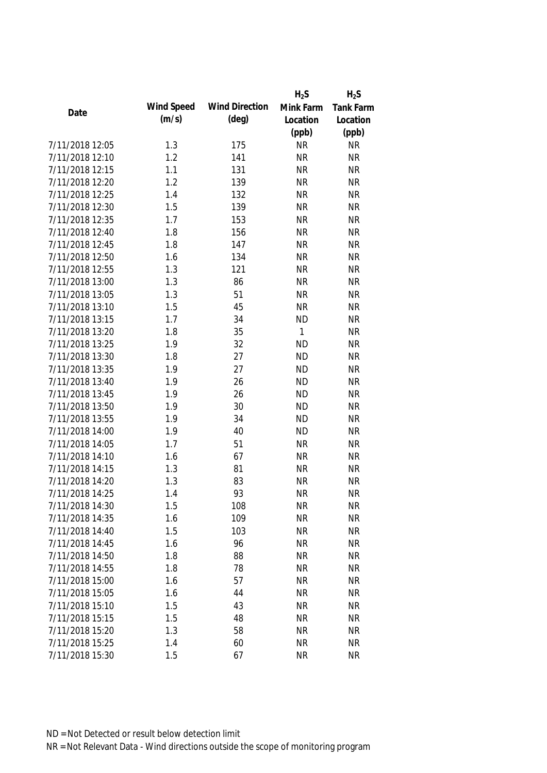|                 |            |                       | $H_2S$    | $H_2S$           |
|-----------------|------------|-----------------------|-----------|------------------|
| Date            | Wind Speed | <b>Wind Direction</b> | Mink Farm | <b>Tank Farm</b> |
|                 | (m/s)      | $(\text{deg})$        | Location  | Location         |
|                 |            |                       | (ppb)     | (ppb)            |
| 7/11/2018 12:05 | 1.3        | 175                   | <b>NR</b> | <b>NR</b>        |
| 7/11/2018 12:10 | 1.2        | 141                   | <b>NR</b> | <b>NR</b>        |
| 7/11/2018 12:15 | 1.1        | 131                   | <b>NR</b> | <b>NR</b>        |
| 7/11/2018 12:20 | 1.2        | 139                   | <b>NR</b> | <b>NR</b>        |
| 7/11/2018 12:25 | 1.4        | 132                   | <b>NR</b> | <b>NR</b>        |
| 7/11/2018 12:30 | 1.5        | 139                   | <b>NR</b> | <b>NR</b>        |
| 7/11/2018 12:35 | 1.7        | 153                   | <b>NR</b> | <b>NR</b>        |
| 7/11/2018 12:40 | 1.8        | 156                   | <b>NR</b> | <b>NR</b>        |
| 7/11/2018 12:45 | 1.8        | 147                   | <b>NR</b> | <b>NR</b>        |
| 7/11/2018 12:50 | 1.6        | 134                   | <b>NR</b> | <b>NR</b>        |
| 7/11/2018 12:55 | 1.3        | 121                   | <b>NR</b> | <b>NR</b>        |
| 7/11/2018 13:00 | 1.3        | 86                    | <b>NR</b> | <b>NR</b>        |
| 7/11/2018 13:05 | 1.3        | 51                    | <b>NR</b> | <b>NR</b>        |
| 7/11/2018 13:10 | 1.5        | 45                    | <b>NR</b> | <b>NR</b>        |
| 7/11/2018 13:15 | 1.7        | 34                    | <b>ND</b> | <b>NR</b>        |
| 7/11/2018 13:20 | 1.8        | 35                    | 1         | <b>NR</b>        |
| 7/11/2018 13:25 | 1.9        | 32                    | <b>ND</b> | <b>NR</b>        |
| 7/11/2018 13:30 | 1.8        | 27                    | <b>ND</b> | <b>NR</b>        |
| 7/11/2018 13:35 | 1.9        | 27                    | <b>ND</b> | <b>NR</b>        |
| 7/11/2018 13:40 | 1.9        | 26                    | <b>ND</b> | <b>NR</b>        |
| 7/11/2018 13:45 | 1.9        | 26                    | <b>ND</b> | <b>NR</b>        |
| 7/11/2018 13:50 | 1.9        | 30                    | <b>ND</b> | <b>NR</b>        |
| 7/11/2018 13:55 | 1.9        | 34                    | <b>ND</b> | <b>NR</b>        |
| 7/11/2018 14:00 | 1.9        | 40                    | <b>ND</b> | <b>NR</b>        |
| 7/11/2018 14:05 | 1.7        | 51                    | <b>NR</b> | <b>NR</b>        |
| 7/11/2018 14:10 | 1.6        | 67                    | <b>NR</b> | <b>NR</b>        |
| 7/11/2018 14:15 | 1.3        | 81                    | <b>NR</b> | <b>NR</b>        |
| 7/11/2018 14:20 | 1.3        | 83                    | <b>NR</b> | <b>NR</b>        |
| 7/11/2018 14:25 | 1.4        | 93                    | <b>NR</b> | <b>NR</b>        |
| 7/11/2018 14:30 | 1.5        | 108                   | <b>NR</b> | NR               |
| 7/11/2018 14:35 | 1.6        | 109                   | <b>NR</b> | <b>NR</b>        |
| 7/11/2018 14:40 | 1.5        | 103                   | <b>NR</b> | <b>NR</b>        |
| 7/11/2018 14:45 | 1.6        | 96                    | <b>NR</b> | <b>NR</b>        |
| 7/11/2018 14:50 | 1.8        | 88                    | <b>NR</b> | <b>NR</b>        |
| 7/11/2018 14:55 | 1.8        | 78                    | <b>NR</b> | <b>NR</b>        |
| 7/11/2018 15:00 | 1.6        | 57                    | <b>NR</b> | <b>NR</b>        |
| 7/11/2018 15:05 | 1.6        | 44                    | <b>NR</b> | <b>NR</b>        |
| 7/11/2018 15:10 | 1.5        | 43                    | <b>NR</b> | <b>NR</b>        |
| 7/11/2018 15:15 | 1.5        | 48                    | <b>NR</b> | <b>NR</b>        |
| 7/11/2018 15:20 | 1.3        | 58                    | <b>NR</b> | <b>NR</b>        |
| 7/11/2018 15:25 | 1.4        | 60                    | <b>NR</b> | <b>NR</b>        |
| 7/11/2018 15:30 | 1.5        | 67                    | <b>NR</b> | <b>NR</b>        |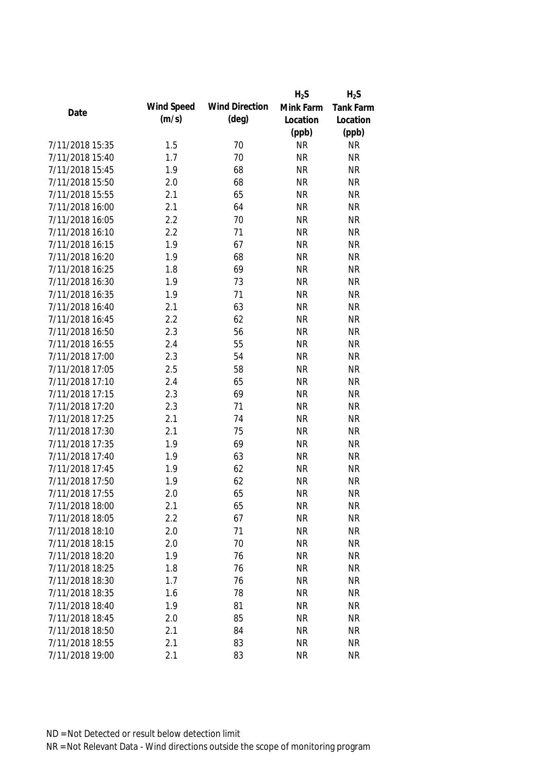|                 |            |                       | $H_2S$    | $H_2S$           |
|-----------------|------------|-----------------------|-----------|------------------|
|                 | Wind Speed | <b>Wind Direction</b> | Mink Farm | <b>Tank Farm</b> |
| Date            | (m/s)      | $(\text{deg})$        | Location  | Location         |
|                 |            |                       | (ppb)     | (ppb)            |
| 7/11/2018 15:35 | 1.5        | 70                    | <b>NR</b> | <b>NR</b>        |
| 7/11/2018 15:40 | 1.7        | 70                    | <b>NR</b> | <b>NR</b>        |
| 7/11/2018 15:45 | 1.9        | 68                    | <b>NR</b> | <b>NR</b>        |
| 7/11/2018 15:50 | 2.0        | 68                    | <b>NR</b> | <b>NR</b>        |
| 7/11/2018 15:55 | 2.1        | 65                    | <b>NR</b> | <b>NR</b>        |
| 7/11/2018 16:00 | 2.1        | 64                    | <b>NR</b> | <b>NR</b>        |
| 7/11/2018 16:05 | 2.2        | 70                    | <b>NR</b> | <b>NR</b>        |
| 7/11/2018 16:10 | 2.2        | 71                    | <b>NR</b> | <b>NR</b>        |
| 7/11/2018 16:15 | 1.9        | 67                    | <b>NR</b> | <b>NR</b>        |
| 7/11/2018 16:20 | 1.9        | 68                    | <b>NR</b> | <b>NR</b>        |
| 7/11/2018 16:25 | 1.8        | 69                    | <b>NR</b> | <b>NR</b>        |
| 7/11/2018 16:30 | 1.9        | 73                    | <b>NR</b> | <b>NR</b>        |
| 7/11/2018 16:35 | 1.9        | 71                    | <b>NR</b> | <b>NR</b>        |
| 7/11/2018 16:40 | 2.1        | 63                    | <b>NR</b> | <b>NR</b>        |
| 7/11/2018 16:45 | 2.2        | 62                    | <b>NR</b> | <b>NR</b>        |
| 7/11/2018 16:50 | 2.3        | 56                    | <b>NR</b> | <b>NR</b>        |
| 7/11/2018 16:55 | 2.4        | 55                    | <b>NR</b> | <b>NR</b>        |
| 7/11/2018 17:00 | 2.3        | 54                    | <b>NR</b> | <b>NR</b>        |
| 7/11/2018 17:05 | 2.5        | 58                    | <b>NR</b> | <b>NR</b>        |
| 7/11/2018 17:10 | 2.4        | 65                    | <b>NR</b> | <b>NR</b>        |
| 7/11/2018 17:15 | 2.3        | 69                    | <b>NR</b> | <b>NR</b>        |
| 7/11/2018 17:20 | 2.3        | 71                    | <b>NR</b> | <b>NR</b>        |
| 7/11/2018 17:25 | 2.1        | 74                    | <b>NR</b> | <b>NR</b>        |
| 7/11/2018 17:30 | 2.1        | 75                    | <b>NR</b> | <b>NR</b>        |
| 7/11/2018 17:35 | 1.9        | 69                    | <b>NR</b> | <b>NR</b>        |
| 7/11/2018 17:40 | 1.9        | 63                    | <b>NR</b> | <b>NR</b>        |
| 7/11/2018 17:45 | 1.9        | 62                    | <b>NR</b> | <b>NR</b>        |
| 7/11/2018 17:50 | 1.9        | 62                    | <b>NR</b> | <b>NR</b>        |
| 7/11/2018 17:55 | 2.0        | 65                    | <b>NR</b> | <b>NR</b>        |
| 7/11/2018 18:00 | 2.1        | 65                    | <b>NR</b> | NR               |
| 7/11/2018 18:05 | 2.2        | 67                    | <b>NR</b> | <b>NR</b>        |
| 7/11/2018 18:10 | 2.0        | 71                    | <b>NR</b> | <b>NR</b>        |
| 7/11/2018 18:15 | 2.0        | 70                    | <b>NR</b> | <b>NR</b>        |
| 7/11/2018 18:20 | 1.9        | 76                    | <b>NR</b> | <b>NR</b>        |
| 7/11/2018 18:25 | 1.8        | 76                    | <b>NR</b> | <b>NR</b>        |
| 7/11/2018 18:30 | 1.7        | 76                    | <b>NR</b> | <b>NR</b>        |
| 7/11/2018 18:35 | 1.6        | 78                    | <b>NR</b> | <b>NR</b>        |
| 7/11/2018 18:40 | 1.9        | 81                    | <b>NR</b> | <b>NR</b>        |
| 7/11/2018 18:45 | 2.0        | 85                    | <b>NR</b> | <b>NR</b>        |
| 7/11/2018 18:50 | 2.1        | 84                    | <b>NR</b> | <b>NR</b>        |
| 7/11/2018 18:55 | 2.1        | 83                    | <b>NR</b> | <b>NR</b>        |
| 7/11/2018 19:00 | 2.1        | 83                    | <b>NR</b> | <b>NR</b>        |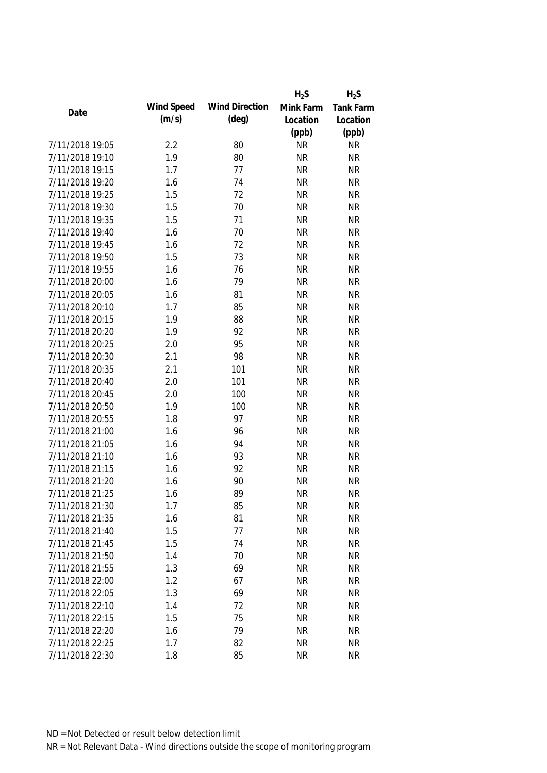|                 |            |                       | $H_2S$    | $H_2S$           |
|-----------------|------------|-----------------------|-----------|------------------|
| Date            | Wind Speed | <b>Wind Direction</b> | Mink Farm | <b>Tank Farm</b> |
|                 | (m/s)      | $(\text{deg})$        | Location  | Location         |
|                 |            |                       | (ppb)     | (ppb)            |
| 7/11/2018 19:05 | 2.2        | 80                    | <b>NR</b> | <b>NR</b>        |
| 7/11/2018 19:10 | 1.9        | 80                    | <b>NR</b> | <b>NR</b>        |
| 7/11/2018 19:15 | 1.7        | 77                    | <b>NR</b> | <b>NR</b>        |
| 7/11/2018 19:20 | 1.6        | 74                    | <b>NR</b> | <b>NR</b>        |
| 7/11/2018 19:25 | 1.5        | 72                    | <b>NR</b> | <b>NR</b>        |
| 7/11/2018 19:30 | 1.5        | 70                    | <b>NR</b> | <b>NR</b>        |
| 7/11/2018 19:35 | 1.5        | 71                    | <b>NR</b> | <b>NR</b>        |
| 7/11/2018 19:40 | 1.6        | 70                    | <b>NR</b> | <b>NR</b>        |
| 7/11/2018 19:45 | 1.6        | 72                    | <b>NR</b> | <b>NR</b>        |
| 7/11/2018 19:50 | 1.5        | 73                    | <b>NR</b> | <b>NR</b>        |
| 7/11/2018 19:55 | 1.6        | 76                    | <b>NR</b> | <b>NR</b>        |
| 7/11/2018 20:00 | 1.6        | 79                    | <b>NR</b> | <b>NR</b>        |
| 7/11/2018 20:05 | 1.6        | 81                    | <b>NR</b> | <b>NR</b>        |
| 7/11/2018 20:10 | 1.7        | 85                    | <b>NR</b> | <b>NR</b>        |
| 7/11/2018 20:15 | 1.9        | 88                    | <b>NR</b> | <b>NR</b>        |
| 7/11/2018 20:20 | 1.9        | 92                    | <b>NR</b> | <b>NR</b>        |
| 7/11/2018 20:25 | 2.0        | 95                    | <b>NR</b> | <b>NR</b>        |
| 7/11/2018 20:30 | 2.1        | 98                    | <b>NR</b> | <b>NR</b>        |
| 7/11/2018 20:35 | 2.1        | 101                   | <b>NR</b> | <b>NR</b>        |
| 7/11/2018 20:40 | 2.0        | 101                   | <b>NR</b> | <b>NR</b>        |
| 7/11/2018 20:45 | 2.0        | 100                   | <b>NR</b> | <b>NR</b>        |
| 7/11/2018 20:50 | 1.9        | 100                   | <b>NR</b> | <b>NR</b>        |
| 7/11/2018 20:55 | 1.8        | 97                    | <b>NR</b> | <b>NR</b>        |
| 7/11/2018 21:00 | 1.6        | 96                    | <b>NR</b> | <b>NR</b>        |
| 7/11/2018 21:05 | 1.6        | 94                    | <b>NR</b> | <b>NR</b>        |
| 7/11/2018 21:10 | 1.6        | 93                    | <b>NR</b> | <b>NR</b>        |
| 7/11/2018 21:15 | 1.6        | 92                    | <b>NR</b> | <b>NR</b>        |
| 7/11/2018 21:20 | 1.6        | 90                    | <b>NR</b> | <b>NR</b>        |
| 7/11/2018 21:25 | 1.6        | 89                    | <b>NR</b> | <b>NR</b>        |
| 7/11/2018 21:30 | 1.7        | 85                    | <b>NR</b> | NR               |
| 7/11/2018 21:35 | 1.6        | 81                    | <b>NR</b> | <b>NR</b>        |
| 7/11/2018 21:40 | 1.5        | 77                    | <b>NR</b> | <b>NR</b>        |
| 7/11/2018 21:45 | 1.5        | 74                    | <b>NR</b> | <b>NR</b>        |
| 7/11/2018 21:50 | 1.4        | 70                    | <b>NR</b> | <b>NR</b>        |
| 7/11/2018 21:55 | 1.3        | 69                    | <b>NR</b> | <b>NR</b>        |
| 7/11/2018 22:00 | 1.2        | 67                    | <b>NR</b> | <b>NR</b>        |
| 7/11/2018 22:05 | 1.3        | 69                    | <b>NR</b> | <b>NR</b>        |
| 7/11/2018 22:10 | 1.4        | 72                    | <b>NR</b> | <b>NR</b>        |
| 7/11/2018 22:15 | 1.5        | 75                    | <b>NR</b> | <b>NR</b>        |
| 7/11/2018 22:20 | 1.6        | 79                    | <b>NR</b> | <b>NR</b>        |
| 7/11/2018 22:25 | 1.7        | 82                    | <b>NR</b> | <b>NR</b>        |
| 7/11/2018 22:30 | 1.8        | 85                    | <b>NR</b> | <b>NR</b>        |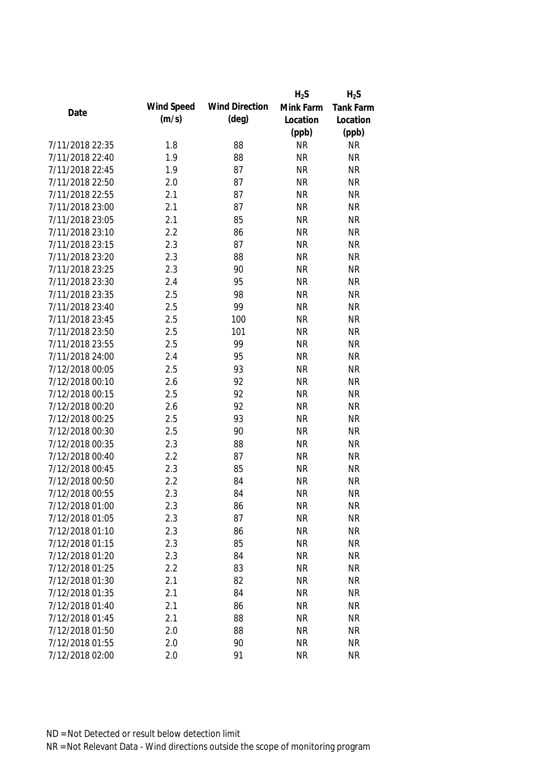|                 |            |                       | $H_2S$    | $H_2S$    |
|-----------------|------------|-----------------------|-----------|-----------|
|                 | Wind Speed | <b>Wind Direction</b> | Mink Farm | Tank Farm |
| Date            | (m/s)      | $(\text{deg})$        | Location  | Location  |
|                 |            |                       | (ppb)     | (ppb)     |
| 7/11/2018 22:35 | 1.8        | 88                    | <b>NR</b> | <b>NR</b> |
| 7/11/2018 22:40 | 1.9        | 88                    | <b>NR</b> | <b>NR</b> |
| 7/11/2018 22:45 | 1.9        | 87                    | <b>NR</b> | <b>NR</b> |
| 7/11/2018 22:50 | 2.0        | 87                    | <b>NR</b> | <b>NR</b> |
| 7/11/2018 22:55 | 2.1        | 87                    | <b>NR</b> | <b>NR</b> |
| 7/11/2018 23:00 | 2.1        | 87                    | <b>NR</b> | <b>NR</b> |
| 7/11/2018 23:05 | 2.1        | 85                    | <b>NR</b> | <b>NR</b> |
| 7/11/2018 23:10 | 2.2        | 86                    | <b>NR</b> | <b>NR</b> |
| 7/11/2018 23:15 | 2.3        | 87                    | <b>NR</b> | <b>NR</b> |
| 7/11/2018 23:20 | 2.3        | 88                    | <b>NR</b> | <b>NR</b> |
| 7/11/2018 23:25 | 2.3        | 90                    | <b>NR</b> | <b>NR</b> |
| 7/11/2018 23:30 | 2.4        | 95                    | <b>NR</b> | <b>NR</b> |
| 7/11/2018 23:35 | 2.5        | 98                    | <b>NR</b> | <b>NR</b> |
| 7/11/2018 23:40 | 2.5        | 99                    | <b>NR</b> | <b>NR</b> |
| 7/11/2018 23:45 | 2.5        | 100                   | <b>NR</b> | <b>NR</b> |
| 7/11/2018 23:50 | 2.5        | 101                   | <b>NR</b> | <b>NR</b> |
| 7/11/2018 23:55 | 2.5        | 99                    | <b>NR</b> | <b>NR</b> |
| 7/11/2018 24:00 | 2.4        | 95                    | <b>NR</b> | <b>NR</b> |
| 7/12/2018 00:05 | 2.5        | 93                    | <b>NR</b> | <b>NR</b> |
| 7/12/2018 00:10 | 2.6        | 92                    | <b>NR</b> | <b>NR</b> |
| 7/12/2018 00:15 | 2.5        | 92                    | <b>NR</b> | <b>NR</b> |
| 7/12/2018 00:20 | 2.6        | 92                    | <b>NR</b> | <b>NR</b> |
| 7/12/2018 00:25 | 2.5        | 93                    | <b>NR</b> | <b>NR</b> |
| 7/12/2018 00:30 | 2.5        | 90                    | <b>NR</b> | <b>NR</b> |
| 7/12/2018 00:35 | 2.3        | 88                    | <b>NR</b> | <b>NR</b> |
| 7/12/2018 00:40 | 2.2        | 87                    | <b>NR</b> | <b>NR</b> |
| 7/12/2018 00:45 | 2.3        | 85                    | <b>NR</b> | <b>NR</b> |
| 7/12/2018 00:50 | 2.2        | 84                    | <b>NR</b> | <b>NR</b> |
| 7/12/2018 00:55 | 2.3        | 84                    | <b>NR</b> | <b>NR</b> |
| 7/12/2018 01:00 | 2.3        | 86                    | <b>NR</b> | <b>NR</b> |
| 7/12/2018 01:05 | 2.3        | 87                    | <b>NR</b> | <b>NR</b> |
| 7/12/2018 01:10 | 2.3        | 86                    | <b>NR</b> | <b>NR</b> |
| 7/12/2018 01:15 | 2.3        | 85                    | <b>NR</b> | <b>NR</b> |
| 7/12/2018 01:20 | 2.3        | 84                    | <b>NR</b> | <b>NR</b> |
| 7/12/2018 01:25 | 2.2        | 83                    | <b>NR</b> | <b>NR</b> |
| 7/12/2018 01:30 | 2.1        | 82                    | <b>NR</b> | <b>NR</b> |
| 7/12/2018 01:35 | 2.1        | 84                    | <b>NR</b> | <b>NR</b> |
| 7/12/2018 01:40 | 2.1        | 86                    | <b>NR</b> | <b>NR</b> |
| 7/12/2018 01:45 | 2.1        | 88                    | <b>NR</b> | <b>NR</b> |
| 7/12/2018 01:50 | 2.0        | 88                    | <b>NR</b> | <b>NR</b> |
| 7/12/2018 01:55 | 2.0        | 90                    | <b>NR</b> | <b>NR</b> |
| 7/12/2018 02:00 | 2.0        | 91                    | <b>NR</b> | <b>NR</b> |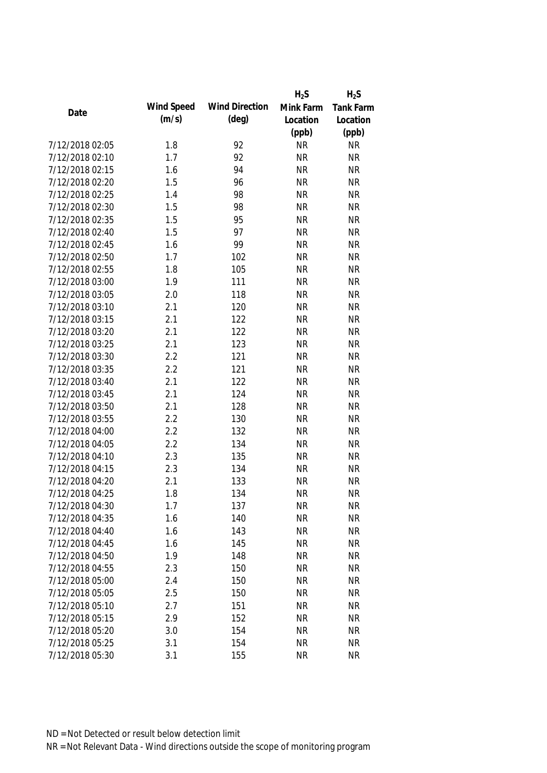|                 |            |                       | $H_2S$    | $H_2S$           |
|-----------------|------------|-----------------------|-----------|------------------|
| Date            | Wind Speed | <b>Wind Direction</b> | Mink Farm | <b>Tank Farm</b> |
|                 | (m/s)      | $(\text{deg})$        | Location  | Location         |
|                 |            |                       | (ppb)     | (ppb)            |
| 7/12/2018 02:05 | 1.8        | 92                    | <b>NR</b> | <b>NR</b>        |
| 7/12/2018 02:10 | 1.7        | 92                    | <b>NR</b> | <b>NR</b>        |
| 7/12/2018 02:15 | 1.6        | 94                    | <b>NR</b> | <b>NR</b>        |
| 7/12/2018 02:20 | 1.5        | 96                    | <b>NR</b> | <b>NR</b>        |
| 7/12/2018 02:25 | 1.4        | 98                    | <b>NR</b> | <b>NR</b>        |
| 7/12/2018 02:30 | 1.5        | 98                    | <b>NR</b> | <b>NR</b>        |
| 7/12/2018 02:35 | 1.5        | 95                    | <b>NR</b> | <b>NR</b>        |
| 7/12/2018 02:40 | 1.5        | 97                    | <b>NR</b> | <b>NR</b>        |
| 7/12/2018 02:45 | 1.6        | 99                    | <b>NR</b> | <b>NR</b>        |
| 7/12/2018 02:50 | 1.7        | 102                   | <b>NR</b> | <b>NR</b>        |
| 7/12/2018 02:55 | 1.8        | 105                   | <b>NR</b> | <b>NR</b>        |
| 7/12/2018 03:00 | 1.9        | 111                   | <b>NR</b> | <b>NR</b>        |
| 7/12/2018 03:05 | 2.0        | 118                   | <b>NR</b> | <b>NR</b>        |
| 7/12/2018 03:10 | 2.1        | 120                   | <b>NR</b> | <b>NR</b>        |
| 7/12/2018 03:15 | 2.1        | 122                   | <b>NR</b> | <b>NR</b>        |
| 7/12/2018 03:20 | 2.1        | 122                   | <b>NR</b> | <b>NR</b>        |
| 7/12/2018 03:25 | 2.1        | 123                   | <b>NR</b> | <b>NR</b>        |
| 7/12/2018 03:30 | 2.2        | 121                   | <b>NR</b> | <b>NR</b>        |
| 7/12/2018 03:35 | 2.2        | 121                   | <b>NR</b> | <b>NR</b>        |
| 7/12/2018 03:40 | 2.1        | 122                   | <b>NR</b> | <b>NR</b>        |
| 7/12/2018 03:45 | 2.1        | 124                   | <b>NR</b> | <b>NR</b>        |
| 7/12/2018 03:50 | 2.1        | 128                   | <b>NR</b> | <b>NR</b>        |
| 7/12/2018 03:55 | 2.2        | 130                   | <b>NR</b> | <b>NR</b>        |
| 7/12/2018 04:00 | 2.2        | 132                   | <b>NR</b> | <b>NR</b>        |
| 7/12/2018 04:05 | 2.2        | 134                   | <b>NR</b> | <b>NR</b>        |
| 7/12/2018 04:10 | 2.3        | 135                   | <b>NR</b> | <b>NR</b>        |
| 7/12/2018 04:15 | 2.3        | 134                   | <b>NR</b> | <b>NR</b>        |
| 7/12/2018 04:20 | 2.1        | 133                   | <b>NR</b> | <b>NR</b>        |
| 7/12/2018 04:25 | 1.8        | 134                   | <b>NR</b> | <b>NR</b>        |
| 7/12/2018 04:30 | 1.7        | 137                   | <b>NR</b> | <b>NR</b>        |
| 7/12/2018 04:35 | 1.6        | 140                   | <b>NR</b> | <b>NR</b>        |
| 7/12/2018 04:40 | 1.6        | 143                   | <b>NR</b> | <b>NR</b>        |
| 7/12/2018 04:45 | 1.6        | 145                   | <b>NR</b> | <b>NR</b>        |
| 7/12/2018 04:50 | 1.9        | 148                   | <b>NR</b> | <b>NR</b>        |
| 7/12/2018 04:55 | 2.3        | 150                   | <b>NR</b> | <b>NR</b>        |
| 7/12/2018 05:00 | 2.4        | 150                   | <b>NR</b> | <b>NR</b>        |
| 7/12/2018 05:05 | 2.5        | 150                   | <b>NR</b> | <b>NR</b>        |
| 7/12/2018 05:10 | 2.7        | 151                   | <b>NR</b> | <b>NR</b>        |
| 7/12/2018 05:15 | 2.9        | 152                   | <b>NR</b> | <b>NR</b>        |
| 7/12/2018 05:20 | 3.0        | 154                   | <b>NR</b> | <b>NR</b>        |
| 7/12/2018 05:25 | 3.1        | 154                   | <b>NR</b> | <b>NR</b>        |
| 7/12/2018 05:30 | 3.1        | 155                   | <b>NR</b> | <b>NR</b>        |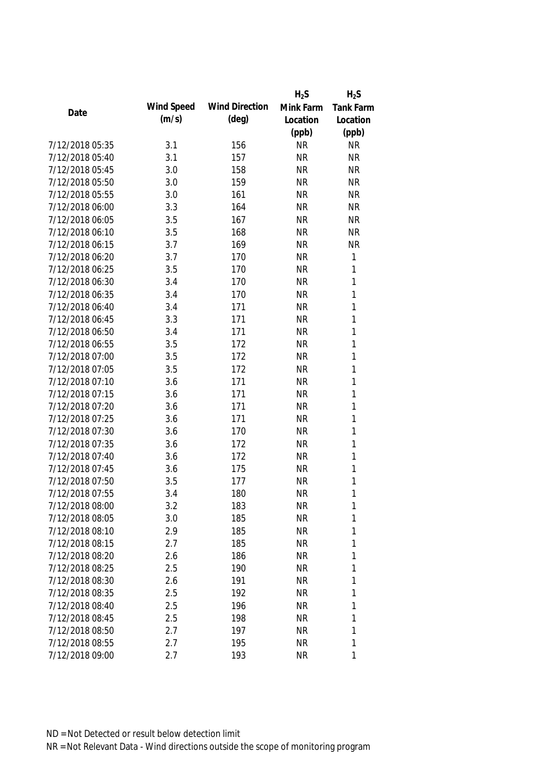|                 |            |                       | $H_2S$    | $H_2S$           |
|-----------------|------------|-----------------------|-----------|------------------|
| Date            | Wind Speed | <b>Wind Direction</b> | Mink Farm | <b>Tank Farm</b> |
|                 | (m/s)      | $(\text{deg})$        | Location  | Location         |
|                 |            |                       | (ppb)     | (ppb)            |
| 7/12/2018 05:35 | 3.1        | 156                   | <b>NR</b> | <b>NR</b>        |
| 7/12/2018 05:40 | 3.1        | 157                   | <b>NR</b> | <b>NR</b>        |
| 7/12/2018 05:45 | 3.0        | 158                   | <b>NR</b> | <b>NR</b>        |
| 7/12/2018 05:50 | 3.0        | 159                   | <b>NR</b> | <b>NR</b>        |
| 7/12/2018 05:55 | 3.0        | 161                   | <b>NR</b> | <b>NR</b>        |
| 7/12/2018 06:00 | 3.3        | 164                   | <b>NR</b> | <b>NR</b>        |
| 7/12/2018 06:05 | 3.5        | 167                   | <b>NR</b> | <b>NR</b>        |
| 7/12/2018 06:10 | 3.5        | 168                   | <b>NR</b> | <b>NR</b>        |
| 7/12/2018 06:15 | 3.7        | 169                   | <b>NR</b> | <b>NR</b>        |
| 7/12/2018 06:20 | 3.7        | 170                   | <b>NR</b> | $\mathbf 1$      |
| 7/12/2018 06:25 | 3.5        | 170                   | <b>NR</b> | $\mathbf{1}$     |
| 7/12/2018 06:30 | 3.4        | 170                   | <b>NR</b> | 1                |
| 7/12/2018 06:35 | 3.4        | 170                   | <b>NR</b> | 1                |
| 7/12/2018 06:40 | 3.4        | 171                   | <b>NR</b> | $\mathbf{1}$     |
| 7/12/2018 06:45 | 3.3        | 171                   | <b>NR</b> | $\mathbf{1}$     |
| 7/12/2018 06:50 | 3.4        | 171                   | <b>NR</b> | $\mathbf{1}$     |
| 7/12/2018 06:55 | 3.5        | 172                   | <b>NR</b> | 1                |
| 7/12/2018 07:00 | 3.5        | 172                   | <b>NR</b> | 1                |
| 7/12/2018 07:05 | 3.5        | 172                   | <b>NR</b> | $\mathbf{1}$     |
| 7/12/2018 07:10 | 3.6        | 171                   | <b>NR</b> | $\mathbf{1}$     |
| 7/12/2018 07:15 | 3.6        | 171                   | <b>NR</b> | 1                |
| 7/12/2018 07:20 | 3.6        | 171                   | <b>NR</b> | $\mathbf{1}$     |
| 7/12/2018 07:25 | 3.6        | 171                   | <b>NR</b> | $\mathbf{1}$     |
| 7/12/2018 07:30 | 3.6        | 170                   | <b>NR</b> | 1                |
| 7/12/2018 07:35 | 3.6        | 172                   | <b>NR</b> | $\mathbf{1}$     |
| 7/12/2018 07:40 | 3.6        | 172                   | <b>NR</b> | $\mathbf{1}$     |
| 7/12/2018 07:45 | 3.6        | 175                   | <b>NR</b> | 1                |
| 7/12/2018 07:50 | 3.5        | 177                   | <b>NR</b> | 1                |
| 7/12/2018 07:55 | 3.4        | 180                   | <b>NR</b> | 1                |
| 7/12/2018 08:00 | 3.2        | 183                   | <b>NR</b> | 1                |
| 7/12/2018 08:05 | 3.0        | 185                   | <b>NR</b> | 1                |
| 7/12/2018 08:10 | 2.9        | 185                   | <b>NR</b> | 1                |
| 7/12/2018 08:15 | 2.7        | 185                   | <b>NR</b> | 1                |
| 7/12/2018 08:20 | 2.6        | 186                   | <b>NR</b> | $\mathbf 1$      |
| 7/12/2018 08:25 | 2.5        | 190                   | <b>NR</b> | 1                |
| 7/12/2018 08:30 | 2.6        | 191                   | <b>NR</b> | 1                |
| 7/12/2018 08:35 | 2.5        | 192                   | <b>NR</b> | $\mathbf{1}$     |
| 7/12/2018 08:40 | 2.5        | 196                   | <b>NR</b> | 1                |
| 7/12/2018 08:45 | 2.5        | 198                   | <b>NR</b> | 1                |
| 7/12/2018 08:50 | 2.7        | 197                   | <b>NR</b> | 1                |
| 7/12/2018 08:55 | 2.7        | 195                   | <b>NR</b> | 1                |
| 7/12/2018 09:00 | 2.7        | 193                   | <b>NR</b> | 1                |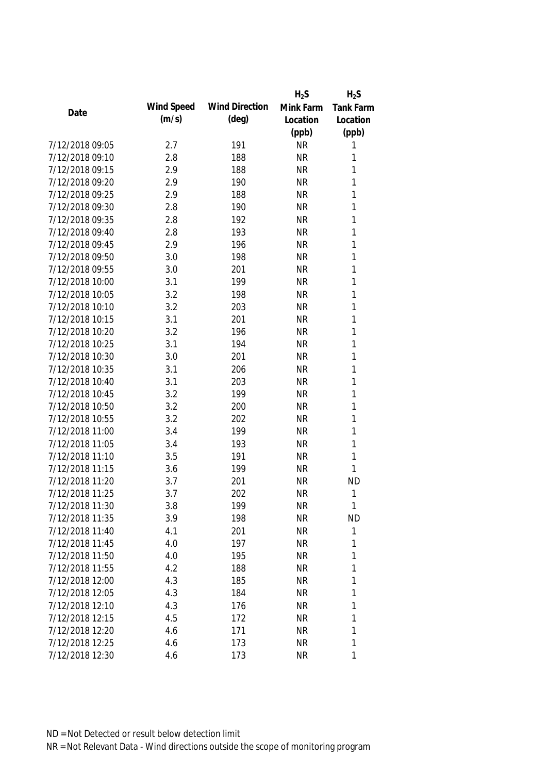|                 |            |                       | $H_2S$    | $H_2S$           |
|-----------------|------------|-----------------------|-----------|------------------|
| Date            | Wind Speed | <b>Wind Direction</b> | Mink Farm | <b>Tank Farm</b> |
|                 | (m/s)      | $(\text{deg})$        | Location  | Location         |
|                 |            |                       | (ppb)     | (ppb)            |
| 7/12/2018 09:05 | 2.7        | 191                   | <b>NR</b> | 1                |
| 7/12/2018 09:10 | 2.8        | 188                   | <b>NR</b> | 1                |
| 7/12/2018 09:15 | 2.9        | 188                   | <b>NR</b> | 1                |
| 7/12/2018 09:20 | 2.9        | 190                   | <b>NR</b> | 1                |
| 7/12/2018 09:25 | 2.9        | 188                   | <b>NR</b> | 1                |
| 7/12/2018 09:30 | 2.8        | 190                   | <b>NR</b> | 1                |
| 7/12/2018 09:35 | 2.8        | 192                   | <b>NR</b> | 1                |
| 7/12/2018 09:40 | 2.8        | 193                   | <b>NR</b> | 1                |
| 7/12/2018 09:45 | 2.9        | 196                   | <b>NR</b> | 1                |
| 7/12/2018 09:50 | 3.0        | 198                   | <b>NR</b> | 1                |
| 7/12/2018 09:55 | 3.0        | 201                   | <b>NR</b> | 1                |
| 7/12/2018 10:00 | 3.1        | 199                   | <b>NR</b> | 1                |
| 7/12/2018 10:05 | 3.2        | 198                   | <b>NR</b> | 1                |
| 7/12/2018 10:10 | 3.2        | 203                   | <b>NR</b> | 1                |
| 7/12/2018 10:15 | 3.1        | 201                   | <b>NR</b> | 1                |
| 7/12/2018 10:20 | 3.2        | 196                   | <b>NR</b> | 1                |
| 7/12/2018 10:25 | 3.1        | 194                   | <b>NR</b> | 1                |
| 7/12/2018 10:30 | 3.0        | 201                   | <b>NR</b> | 1                |
| 7/12/2018 10:35 | 3.1        | 206                   | <b>NR</b> | 1                |
| 7/12/2018 10:40 | 3.1        | 203                   | <b>NR</b> | 1                |
| 7/12/2018 10:45 | 3.2        | 199                   | <b>NR</b> | 1                |
| 7/12/2018 10:50 | 3.2        | 200                   | <b>NR</b> | 1                |
| 7/12/2018 10:55 | 3.2        | 202                   | <b>NR</b> | 1                |
| 7/12/2018 11:00 | 3.4        | 199                   | <b>NR</b> | 1                |
| 7/12/2018 11:05 | 3.4        | 193                   | <b>NR</b> | 1                |
| 7/12/2018 11:10 | 3.5        | 191                   | <b>NR</b> | 1                |
| 7/12/2018 11:15 | 3.6        | 199                   | <b>NR</b> | 1                |
| 7/12/2018 11:20 | 3.7        | 201                   | <b>NR</b> | <b>ND</b>        |
| 7/12/2018 11:25 | 3.7        | 202                   | <b>NR</b> | 1                |
| 7/12/2018 11:30 | 3.8        | 199                   | <b>NR</b> | 1                |
| 7/12/2018 11:35 | 3.9        | 198                   | <b>NR</b> | <b>ND</b>        |
| 7/12/2018 11:40 | 4.1        | 201                   | <b>NR</b> | 1                |
| 7/12/2018 11:45 | 4.0        | 197                   | <b>NR</b> | 1                |
| 7/12/2018 11:50 | 4.0        | 195                   | <b>NR</b> | 1                |
| 7/12/2018 11:55 | 4.2        | 188                   | <b>NR</b> | 1                |
| 7/12/2018 12:00 | 4.3        | 185                   | <b>NR</b> | 1                |
| 7/12/2018 12:05 | 4.3        | 184                   | <b>NR</b> | 1                |
| 7/12/2018 12:10 | 4.3        | 176                   | <b>NR</b> | 1                |
| 7/12/2018 12:15 | 4.5        | 172                   | <b>NR</b> | 1                |
| 7/12/2018 12:20 | 4.6        | 171                   | <b>NR</b> | 1                |
| 7/12/2018 12:25 | 4.6        | 173                   | <b>NR</b> | 1                |
| 7/12/2018 12:30 | 4.6        | 173                   | <b>NR</b> | 1                |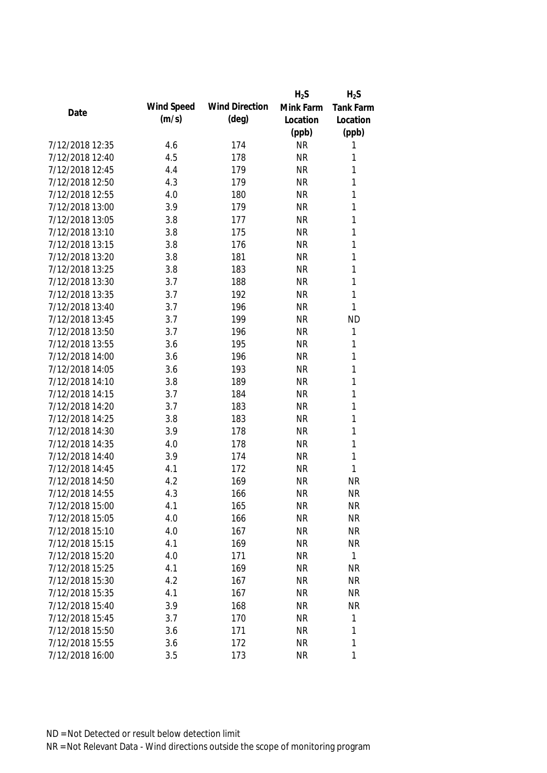|                 |            |                       | $H_2S$    | $H_2S$           |
|-----------------|------------|-----------------------|-----------|------------------|
|                 | Wind Speed | <b>Wind Direction</b> | Mink Farm | <b>Tank Farm</b> |
| Date            | (m/s)      | $(\text{deg})$        | Location  | Location         |
|                 |            |                       | (ppb)     | (ppb)            |
| 7/12/2018 12:35 | 4.6        | 174                   | <b>NR</b> | 1                |
| 7/12/2018 12:40 | 4.5        | 178                   | <b>NR</b> | 1                |
| 7/12/2018 12:45 | 4.4        | 179                   | <b>NR</b> | 1                |
| 7/12/2018 12:50 | 4.3        | 179                   | <b>NR</b> | 1                |
| 7/12/2018 12:55 | 4.0        | 180                   | <b>NR</b> | 1                |
| 7/12/2018 13:00 | 3.9        | 179                   | <b>NR</b> | 1                |
| 7/12/2018 13:05 | 3.8        | 177                   | <b>NR</b> | 1                |
| 7/12/2018 13:10 | 3.8        | 175                   | <b>NR</b> | 1                |
| 7/12/2018 13:15 | 3.8        | 176                   | <b>NR</b> | 1                |
| 7/12/2018 13:20 | 3.8        | 181                   | <b>NR</b> | 1                |
| 7/12/2018 13:25 | 3.8        | 183                   | <b>NR</b> | 1                |
| 7/12/2018 13:30 | 3.7        | 188                   | <b>NR</b> | 1                |
| 7/12/2018 13:35 | 3.7        | 192                   | <b>NR</b> | 1                |
| 7/12/2018 13:40 | 3.7        | 196                   | <b>NR</b> | 1                |
| 7/12/2018 13:45 | 3.7        | 199                   | <b>NR</b> | <b>ND</b>        |
| 7/12/2018 13:50 | 3.7        | 196                   | <b>NR</b> | 1                |
| 7/12/2018 13:55 | 3.6        | 195                   | <b>NR</b> | 1                |
| 7/12/2018 14:00 | 3.6        | 196                   | <b>NR</b> | 1                |
| 7/12/2018 14:05 | 3.6        | 193                   | <b>NR</b> | 1                |
| 7/12/2018 14:10 | 3.8        | 189                   | <b>NR</b> | 1                |
| 7/12/2018 14:15 | 3.7        | 184                   | <b>NR</b> | 1                |
| 7/12/2018 14:20 | 3.7        | 183                   | <b>NR</b> | 1                |
| 7/12/2018 14:25 | 3.8        | 183                   | <b>NR</b> | 1                |
| 7/12/2018 14:30 | 3.9        | 178                   | <b>NR</b> | 1                |
| 7/12/2018 14:35 | 4.0        | 178                   | <b>NR</b> | 1                |
| 7/12/2018 14:40 | 3.9        | 174                   | <b>NR</b> | 1                |
| 7/12/2018 14:45 | 4.1        | 172                   | <b>NR</b> | $\mathbf{1}$     |
| 7/12/2018 14:50 | 4.2        | 169                   | <b>NR</b> | <b>NR</b>        |
| 7/12/2018 14:55 | 4.3        | 166                   | <b>NR</b> | <b>NR</b>        |
| 7/12/2018 15:00 | 4.1        | 165                   | <b>NR</b> | <b>NR</b>        |
| 7/12/2018 15:05 | 4.0        | 166                   | <b>NR</b> | <b>NR</b>        |
| 7/12/2018 15:10 | 4.0        | 167                   | <b>NR</b> | <b>NR</b>        |
| 7/12/2018 15:15 | 4.1        | 169                   | <b>NR</b> | <b>NR</b>        |
| 7/12/2018 15:20 | 4.0        | 171                   | <b>NR</b> | $\mathbf{1}$     |
| 7/12/2018 15:25 | 4.1        | 169                   | <b>NR</b> | <b>NR</b>        |
| 7/12/2018 15:30 | 4.2        | 167                   | <b>NR</b> | <b>NR</b>        |
| 7/12/2018 15:35 | 4.1        | 167                   | <b>NR</b> | <b>NR</b>        |
| 7/12/2018 15:40 | 3.9        | 168                   | <b>NR</b> | <b>NR</b>        |
| 7/12/2018 15:45 | 3.7        | 170                   | <b>NR</b> | 1                |
| 7/12/2018 15:50 | 3.6        | 171                   | <b>NR</b> | 1                |
| 7/12/2018 15:55 | 3.6        | 172                   | <b>NR</b> | 1                |
| 7/12/2018 16:00 | 3.5        | 173                   | <b>NR</b> | 1                |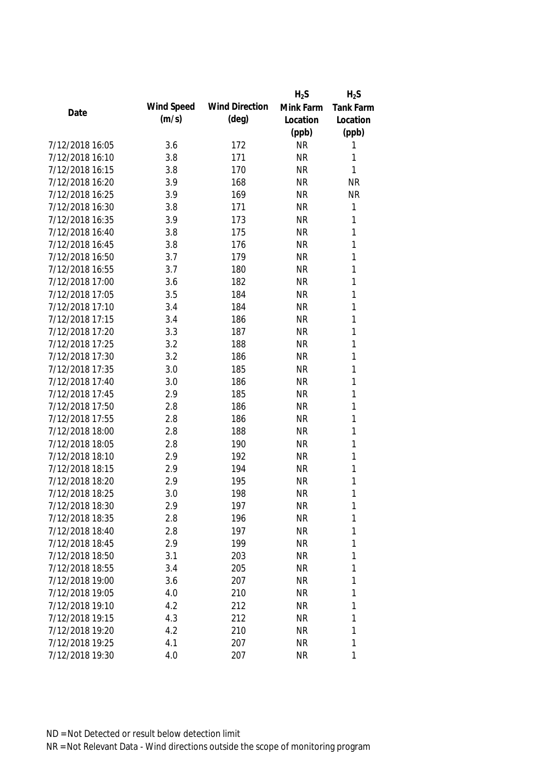|                 |            |                       | $H_2S$    | $H_2S$           |
|-----------------|------------|-----------------------|-----------|------------------|
|                 | Wind Speed | <b>Wind Direction</b> | Mink Farm | <b>Tank Farm</b> |
| Date            | (m/s)      | $(\text{deg})$        | Location  | Location         |
|                 |            |                       | (ppb)     | (ppb)            |
| 7/12/2018 16:05 | 3.6        | 172                   | <b>NR</b> | 1                |
| 7/12/2018 16:10 | 3.8        | 171                   | <b>NR</b> | 1                |
| 7/12/2018 16:15 | 3.8        | 170                   | <b>NR</b> | 1                |
| 7/12/2018 16:20 | 3.9        | 168                   | <b>NR</b> | <b>NR</b>        |
| 7/12/2018 16:25 | 3.9        | 169                   | <b>NR</b> | <b>NR</b>        |
| 7/12/2018 16:30 | 3.8        | 171                   | <b>NR</b> | 1                |
| 7/12/2018 16:35 | 3.9        | 173                   | <b>NR</b> | 1                |
| 7/12/2018 16:40 | 3.8        | 175                   | <b>NR</b> | $\mathbf{1}$     |
| 7/12/2018 16:45 | 3.8        | 176                   | <b>NR</b> | 1                |
| 7/12/2018 16:50 | 3.7        | 179                   | <b>NR</b> | 1                |
| 7/12/2018 16:55 | 3.7        | 180                   | <b>NR</b> | 1                |
| 7/12/2018 17:00 | 3.6        | 182                   | <b>NR</b> | 1                |
| 7/12/2018 17:05 | 3.5        | 184                   | <b>NR</b> | 1                |
| 7/12/2018 17:10 | 3.4        | 184                   | <b>NR</b> | 1                |
| 7/12/2018 17:15 | 3.4        | 186                   | <b>NR</b> | 1                |
| 7/12/2018 17:20 | 3.3        | 187                   | <b>NR</b> | 1                |
| 7/12/2018 17:25 | 3.2        | 188                   | <b>NR</b> | 1                |
| 7/12/2018 17:30 | 3.2        | 186                   | <b>NR</b> | 1                |
| 7/12/2018 17:35 | 3.0        | 185                   | <b>NR</b> | 1                |
| 7/12/2018 17:40 | 3.0        | 186                   | <b>NR</b> | 1                |
| 7/12/2018 17:45 | 2.9        | 185                   | <b>NR</b> | 1                |
| 7/12/2018 17:50 | 2.8        | 186                   | <b>NR</b> | 1                |
| 7/12/2018 17:55 | 2.8        | 186                   | <b>NR</b> | 1                |
| 7/12/2018 18:00 | 2.8        | 188                   | <b>NR</b> | 1                |
| 7/12/2018 18:05 | 2.8        | 190                   | <b>NR</b> | 1                |
| 7/12/2018 18:10 | 2.9        | 192                   | <b>NR</b> | 1                |
| 7/12/2018 18:15 | 2.9        | 194                   | <b>NR</b> | 1                |
| 7/12/2018 18:20 | 2.9        | 195                   | <b>NR</b> | 1                |
| 7/12/2018 18:25 | 3.0        | 198                   | <b>NR</b> | 1                |
| 7/12/2018 18:30 | 2.9        | 197                   | <b>NR</b> | 1                |
| 7/12/2018 18:35 | 2.8        | 196                   | <b>NR</b> | 1                |
| 7/12/2018 18:40 | 2.8        | 197                   | <b>NR</b> | 1                |
| 7/12/2018 18:45 | 2.9        | 199                   | <b>NR</b> | 1                |
| 7/12/2018 18:50 | 3.1        | 203                   | <b>NR</b> | 1                |
| 7/12/2018 18:55 | 3.4        | 205                   | <b>NR</b> | 1                |
| 7/12/2018 19:00 | 3.6        | 207                   | <b>NR</b> | 1                |
| 7/12/2018 19:05 | 4.0        | 210                   | <b>NR</b> | 1                |
| 7/12/2018 19:10 | 4.2        | 212                   | <b>NR</b> | 1                |
| 7/12/2018 19:15 | 4.3        | 212                   | <b>NR</b> | 1                |
| 7/12/2018 19:20 | 4.2        | 210                   | <b>NR</b> | 1                |
| 7/12/2018 19:25 | 4.1        | 207                   | <b>NR</b> | 1                |
|                 |            |                       |           |                  |
| 7/12/2018 19:30 | 4.0        | 207                   | <b>NR</b> | 1                |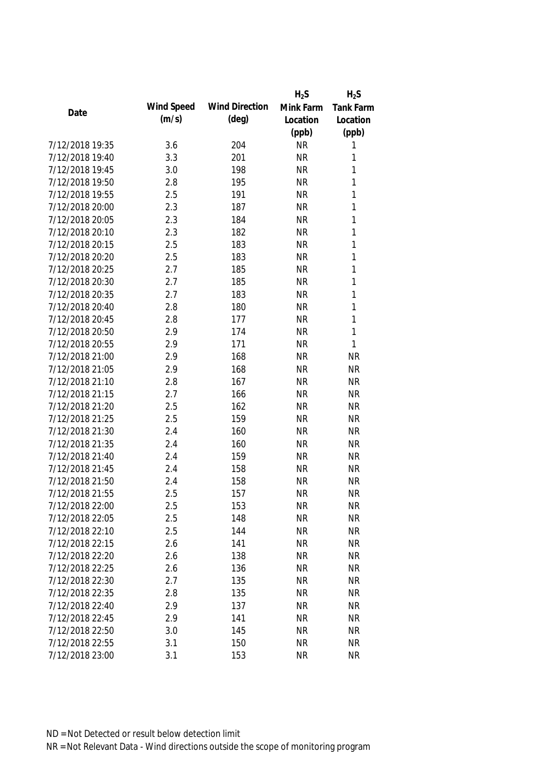|                 |            |                       | $H_2S$    | $H_2S$           |
|-----------------|------------|-----------------------|-----------|------------------|
| Date            | Wind Speed | <b>Wind Direction</b> | Mink Farm | <b>Tank Farm</b> |
|                 | (m/s)      | $(\text{deg})$        | Location  | Location         |
|                 |            |                       | (ppb)     | (ppb)            |
| 7/12/2018 19:35 | 3.6        | 204                   | <b>NR</b> | 1                |
| 7/12/2018 19:40 | 3.3        | 201                   | <b>NR</b> | 1                |
| 7/12/2018 19:45 | 3.0        | 198                   | <b>NR</b> | 1                |
| 7/12/2018 19:50 | 2.8        | 195                   | <b>NR</b> | $\mathbf 1$      |
| 7/12/2018 19:55 | 2.5        | 191                   | <b>NR</b> | 1                |
| 7/12/2018 20:00 | 2.3        | 187                   | <b>NR</b> | $\mathbf 1$      |
| 7/12/2018 20:05 | 2.3        | 184                   | <b>NR</b> | $\mathbf 1$      |
| 7/12/2018 20:10 | 2.3        | 182                   | <b>NR</b> | $\mathbf{1}$     |
| 7/12/2018 20:15 | 2.5        | 183                   | <b>NR</b> | $\mathbf{1}$     |
| 7/12/2018 20:20 | 2.5        | 183                   | <b>NR</b> | $\mathbf 1$      |
| 7/12/2018 20:25 | 2.7        | 185                   | <b>NR</b> | $\mathbf 1$      |
| 7/12/2018 20:30 | 2.7        | 185                   | <b>NR</b> | $\mathbf 1$      |
| 7/12/2018 20:35 | 2.7        | 183                   | <b>NR</b> | $\mathbf 1$      |
| 7/12/2018 20:40 | 2.8        | 180                   | <b>NR</b> | $\mathbf 1$      |
| 7/12/2018 20:45 | 2.8        | 177                   | <b>NR</b> | $\mathbf 1$      |
| 7/12/2018 20:50 | 2.9        | 174                   | <b>NR</b> | $\mathbf{1}$     |
| 7/12/2018 20:55 | 2.9        | 171                   | <b>NR</b> | 1                |
| 7/12/2018 21:00 | 2.9        | 168                   | <b>NR</b> | <b>NR</b>        |
| 7/12/2018 21:05 | 2.9        | 168                   | <b>NR</b> | <b>NR</b>        |
| 7/12/2018 21:10 | 2.8        | 167                   | <b>NR</b> | <b>NR</b>        |
| 7/12/2018 21:15 | 2.7        | 166                   | <b>NR</b> | <b>NR</b>        |
| 7/12/2018 21:20 | 2.5        | 162                   | <b>NR</b> | <b>NR</b>        |
| 7/12/2018 21:25 | 2.5        | 159                   | <b>NR</b> | <b>NR</b>        |
| 7/12/2018 21:30 | 2.4        | 160                   | <b>NR</b> | <b>NR</b>        |
| 7/12/2018 21:35 | 2.4        | 160                   | <b>NR</b> | <b>NR</b>        |
| 7/12/2018 21:40 | 2.4        | 159                   | <b>NR</b> | <b>NR</b>        |
| 7/12/2018 21:45 | 2.4        | 158                   | <b>NR</b> | <b>NR</b>        |
| 7/12/2018 21:50 | 2.4        | 158                   | <b>NR</b> | <b>NR</b>        |
| 7/12/2018 21:55 | 2.5        | 157                   | <b>NR</b> | <b>NR</b>        |
| 7/12/2018 22:00 | 2.5        | 153                   | <b>NR</b> | NR               |
| 7/12/2018 22:05 | 2.5        | 148                   | <b>NR</b> | <b>NR</b>        |
| 7/12/2018 22:10 | 2.5        | 144                   | <b>NR</b> | <b>NR</b>        |
| 7/12/2018 22:15 | 2.6        | 141                   | <b>NR</b> | <b>NR</b>        |
| 7/12/2018 22:20 | 2.6        | 138                   | <b>NR</b> | <b>NR</b>        |
| 7/12/2018 22:25 | 2.6        | 136                   | <b>NR</b> | <b>NR</b>        |
| 7/12/2018 22:30 | 2.7        | 135                   | <b>NR</b> | <b>NR</b>        |
| 7/12/2018 22:35 | 2.8        | 135                   | <b>NR</b> | <b>NR</b>        |
| 7/12/2018 22:40 | 2.9        | 137                   | <b>NR</b> | <b>NR</b>        |
| 7/12/2018 22:45 | 2.9        | 141                   | <b>NR</b> | <b>NR</b>        |
| 7/12/2018 22:50 | 3.0        | 145                   | <b>NR</b> | <b>NR</b>        |
| 7/12/2018 22:55 | 3.1        | 150                   | <b>NR</b> | <b>NR</b>        |
| 7/12/2018 23:00 | 3.1        | 153                   | <b>NR</b> | <b>NR</b>        |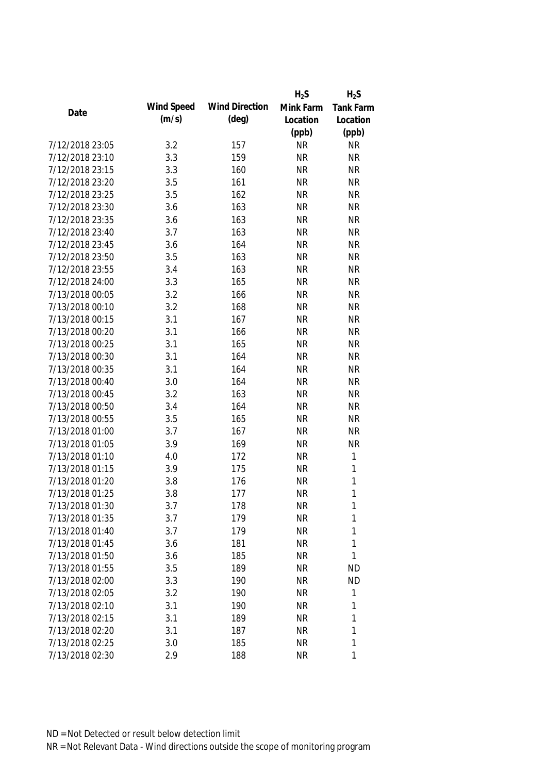|                 |            |                       | $H_2S$    | $H_2S$           |
|-----------------|------------|-----------------------|-----------|------------------|
| Date            | Wind Speed | <b>Wind Direction</b> | Mink Farm | <b>Tank Farm</b> |
|                 | (m/s)      | $(\text{deg})$        | Location  | Location         |
|                 |            |                       | (ppb)     | (ppb)            |
| 7/12/2018 23:05 | 3.2        | 157                   | <b>NR</b> | <b>NR</b>        |
| 7/12/2018 23:10 | 3.3        | 159                   | <b>NR</b> | <b>NR</b>        |
| 7/12/2018 23:15 | 3.3        | 160                   | <b>NR</b> | <b>NR</b>        |
| 7/12/2018 23:20 | 3.5        | 161                   | <b>NR</b> | <b>NR</b>        |
| 7/12/2018 23:25 | 3.5        | 162                   | <b>NR</b> | <b>NR</b>        |
| 7/12/2018 23:30 | 3.6        | 163                   | <b>NR</b> | <b>NR</b>        |
| 7/12/2018 23:35 | 3.6        | 163                   | <b>NR</b> | <b>NR</b>        |
| 7/12/2018 23:40 | 3.7        | 163                   | <b>NR</b> | <b>NR</b>        |
| 7/12/2018 23:45 | 3.6        | 164                   | <b>NR</b> | <b>NR</b>        |
| 7/12/2018 23:50 | 3.5        | 163                   | <b>NR</b> | <b>NR</b>        |
| 7/12/2018 23:55 | 3.4        | 163                   | <b>NR</b> | <b>NR</b>        |
| 7/12/2018 24:00 | 3.3        | 165                   | <b>NR</b> | <b>NR</b>        |
| 7/13/2018 00:05 | 3.2        | 166                   | <b>NR</b> | <b>NR</b>        |
| 7/13/2018 00:10 | 3.2        | 168                   | <b>NR</b> | <b>NR</b>        |
| 7/13/2018 00:15 | 3.1        | 167                   | <b>NR</b> | <b>NR</b>        |
| 7/13/2018 00:20 | 3.1        | 166                   | <b>NR</b> | <b>NR</b>        |
| 7/13/2018 00:25 | 3.1        | 165                   | <b>NR</b> | <b>NR</b>        |
| 7/13/2018 00:30 | 3.1        | 164                   | <b>NR</b> | <b>NR</b>        |
| 7/13/2018 00:35 | 3.1        | 164                   | <b>NR</b> | <b>NR</b>        |
| 7/13/2018 00:40 | 3.0        | 164                   | <b>NR</b> | <b>NR</b>        |
| 7/13/2018 00:45 | 3.2        | 163                   | <b>NR</b> | <b>NR</b>        |
| 7/13/2018 00:50 | 3.4        | 164                   | <b>NR</b> | <b>NR</b>        |
| 7/13/2018 00:55 | 3.5        | 165                   | <b>NR</b> | <b>NR</b>        |
| 7/13/2018 01:00 | 3.7        | 167                   | <b>NR</b> | <b>NR</b>        |
| 7/13/2018 01:05 | 3.9        | 169                   | <b>NR</b> | <b>NR</b>        |
| 7/13/2018 01:10 | 4.0        | 172                   | <b>NR</b> | $\mathbf 1$      |
| 7/13/2018 01:15 | 3.9        | 175                   | <b>NR</b> | 1                |
| 7/13/2018 01:20 | 3.8        | 176                   | <b>NR</b> | 1                |
| 7/13/2018 01:25 | 3.8        | 177                   | <b>NR</b> | 1                |
| 7/13/2018 01:30 | 3.7        | 178                   | <b>NR</b> | 1                |
| 7/13/2018 01:35 | 3.7        | 179                   | <b>NR</b> | 1                |
| 7/13/2018 01:40 | 3.7        | 179                   | <b>NR</b> | 1                |
| 7/13/2018 01:45 | 3.6        | 181                   | <b>NR</b> | 1                |
| 7/13/2018 01:50 | 3.6        | 185                   | <b>NR</b> | 1                |
| 7/13/2018 01:55 | 3.5        | 189                   | <b>NR</b> | <b>ND</b>        |
| 7/13/2018 02:00 | 3.3        | 190                   | <b>NR</b> | <b>ND</b>        |
| 7/13/2018 02:05 | 3.2        | 190                   | <b>NR</b> | 1                |
| 7/13/2018 02:10 | 3.1        | 190                   | <b>NR</b> | 1                |
| 7/13/2018 02:15 | 3.1        | 189                   | <b>NR</b> | 1                |
| 7/13/2018 02:20 | 3.1        | 187                   | <b>NR</b> | 1                |
| 7/13/2018 02:25 | 3.0        | 185                   | <b>NR</b> | 1                |
| 7/13/2018 02:30 | 2.9        | 188                   | <b>NR</b> | 1                |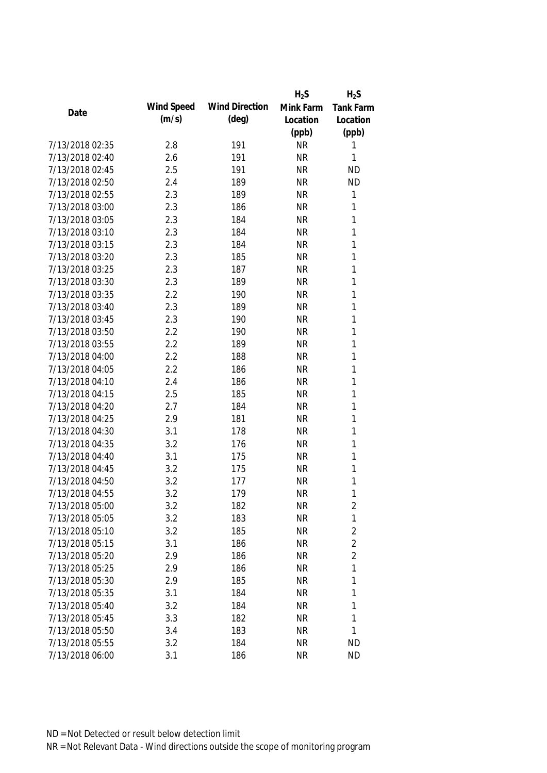|                 |            |                       | $H_2S$    | $H_2S$           |
|-----------------|------------|-----------------------|-----------|------------------|
| Date            | Wind Speed | <b>Wind Direction</b> | Mink Farm | <b>Tank Farm</b> |
|                 | (m/s)      | $(\text{deg})$        | Location  | Location         |
|                 |            |                       | (ppb)     | (ppb)            |
| 7/13/2018 02:35 | 2.8        | 191                   | <b>NR</b> | 1                |
| 7/13/2018 02:40 | 2.6        | 191                   | <b>NR</b> | 1                |
| 7/13/2018 02:45 | 2.5        | 191                   | <b>NR</b> | <b>ND</b>        |
| 7/13/2018 02:50 | 2.4        | 189                   | <b>NR</b> | <b>ND</b>        |
| 7/13/2018 02:55 | 2.3        | 189                   | <b>NR</b> | $\mathbf{1}$     |
| 7/13/2018 03:00 | 2.3        | 186                   | <b>NR</b> | 1                |
| 7/13/2018 03:05 | 2.3        | 184                   | <b>NR</b> | $\mathbf 1$      |
| 7/13/2018 03:10 | 2.3        | 184                   | <b>NR</b> | $\mathbf 1$      |
| 7/13/2018 03:15 | 2.3        | 184                   | <b>NR</b> | 1                |
| 7/13/2018 03:20 | 2.3        | 185                   | <b>NR</b> | $\mathbf{1}$     |
| 7/13/2018 03:25 | 2.3        | 187                   | <b>NR</b> | $\mathbf{1}$     |
| 7/13/2018 03:30 | 2.3        | 189                   | <b>NR</b> | $\mathbf{1}$     |
| 7/13/2018 03:35 | 2.2        | 190                   | <b>NR</b> | $\mathbf{1}$     |
| 7/13/2018 03:40 | 2.3        | 189                   | <b>NR</b> | 1                |
| 7/13/2018 03:45 | 2.3        | 190                   | <b>NR</b> | $\mathbf{1}$     |
| 7/13/2018 03:50 | 2.2        | 190                   | <b>NR</b> | $\mathbf{1}$     |
| 7/13/2018 03:55 | 2.2        | 189                   | <b>NR</b> | $\mathbf{1}$     |
| 7/13/2018 04:00 | 2.2        | 188                   | <b>NR</b> | 1                |
| 7/13/2018 04:05 | 2.2        | 186                   | <b>NR</b> | $\mathbf{1}$     |
| 7/13/2018 04:10 | 2.4        | 186                   | <b>NR</b> | 1                |
| 7/13/2018 04:15 | 2.5        | 185                   | <b>NR</b> | 1                |
| 7/13/2018 04:20 | 2.7        | 184                   | <b>NR</b> | $\mathbf{1}$     |
| 7/13/2018 04:25 | 2.9        | 181                   | <b>NR</b> | $\mathbf{1}$     |
| 7/13/2018 04:30 | 3.1        | 178                   | <b>NR</b> | $\mathbf 1$      |
| 7/13/2018 04:35 | 3.2        | 176                   | <b>NR</b> | 1                |
| 7/13/2018 04:40 | 3.1        | 175                   | <b>NR</b> | 1                |
| 7/13/2018 04:45 | 3.2        | 175                   | <b>NR</b> | 1                |
| 7/13/2018 04:50 | 3.2        | 177                   | <b>NR</b> | 1                |
| 7/13/2018 04:55 | 3.2        | 179                   | <b>NR</b> | 1                |
| 7/13/2018 05:00 | 3.2        | 182                   | <b>NR</b> | $\overline{c}$   |
| 7/13/2018 05:05 | 3.2        | 183                   | <b>NR</b> | $\mathbf 1$      |
| 7/13/2018 05:10 | 3.2        | 185                   | <b>NR</b> | $\overline{2}$   |
| 7/13/2018 05:15 | 3.1        | 186                   | <b>NR</b> | $\overline{2}$   |
| 7/13/2018 05:20 | 2.9        | 186                   | <b>NR</b> | $\overline{2}$   |
| 7/13/2018 05:25 | 2.9        | 186                   | <b>NR</b> | $\mathbf{1}$     |
| 7/13/2018 05:30 | 2.9        | 185                   | <b>NR</b> | $\mathbf 1$      |
| 7/13/2018 05:35 | 3.1        | 184                   | <b>NR</b> | 1                |
| 7/13/2018 05:40 | 3.2        | 184                   | <b>NR</b> | 1                |
| 7/13/2018 05:45 | 3.3        | 182                   | <b>NR</b> | 1                |
| 7/13/2018 05:50 | 3.4        | 183                   | <b>NR</b> | 1                |
| 7/13/2018 05:55 | 3.2        | 184                   | <b>NR</b> | <b>ND</b>        |
| 7/13/2018 06:00 | 3.1        | 186                   | <b>NR</b> | <b>ND</b>        |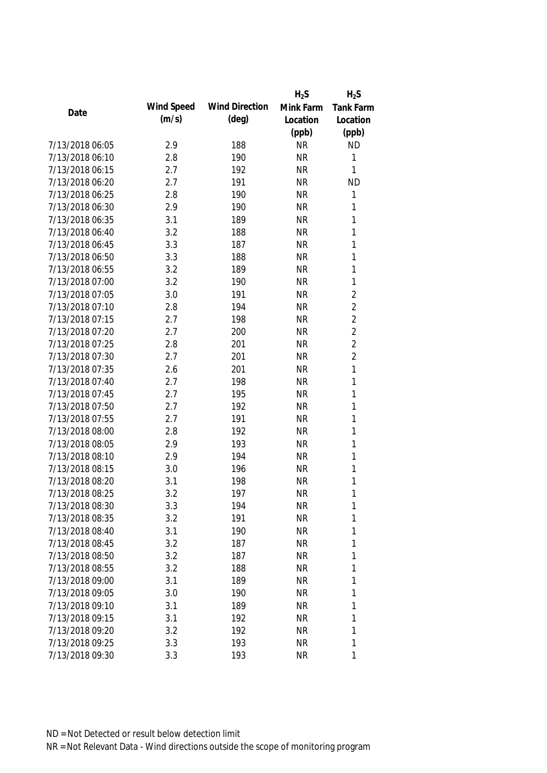|                 |            |                       | $H_2S$    | $H_2S$           |
|-----------------|------------|-----------------------|-----------|------------------|
| Date            | Wind Speed | <b>Wind Direction</b> | Mink Farm | <b>Tank Farm</b> |
|                 | (m/s)      | $(\text{deg})$        | Location  | Location         |
|                 |            |                       | (ppb)     | (ppb)            |
| 7/13/2018 06:05 | 2.9        | 188                   | <b>NR</b> | <b>ND</b>        |
| 7/13/2018 06:10 | 2.8        | 190                   | <b>NR</b> | 1                |
| 7/13/2018 06:15 | 2.7        | 192                   | <b>NR</b> | 1                |
| 7/13/2018 06:20 | 2.7        | 191                   | <b>NR</b> | <b>ND</b>        |
| 7/13/2018 06:25 | 2.8        | 190                   | <b>NR</b> | 1                |
| 7/13/2018 06:30 | 2.9        | 190                   | <b>NR</b> | 1                |
| 7/13/2018 06:35 | 3.1        | 189                   | <b>NR</b> | $\mathbf{1}$     |
| 7/13/2018 06:40 | 3.2        | 188                   | <b>NR</b> | 1                |
| 7/13/2018 06:45 | 3.3        | 187                   | <b>NR</b> | 1                |
| 7/13/2018 06:50 | 3.3        | 188                   | <b>NR</b> | 1                |
| 7/13/2018 06:55 | 3.2        | 189                   | <b>NR</b> | 1                |
| 7/13/2018 07:00 | 3.2        | 190                   | <b>NR</b> | 1                |
| 7/13/2018 07:05 | 3.0        | 191                   | <b>NR</b> | $\overline{2}$   |
| 7/13/2018 07:10 | 2.8        | 194                   | <b>NR</b> | $\overline{2}$   |
| 7/13/2018 07:15 | 2.7        | 198                   | <b>NR</b> | $\overline{2}$   |
| 7/13/2018 07:20 | 2.7        | 200                   | <b>NR</b> | $\overline{2}$   |
| 7/13/2018 07:25 | 2.8        | 201                   | <b>NR</b> | $\overline{2}$   |
| 7/13/2018 07:30 | 2.7        | 201                   | <b>NR</b> | $\overline{2}$   |
| 7/13/2018 07:35 | 2.6        | 201                   | <b>NR</b> | 1                |
| 7/13/2018 07:40 | 2.7        | 198                   | <b>NR</b> | 1                |
| 7/13/2018 07:45 | 2.7        | 195                   | <b>NR</b> | 1                |
| 7/13/2018 07:50 | 2.7        | 192                   | <b>NR</b> | 1                |
| 7/13/2018 07:55 | 2.7        | 191                   | <b>NR</b> | 1                |
| 7/13/2018 08:00 | 2.8        | 192                   | <b>NR</b> | 1                |
| 7/13/2018 08:05 | 2.9        | 193                   | <b>NR</b> | 1                |
| 7/13/2018 08:10 | 2.9        | 194                   | <b>NR</b> | 1                |
| 7/13/2018 08:15 | 3.0        | 196                   | <b>NR</b> | 1                |
| 7/13/2018 08:20 | 3.1        | 198                   | <b>NR</b> | 1                |
| 7/13/2018 08:25 | 3.2        | 197                   | <b>NR</b> | 1                |
| 7/13/2018 08:30 | 3.3        | 194                   | <b>NR</b> | 1                |
| 7/13/2018 08:35 | 3.2        | 191                   | <b>NR</b> | 1                |
| 7/13/2018 08:40 | 3.1        | 190                   | <b>NR</b> | 1                |
| 7/13/2018 08:45 | 3.2        | 187                   | <b>NR</b> | 1                |
| 7/13/2018 08:50 | 3.2        | 187                   | <b>NR</b> | 1                |
| 7/13/2018 08:55 | 3.2        | 188                   | <b>NR</b> | 1                |
| 7/13/2018 09:00 | 3.1        | 189                   | <b>NR</b> | 1                |
| 7/13/2018 09:05 | 3.0        | 190                   | <b>NR</b> | 1                |
| 7/13/2018 09:10 | 3.1        | 189                   | <b>NR</b> | 1                |
| 7/13/2018 09:15 | 3.1        | 192                   | <b>NR</b> | 1                |
| 7/13/2018 09:20 | 3.2        | 192                   | <b>NR</b> | 1                |
| 7/13/2018 09:25 | 3.3        | 193                   | <b>NR</b> | 1                |
| 7/13/2018 09:30 | 3.3        | 193                   | <b>NR</b> | 1                |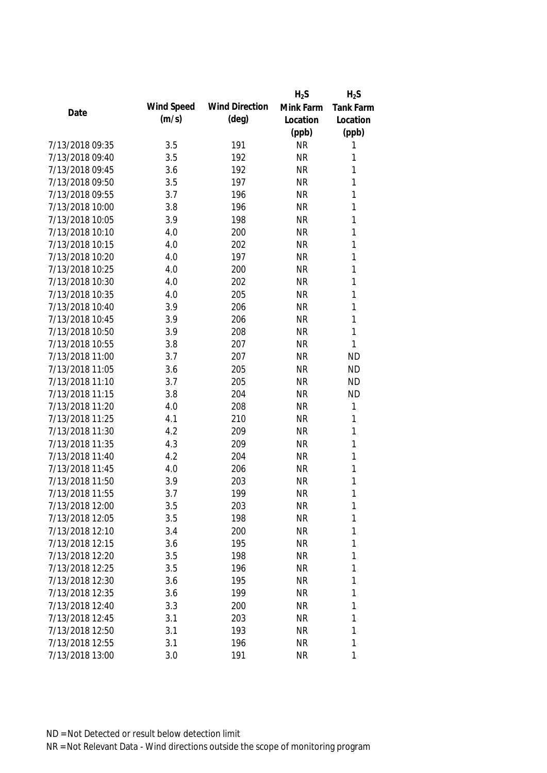|                 |            |                       | $H_2S$    | $H_2S$           |
|-----------------|------------|-----------------------|-----------|------------------|
|                 | Wind Speed | <b>Wind Direction</b> | Mink Farm | <b>Tank Farm</b> |
| Date            | (m/s)      | $(\text{deg})$        | Location  | Location         |
|                 |            |                       | (ppb)     | (ppb)            |
| 7/13/2018 09:35 | 3.5        | 191                   | <b>NR</b> | 1                |
| 7/13/2018 09:40 | 3.5        | 192                   | <b>NR</b> | 1                |
| 7/13/2018 09:45 | 3.6        | 192                   | <b>NR</b> | 1                |
| 7/13/2018 09:50 | 3.5        | 197                   | <b>NR</b> | 1                |
| 7/13/2018 09:55 | 3.7        | 196                   | <b>NR</b> | 1                |
| 7/13/2018 10:00 | 3.8        | 196                   | <b>NR</b> | 1                |
| 7/13/2018 10:05 | 3.9        | 198                   | <b>NR</b> | $\mathbf{1}$     |
| 7/13/2018 10:10 | 4.0        | 200                   | <b>NR</b> | 1                |
| 7/13/2018 10:15 | 4.0        | 202                   | <b>NR</b> | 1                |
| 7/13/2018 10:20 | 4.0        | 197                   | <b>NR</b> | 1                |
| 7/13/2018 10:25 | 4.0        | 200                   | <b>NR</b> | 1                |
| 7/13/2018 10:30 | 4.0        | 202                   | <b>NR</b> | 1                |
| 7/13/2018 10:35 | 4.0        | 205                   | <b>NR</b> | 1                |
| 7/13/2018 10:40 | 3.9        | 206                   | <b>NR</b> | 1                |
| 7/13/2018 10:45 | 3.9        | 206                   | <b>NR</b> | 1                |
| 7/13/2018 10:50 | 3.9        | 208                   | <b>NR</b> | 1                |
| 7/13/2018 10:55 | 3.8        | 207                   | <b>NR</b> | 1                |
| 7/13/2018 11:00 | 3.7        | 207                   | <b>NR</b> | <b>ND</b>        |
| 7/13/2018 11:05 | 3.6        | 205                   | <b>NR</b> | <b>ND</b>        |
| 7/13/2018 11:10 | 3.7        | 205                   | <b>NR</b> | <b>ND</b>        |
| 7/13/2018 11:15 | 3.8        | 204                   | <b>NR</b> | <b>ND</b>        |
| 7/13/2018 11:20 | 4.0        | 208                   | <b>NR</b> | 1                |
| 7/13/2018 11:25 | 4.1        | 210                   | <b>NR</b> | 1                |
| 7/13/2018 11:30 | 4.2        | 209                   | <b>NR</b> | 1                |
| 7/13/2018 11:35 | 4.3        | 209                   | <b>NR</b> | 1                |
| 7/13/2018 11:40 | 4.2        | 204                   | <b>NR</b> | 1                |
| 7/13/2018 11:45 | 4.0        | 206                   | <b>NR</b> | 1                |
| 7/13/2018 11:50 | 3.9        | 203                   | <b>NR</b> | 1                |
| 7/13/2018 11:55 | 3.7        | 199                   | <b>NR</b> | 1                |
| 7/13/2018 12:00 | 3.5        | 203                   | <b>NR</b> | 1                |
| 7/13/2018 12:05 | 3.5        | 198                   | <b>NR</b> | 1                |
| 7/13/2018 12:10 | 3.4        | 200                   | <b>NR</b> | 1                |
| 7/13/2018 12:15 | 3.6        | 195                   | <b>NR</b> | 1                |
| 7/13/2018 12:20 | 3.5        | 198                   | <b>NR</b> | 1                |
| 7/13/2018 12:25 | 3.5        | 196                   | <b>NR</b> | 1                |
| 7/13/2018 12:30 | 3.6        | 195                   | <b>NR</b> | 1                |
| 7/13/2018 12:35 | 3.6        | 199                   | <b>NR</b> | 1                |
| 7/13/2018 12:40 | 3.3        | 200                   | <b>NR</b> | 1                |
| 7/13/2018 12:45 | 3.1        | 203                   | <b>NR</b> | 1                |
| 7/13/2018 12:50 | 3.1        | 193                   | <b>NR</b> | 1                |
| 7/13/2018 12:55 | 3.1        | 196                   | <b>NR</b> | 1                |
| 7/13/2018 13:00 | 3.0        | 191                   | <b>NR</b> | 1                |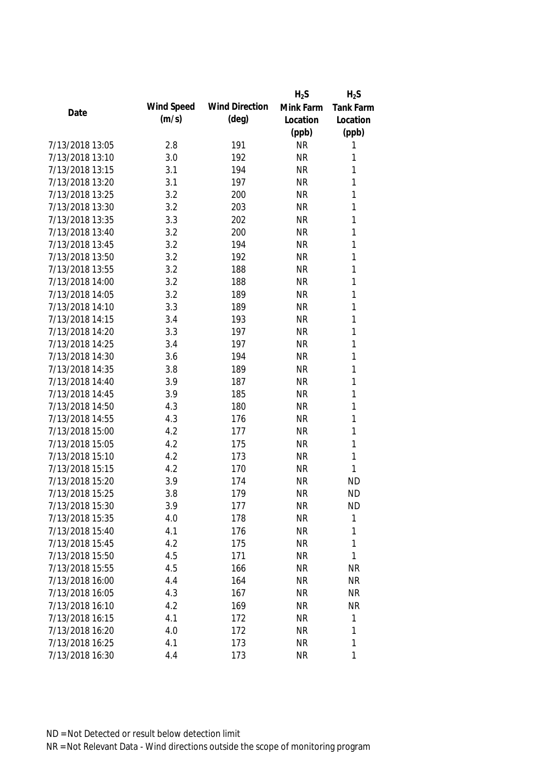|                 |            |                       | $H_2S$    | $H_2S$           |
|-----------------|------------|-----------------------|-----------|------------------|
| Date            | Wind Speed | <b>Wind Direction</b> | Mink Farm | <b>Tank Farm</b> |
|                 | (m/s)      | $(\text{deg})$        | Location  | Location         |
|                 |            |                       | (ppb)     | (ppb)            |
| 7/13/2018 13:05 | 2.8        | 191                   | <b>NR</b> | 1                |
| 7/13/2018 13:10 | 3.0        | 192                   | <b>NR</b> | 1                |
| 7/13/2018 13:15 | 3.1        | 194                   | <b>NR</b> | 1                |
| 7/13/2018 13:20 | 3.1        | 197                   | <b>NR</b> | 1                |
| 7/13/2018 13:25 | 3.2        | 200                   | <b>NR</b> | 1                |
| 7/13/2018 13:30 | 3.2        | 203                   | <b>NR</b> | 1                |
| 7/13/2018 13:35 | 3.3        | 202                   | <b>NR</b> | 1                |
| 7/13/2018 13:40 | 3.2        | 200                   | <b>NR</b> | 1                |
| 7/13/2018 13:45 | 3.2        | 194                   | <b>NR</b> | 1                |
| 7/13/2018 13:50 | 3.2        | 192                   | <b>NR</b> | 1                |
| 7/13/2018 13:55 | 3.2        | 188                   | <b>NR</b> | 1                |
| 7/13/2018 14:00 | 3.2        | 188                   | <b>NR</b> | 1                |
| 7/13/2018 14:05 | 3.2        | 189                   | <b>NR</b> | 1                |
| 7/13/2018 14:10 | 3.3        | 189                   | <b>NR</b> | 1                |
| 7/13/2018 14:15 | 3.4        | 193                   | <b>NR</b> | 1                |
| 7/13/2018 14:20 | 3.3        | 197                   | <b>NR</b> | 1                |
| 7/13/2018 14:25 | 3.4        | 197                   | <b>NR</b> | 1                |
| 7/13/2018 14:30 | 3.6        | 194                   | <b>NR</b> | 1                |
| 7/13/2018 14:35 | 3.8        | 189                   | <b>NR</b> | 1                |
| 7/13/2018 14:40 | 3.9        | 187                   | <b>NR</b> | 1                |
| 7/13/2018 14:45 | 3.9        | 185                   | <b>NR</b> | 1                |
| 7/13/2018 14:50 | 4.3        | 180                   | <b>NR</b> | 1                |
| 7/13/2018 14:55 | 4.3        | 176                   | <b>NR</b> | 1                |
| 7/13/2018 15:00 | 4.2        | 177                   | <b>NR</b> | 1                |
| 7/13/2018 15:05 | 4.2        | 175                   | <b>NR</b> | 1                |
| 7/13/2018 15:10 | 4.2        | 173                   | <b>NR</b> | 1                |
| 7/13/2018 15:15 | 4.2        | 170                   | <b>NR</b> | 1                |
| 7/13/2018 15:20 | 3.9        | 174                   | <b>NR</b> | <b>ND</b>        |
| 7/13/2018 15:25 | 3.8        | 179                   | <b>NR</b> | <b>ND</b>        |
| 7/13/2018 15:30 | 3.9        | 177                   | <b>NR</b> | <b>ND</b>        |
| 7/13/2018 15:35 | 4.0        | 178                   | <b>NR</b> | $\mathbf{1}$     |
| 7/13/2018 15:40 | 4.1        | 176                   | <b>NR</b> | 1                |
| 7/13/2018 15:45 | 4.2        | 175                   | <b>NR</b> | 1                |
| 7/13/2018 15:50 | 4.5        | 171                   | <b>NR</b> | 1                |
| 7/13/2018 15:55 | 4.5        | 166                   | <b>NR</b> | <b>NR</b>        |
| 7/13/2018 16:00 | 4.4        | 164                   | <b>NR</b> | <b>NR</b>        |
| 7/13/2018 16:05 | 4.3        | 167                   | <b>NR</b> | <b>NR</b>        |
| 7/13/2018 16:10 | 4.2        | 169                   | <b>NR</b> | <b>NR</b>        |
| 7/13/2018 16:15 | 4.1        | 172                   | <b>NR</b> | 1                |
| 7/13/2018 16:20 | 4.0        | 172                   | <b>NR</b> | 1                |
| 7/13/2018 16:25 | 4.1        | 173                   | <b>NR</b> | 1                |
| 7/13/2018 16:30 | 4.4        | 173                   | <b>NR</b> | 1                |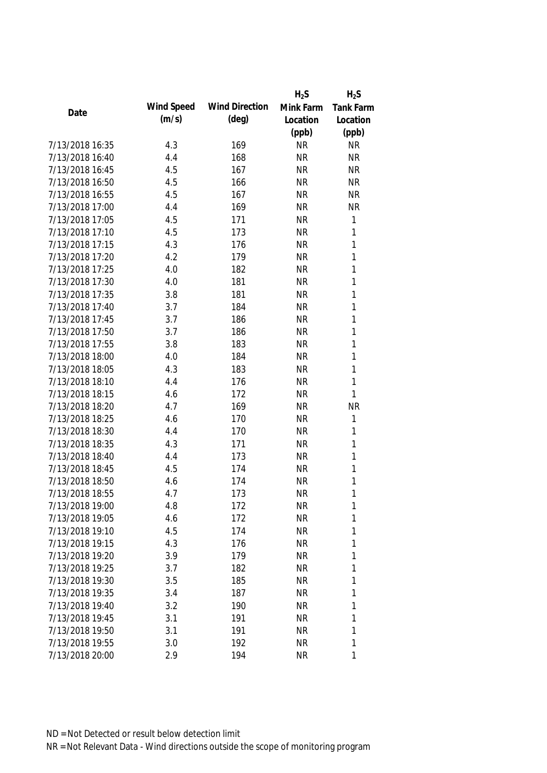|                 |            |                       | $H_2S$    | $H_2S$           |
|-----------------|------------|-----------------------|-----------|------------------|
|                 | Wind Speed | <b>Wind Direction</b> | Mink Farm | <b>Tank Farm</b> |
| Date            | (m/s)      | $(\text{deg})$        | Location  | Location         |
|                 |            |                       | (ppb)     | (ppb)            |
| 7/13/2018 16:35 | 4.3        | 169                   | <b>NR</b> | <b>NR</b>        |
| 7/13/2018 16:40 | 4.4        | 168                   | <b>NR</b> | <b>NR</b>        |
| 7/13/2018 16:45 | 4.5        | 167                   | <b>NR</b> | <b>NR</b>        |
| 7/13/2018 16:50 | 4.5        | 166                   | <b>NR</b> | <b>NR</b>        |
| 7/13/2018 16:55 | 4.5        | 167                   | <b>NR</b> | <b>NR</b>        |
| 7/13/2018 17:00 | 4.4        | 169                   | <b>NR</b> | <b>NR</b>        |
| 7/13/2018 17:05 | 4.5        | 171                   | <b>NR</b> | $\mathbf{1}$     |
| 7/13/2018 17:10 | 4.5        | 173                   | <b>NR</b> | 1                |
| 7/13/2018 17:15 | 4.3        | 176                   | <b>NR</b> | 1                |
| 7/13/2018 17:20 | 4.2        | 179                   | <b>NR</b> | 1                |
| 7/13/2018 17:25 | 4.0        | 182                   | <b>NR</b> | 1                |
| 7/13/2018 17:30 | 4.0        | 181                   | <b>NR</b> | 1                |
| 7/13/2018 17:35 | 3.8        | 181                   | <b>NR</b> | 1                |
| 7/13/2018 17:40 | 3.7        | 184                   | <b>NR</b> | $\mathbf{1}$     |
| 7/13/2018 17:45 | 3.7        | 186                   | <b>NR</b> | 1                |
| 7/13/2018 17:50 | 3.7        | 186                   | <b>NR</b> | $\mathbf{1}$     |
| 7/13/2018 17:55 | 3.8        | 183                   | <b>NR</b> | 1                |
| 7/13/2018 18:00 | 4.0        | 184                   | <b>NR</b> | 1                |
| 7/13/2018 18:05 | 4.3        | 183                   | <b>NR</b> | 1                |
| 7/13/2018 18:10 | 4.4        | 176                   | <b>NR</b> | 1                |
| 7/13/2018 18:15 | 4.6        | 172                   | <b>NR</b> | 1                |
| 7/13/2018 18:20 | 4.7        | 169                   | <b>NR</b> | <b>NR</b>        |
| 7/13/2018 18:25 | 4.6        | 170                   | <b>NR</b> | $\mathbf{1}$     |
| 7/13/2018 18:30 | 4.4        | 170                   | <b>NR</b> | 1                |
| 7/13/2018 18:35 | 4.3        | 171                   | <b>NR</b> | 1                |
| 7/13/2018 18:40 | 4.4        | 173                   | <b>NR</b> | 1                |
| 7/13/2018 18:45 | 4.5        | 174                   | <b>NR</b> | 1                |
| 7/13/2018 18:50 | 4.6        | 174                   | <b>NR</b> | 1                |
| 7/13/2018 18:55 | 4.7        | 173                   | <b>NR</b> | 1                |
| 7/13/2018 19:00 | 4.8        | 172                   | <b>NR</b> | 1                |
| 7/13/2018 19:05 | 4.6        | 172                   | <b>NR</b> | 1                |
| 7/13/2018 19:10 | 4.5        | 174                   | <b>NR</b> | 1                |
| 7/13/2018 19:15 | 4.3        | 176                   | <b>NR</b> | 1                |
| 7/13/2018 19:20 | 3.9        | 179                   | <b>NR</b> | 1                |
| 7/13/2018 19:25 | 3.7        | 182                   | <b>NR</b> | 1                |
| 7/13/2018 19:30 | 3.5        | 185                   | <b>NR</b> | 1                |
| 7/13/2018 19:35 | 3.4        | 187                   | <b>NR</b> | 1                |
| 7/13/2018 19:40 | 3.2        | 190                   | <b>NR</b> | 1                |
| 7/13/2018 19:45 | 3.1        | 191                   | <b>NR</b> | 1                |
| 7/13/2018 19:50 | 3.1        | 191                   | <b>NR</b> | 1                |
| 7/13/2018 19:55 | 3.0        | 192                   | <b>NR</b> | 1                |
| 7/13/2018 20:00 | 2.9        | 194                   | <b>NR</b> | 1                |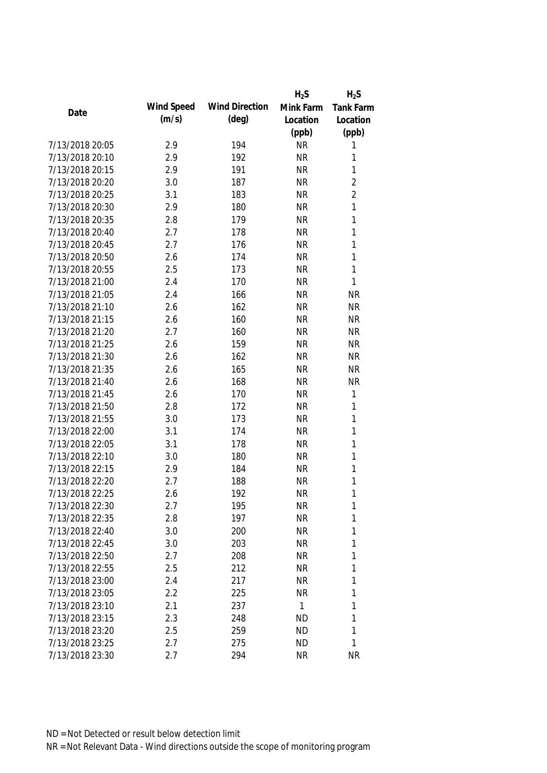|                 |            |                       | $H_2S$    | $H_2S$           |
|-----------------|------------|-----------------------|-----------|------------------|
| Date            | Wind Speed | <b>Wind Direction</b> | Mink Farm | <b>Tank Farm</b> |
|                 | (m/s)      | $(\text{deg})$        | Location  | Location         |
|                 |            |                       | (ppb)     | (ppb)            |
| 7/13/2018 20:05 | 2.9        | 194                   | <b>NR</b> | 1                |
| 7/13/2018 20:10 | 2.9        | 192                   | <b>NR</b> | 1                |
| 7/13/2018 20:15 | 2.9        | 191                   | <b>NR</b> | $\mathbf{1}$     |
| 7/13/2018 20:20 | 3.0        | 187                   | <b>NR</b> | 2                |
| 7/13/2018 20:25 | 3.1        | 183                   | <b>NR</b> | $\overline{2}$   |
| 7/13/2018 20:30 | 2.9        | 180                   | <b>NR</b> | $\mathbf{1}$     |
| 7/13/2018 20:35 | 2.8        | 179                   | <b>NR</b> | $\mathbf{1}$     |
| 7/13/2018 20:40 | 2.7        | 178                   | <b>NR</b> | $\mathbf{1}$     |
| 7/13/2018 20:45 | 2.7        | 176                   | <b>NR</b> | $\mathbf{1}$     |
| 7/13/2018 20:50 | 2.6        | 174                   | <b>NR</b> | $\mathbf{1}$     |
| 7/13/2018 20:55 | 2.5        | 173                   | <b>NR</b> | 1                |
| 7/13/2018 21:00 | 2.4        | 170                   | <b>NR</b> | 1                |
| 7/13/2018 21:05 | 2.4        | 166                   | <b>NR</b> | <b>NR</b>        |
| 7/13/2018 21:10 | 2.6        | 162                   | <b>NR</b> | <b>NR</b>        |
| 7/13/2018 21:15 | 2.6        | 160                   | <b>NR</b> | <b>NR</b>        |
| 7/13/2018 21:20 | 2.7        | 160                   | <b>NR</b> | <b>NR</b>        |
| 7/13/2018 21:25 | 2.6        | 159                   | <b>NR</b> | <b>NR</b>        |
| 7/13/2018 21:30 | 2.6        | 162                   | <b>NR</b> | <b>NR</b>        |
| 7/13/2018 21:35 | 2.6        | 165                   | <b>NR</b> | <b>NR</b>        |
| 7/13/2018 21:40 | 2.6        | 168                   | <b>NR</b> | <b>NR</b>        |
| 7/13/2018 21:45 | 2.6        | 170                   | <b>NR</b> | $\mathbf 1$      |
| 7/13/2018 21:50 | 2.8        | 172                   | <b>NR</b> | $\mathbf{1}$     |
| 7/13/2018 21:55 | 3.0        | 173                   | <b>NR</b> | $\mathbf{1}$     |
| 7/13/2018 22:00 | 3.1        | 174                   | <b>NR</b> | $\mathbf 1$      |
| 7/13/2018 22:05 | 3.1        | 178                   | <b>NR</b> | $\mathbf 1$      |
| 7/13/2018 22:10 | 3.0        | 180                   | <b>NR</b> | $\mathbf 1$      |
| 7/13/2018 22:15 | 2.9        | 184                   | <b>NR</b> | $\mathbf 1$      |
| 7/13/2018 22:20 | 2.7        | 188                   | <b>NR</b> | 1                |
| 7/13/2018 22:25 | 2.6        | 192                   | <b>NR</b> | 1                |
| 7/13/2018 22:30 | 2.7        | 195                   | <b>NR</b> | $\mathbf{1}$     |
| 7/13/2018 22:35 | 2.8        | 197                   | <b>NR</b> | $\mathbf 1$      |
| 7/13/2018 22:40 | 3.0        | 200                   | <b>NR</b> | 1                |
| 7/13/2018 22:45 | 3.0        | 203                   | <b>NR</b> | 1                |
| 7/13/2018 22:50 | 2.7        | 208                   | <b>NR</b> | 1                |
| 7/13/2018 22:55 | 2.5        | 212                   | <b>NR</b> | 1                |
| 7/13/2018 23:00 | 2.4        | 217                   | <b>NR</b> | 1                |
| 7/13/2018 23:05 | 2.2        | 225                   | <b>NR</b> | 1                |
| 7/13/2018 23:10 | 2.1        | 237                   | 1         | 1                |
| 7/13/2018 23:15 | 2.3        | 248                   | <b>ND</b> | 1                |
| 7/13/2018 23:20 | 2.5        | 259                   | <b>ND</b> | 1                |
| 7/13/2018 23:25 | 2.7        | 275                   | <b>ND</b> | 1                |
| 7/13/2018 23:30 | 2.7        | 294                   | <b>NR</b> | <b>NR</b>        |
|                 |            |                       |           |                  |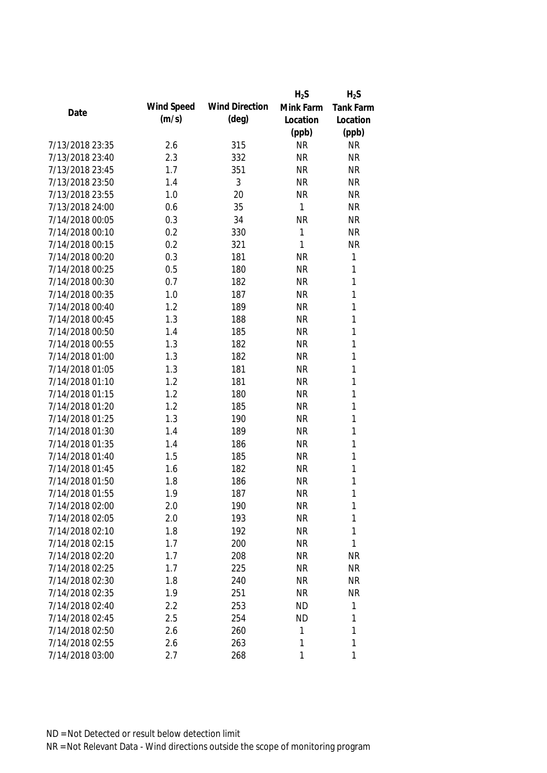|                 |            |                       | $H_2S$       | $H_2S$           |
|-----------------|------------|-----------------------|--------------|------------------|
| Date            | Wind Speed | <b>Wind Direction</b> | Mink Farm    | <b>Tank Farm</b> |
|                 | (m/s)      | $(\text{deg})$        | Location     | Location         |
|                 |            |                       | (ppb)        | (ppb)            |
| 7/13/2018 23:35 | 2.6        | 315                   | <b>NR</b>    | <b>NR</b>        |
| 7/13/2018 23:40 | 2.3        | 332                   | <b>NR</b>    | <b>NR</b>        |
| 7/13/2018 23:45 | 1.7        | 351                   | <b>NR</b>    | <b>NR</b>        |
| 7/13/2018 23:50 | 1.4        | 3                     | <b>NR</b>    | <b>NR</b>        |
| 7/13/2018 23:55 | 1.0        | 20                    | <b>NR</b>    | <b>NR</b>        |
| 7/13/2018 24:00 | 0.6        | 35                    | 1            | <b>NR</b>        |
| 7/14/2018 00:05 | 0.3        | 34                    | <b>NR</b>    | <b>NR</b>        |
| 7/14/2018 00:10 | 0.2        | 330                   | $\mathbf{1}$ | <b>NR</b>        |
| 7/14/2018 00:15 | 0.2        | 321                   | 1            | <b>NR</b>        |
| 7/14/2018 00:20 | 0.3        | 181                   | <b>NR</b>    | $\mathbf{1}$     |
| 7/14/2018 00:25 | 0.5        | 180                   | <b>NR</b>    | $\mathbf{1}$     |
| 7/14/2018 00:30 | 0.7        | 182                   | <b>NR</b>    | 1                |
| 7/14/2018 00:35 | 1.0        | 187                   | <b>NR</b>    | 1                |
| 7/14/2018 00:40 | 1.2        | 189                   | <b>NR</b>    | 1                |
| 7/14/2018 00:45 | 1.3        | 188                   | <b>NR</b>    | 1                |
| 7/14/2018 00:50 | 1.4        | 185                   | <b>NR</b>    | 1                |
| 7/14/2018 00:55 | 1.3        | 182                   | <b>NR</b>    | 1                |
| 7/14/2018 01:00 | 1.3        | 182                   | <b>NR</b>    | 1                |
| 7/14/2018 01:05 | 1.3        | 181                   | <b>NR</b>    | 1                |
| 7/14/2018 01:10 | 1.2        | 181                   | <b>NR</b>    | 1                |
| 7/14/2018 01:15 | 1.2        | 180                   | <b>NR</b>    | 1                |
| 7/14/2018 01:20 | 1.2        | 185                   | <b>NR</b>    | 1                |
| 7/14/2018 01:25 | 1.3        | 190                   | <b>NR</b>    | 1                |
| 7/14/2018 01:30 | 1.4        | 189                   | <b>NR</b>    | 1                |
| 7/14/2018 01:35 | 1.4        | 186                   | <b>NR</b>    | 1                |
| 7/14/2018 01:40 | 1.5        | 185                   | <b>NR</b>    | $\mathbf{1}$     |
| 7/14/2018 01:45 | 1.6        | 182                   | <b>NR</b>    | 1                |
| 7/14/2018 01:50 | 1.8        | 186                   | <b>NR</b>    | 1                |
| 7/14/2018 01:55 | 1.9        | 187                   | <b>NR</b>    | 1                |
| 7/14/2018 02:00 | 2.0        | 190                   | <b>NR</b>    | 1                |
| 7/14/2018 02:05 | 2.0        | 193                   | <b>NR</b>    | 1                |
| 7/14/2018 02:10 | 1.8        | 192                   | <b>NR</b>    | 1                |
| 7/14/2018 02:15 | 1.7        | 200                   | <b>NR</b>    | 1                |
| 7/14/2018 02:20 | 1.7        | 208                   | <b>NR</b>    | <b>NR</b>        |
| 7/14/2018 02:25 | 1.7        | 225                   | <b>NR</b>    | <b>NR</b>        |
| 7/14/2018 02:30 | 1.8        | 240                   | <b>NR</b>    | <b>NR</b>        |
| 7/14/2018 02:35 | 1.9        | 251                   | <b>NR</b>    | <b>NR</b>        |
| 7/14/2018 02:40 | 2.2        | 253                   | <b>ND</b>    | 1                |
| 7/14/2018 02:45 | 2.5        | 254                   | <b>ND</b>    | 1                |
| 7/14/2018 02:50 | 2.6        | 260                   | 1            | 1                |
| 7/14/2018 02:55 | 2.6        | 263                   | 1            | 1                |
| 7/14/2018 03:00 | 2.7        | 268                   | 1            | 1                |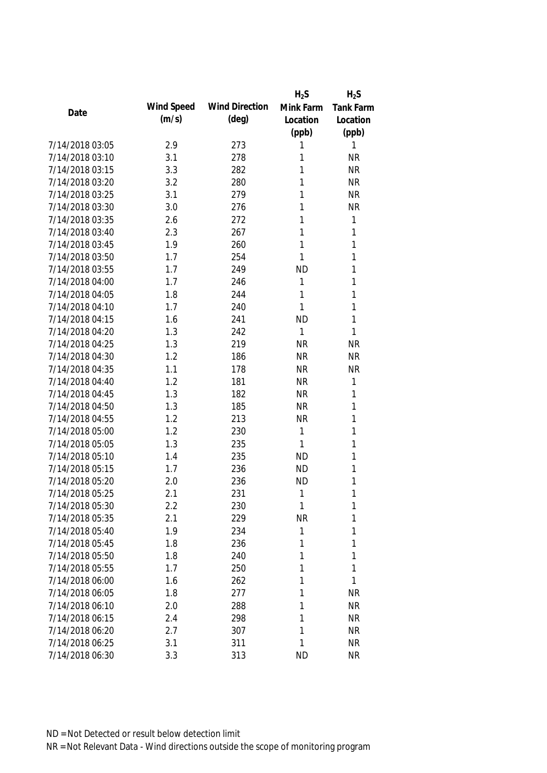|                 |            |                       | $H_2S$    | $H_2S$           |
|-----------------|------------|-----------------------|-----------|------------------|
| Date            | Wind Speed | <b>Wind Direction</b> | Mink Farm | <b>Tank Farm</b> |
|                 | (m/s)      | $(\text{deg})$        | Location  | Location         |
|                 |            |                       | (ppb)     | (ppb)            |
| 7/14/2018 03:05 | 2.9        | 273                   | 1         | 1                |
| 7/14/2018 03:10 | 3.1        | 278                   | 1         | <b>NR</b>        |
| 7/14/2018 03:15 | 3.3        | 282                   | 1         | <b>NR</b>        |
| 7/14/2018 03:20 | 3.2        | 280                   | 1         | <b>NR</b>        |
| 7/14/2018 03:25 | 3.1        | 279                   | 1         | <b>NR</b>        |
| 7/14/2018 03:30 | 3.0        | 276                   | 1         | <b>NR</b>        |
| 7/14/2018 03:35 | 2.6        | 272                   | 1         | $\mathbf{1}$     |
| 7/14/2018 03:40 | 2.3        | 267                   | 1         | $\mathbf{1}$     |
| 7/14/2018 03:45 | 1.9        | 260                   | 1         | 1                |
| 7/14/2018 03:50 | 1.7        | 254                   | 1         | 1                |
| 7/14/2018 03:55 | 1.7        | 249                   | <b>ND</b> | $\mathbf{1}$     |
| 7/14/2018 04:00 | 1.7        | 246                   | 1         | 1                |
| 7/14/2018 04:05 | 1.8        | 244                   | 1         | 1                |
| 7/14/2018 04:10 | 1.7        | 240                   | 1         | 1                |
| 7/14/2018 04:15 | 1.6        | 241                   | <b>ND</b> | 1                |
| 7/14/2018 04:20 | 1.3        | 242                   | 1         | 1                |
| 7/14/2018 04:25 | 1.3        | 219                   | <b>NR</b> | <b>NR</b>        |
| 7/14/2018 04:30 | 1.2        | 186                   | <b>NR</b> | <b>NR</b>        |
| 7/14/2018 04:35 | 1.1        | 178                   | <b>NR</b> | <b>NR</b>        |
| 7/14/2018 04:40 | 1.2        | 181                   | <b>NR</b> | 1                |
| 7/14/2018 04:45 | 1.3        | 182                   | <b>NR</b> | 1                |
| 7/14/2018 04:50 | 1.3        | 185                   | <b>NR</b> | 1                |
| 7/14/2018 04:55 | 1.2        | 213                   | <b>NR</b> | $\mathbf{1}$     |
| 7/14/2018 05:00 | 1.2        | 230                   | 1         | 1                |
| 7/14/2018 05:05 | 1.3        | 235                   | 1         | 1                |
| 7/14/2018 05:10 | 1.4        | 235                   | <b>ND</b> | 1                |
| 7/14/2018 05:15 | 1.7        | 236                   | <b>ND</b> | 1                |
| 7/14/2018 05:20 | 2.0        | 236                   | <b>ND</b> | 1                |
| 7/14/2018 05:25 | 2.1        | 231                   | 1         | 1                |
| 7/14/2018 05:30 | 2.2        | 230                   | 1         | 1                |
| 7/14/2018 05:35 | 2.1        | 229                   | <b>NR</b> | 1                |
| 7/14/2018 05:40 | 1.9        | 234                   | 1         | 1                |
| 7/14/2018 05:45 | 1.8        | 236                   | 1         | 1                |
| 7/14/2018 05:50 | 1.8        | 240                   | 1         | 1                |
| 7/14/2018 05:55 | 1.7        | 250                   | 1         | 1                |
| 7/14/2018 06:00 | 1.6        | 262                   | 1         | 1                |
| 7/14/2018 06:05 | 1.8        | 277                   | 1         | <b>NR</b>        |
| 7/14/2018 06:10 | 2.0        | 288                   | 1         | <b>NR</b>        |
| 7/14/2018 06:15 | 2.4        | 298                   | 1         | <b>NR</b>        |
| 7/14/2018 06:20 | 2.7        | 307                   | 1         | <b>NR</b>        |
| 7/14/2018 06:25 | 3.1        | 311                   | 1         | <b>NR</b>        |
| 7/14/2018 06:30 | 3.3        | 313                   | <b>ND</b> | <b>NR</b>        |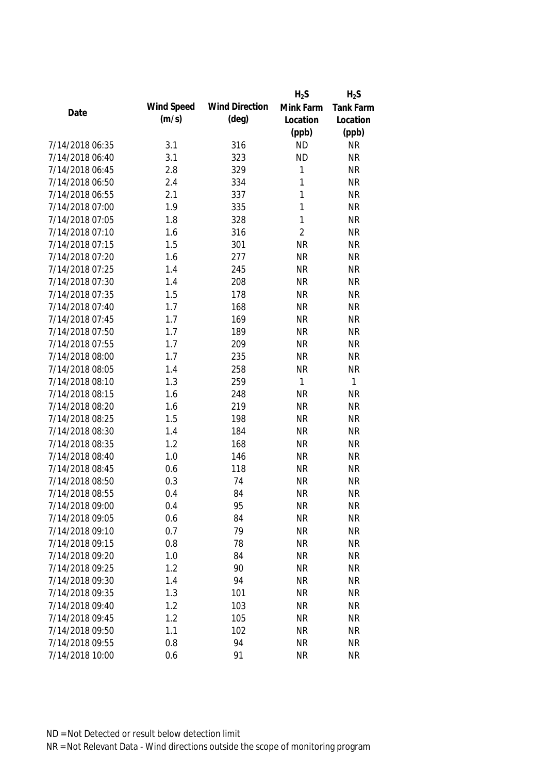|                 |            |                       | $H_2S$         | $H_2S$           |
|-----------------|------------|-----------------------|----------------|------------------|
|                 | Wind Speed | <b>Wind Direction</b> | Mink Farm      | <b>Tank Farm</b> |
| Date            | (m/s)      | $(\text{deg})$        | Location       | Location         |
|                 |            |                       | (ppb)          | (ppb)            |
| 7/14/2018 06:35 | 3.1        | 316                   | <b>ND</b>      | <b>NR</b>        |
| 7/14/2018 06:40 | 3.1        | 323                   | <b>ND</b>      | <b>NR</b>        |
| 7/14/2018 06:45 | 2.8        | 329                   | 1              | <b>NR</b>        |
| 7/14/2018 06:50 | 2.4        | 334                   | 1              | <b>NR</b>        |
| 7/14/2018 06:55 | 2.1        | 337                   | $\mathbf{1}$   | <b>NR</b>        |
| 7/14/2018 07:00 | 1.9        | 335                   | 1              | <b>NR</b>        |
| 7/14/2018 07:05 | 1.8        | 328                   | 1              | <b>NR</b>        |
| 7/14/2018 07:10 | 1.6        | 316                   | $\overline{2}$ | <b>NR</b>        |
| 7/14/2018 07:15 | 1.5        | 301                   | <b>NR</b>      | <b>NR</b>        |
| 7/14/2018 07:20 | 1.6        | 277                   | <b>NR</b>      | <b>NR</b>        |
| 7/14/2018 07:25 | 1.4        | 245                   | <b>NR</b>      | <b>NR</b>        |
| 7/14/2018 07:30 | 1.4        | 208                   | <b>NR</b>      | <b>NR</b>        |
| 7/14/2018 07:35 | 1.5        | 178                   | <b>NR</b>      | <b>NR</b>        |
| 7/14/2018 07:40 | 1.7        | 168                   | <b>NR</b>      | <b>NR</b>        |
| 7/14/2018 07:45 | 1.7        | 169                   | <b>NR</b>      | <b>NR</b>        |
| 7/14/2018 07:50 | 1.7        | 189                   | <b>NR</b>      | <b>NR</b>        |
| 7/14/2018 07:55 | 1.7        | 209                   | <b>NR</b>      | <b>NR</b>        |
| 7/14/2018 08:00 | 1.7        | 235                   | <b>NR</b>      | <b>NR</b>        |
| 7/14/2018 08:05 | 1.4        | 258                   | <b>NR</b>      | <b>NR</b>        |
| 7/14/2018 08:10 | 1.3        | 259                   | 1              | 1                |
| 7/14/2018 08:15 | 1.6        | 248                   | <b>NR</b>      | <b>NR</b>        |
| 7/14/2018 08:20 | 1.6        | 219                   | <b>NR</b>      | <b>NR</b>        |
| 7/14/2018 08:25 | 1.5        | 198                   | <b>NR</b>      | <b>NR</b>        |
| 7/14/2018 08:30 | 1.4        | 184                   | <b>NR</b>      | <b>NR</b>        |
| 7/14/2018 08:35 | 1.2        | 168                   | <b>NR</b>      | <b>NR</b>        |
| 7/14/2018 08:40 | 1.0        | 146                   | <b>NR</b>      | <b>NR</b>        |
| 7/14/2018 08:45 | 0.6        | 118                   | <b>NR</b>      | <b>NR</b>        |
| 7/14/2018 08:50 | 0.3        | 74                    | <b>NR</b>      | <b>NR</b>        |
| 7/14/2018 08:55 | 0.4        | 84                    | <b>NR</b>      | <b>NR</b>        |
| 7/14/2018 09:00 | 0.4        | 95                    | <b>NR</b>      | NR               |
| 7/14/2018 09:05 | 0.6        | 84                    | <b>NR</b>      | <b>NR</b>        |
| 7/14/2018 09:10 | 0.7        | 79                    | <b>NR</b>      | <b>NR</b>        |
| 7/14/2018 09:15 | 0.8        | 78                    | <b>NR</b>      | <b>NR</b>        |
| 7/14/2018 09:20 | 1.0        | 84                    | <b>NR</b>      | <b>NR</b>        |
| 7/14/2018 09:25 | 1.2        | 90                    | <b>NR</b>      | <b>NR</b>        |
| 7/14/2018 09:30 | 1.4        | 94                    | <b>NR</b>      | <b>NR</b>        |
| 7/14/2018 09:35 | 1.3        | 101                   | <b>NR</b>      | <b>NR</b>        |
| 7/14/2018 09:40 | 1.2        | 103                   | <b>NR</b>      | <b>NR</b>        |
| 7/14/2018 09:45 | 1.2        | 105                   | <b>NR</b>      | <b>NR</b>        |
| 7/14/2018 09:50 | 1.1        | 102                   | <b>NR</b>      | <b>NR</b>        |
| 7/14/2018 09:55 | 0.8        | 94                    | <b>NR</b>      | <b>NR</b>        |
| 7/14/2018 10:00 | 0.6        | 91                    | <b>NR</b>      | <b>NR</b>        |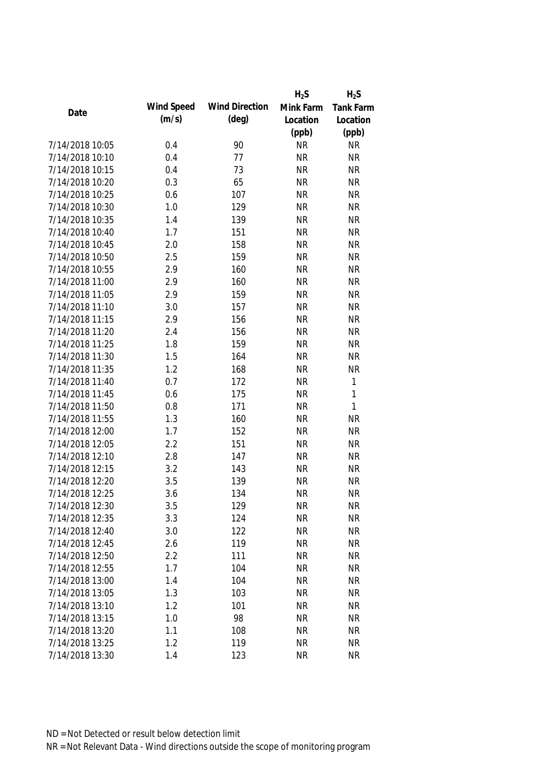|                 |            |                       | $H_2S$    | $H_2S$           |
|-----------------|------------|-----------------------|-----------|------------------|
| Date            | Wind Speed | <b>Wind Direction</b> | Mink Farm | <b>Tank Farm</b> |
|                 | (m/s)      | $(\text{deg})$        | Location  | Location         |
|                 |            |                       | (ppb)     | (ppb)            |
| 7/14/2018 10:05 | 0.4        | 90                    | <b>NR</b> | <b>NR</b>        |
| 7/14/2018 10:10 | 0.4        | 77                    | <b>NR</b> | <b>NR</b>        |
| 7/14/2018 10:15 | 0.4        | 73                    | <b>NR</b> | <b>NR</b>        |
| 7/14/2018 10:20 | 0.3        | 65                    | <b>NR</b> | <b>NR</b>        |
| 7/14/2018 10:25 | 0.6        | 107                   | <b>NR</b> | <b>NR</b>        |
| 7/14/2018 10:30 | 1.0        | 129                   | <b>NR</b> | <b>NR</b>        |
| 7/14/2018 10:35 | 1.4        | 139                   | <b>NR</b> | <b>NR</b>        |
| 7/14/2018 10:40 | 1.7        | 151                   | <b>NR</b> | <b>NR</b>        |
| 7/14/2018 10:45 | 2.0        | 158                   | <b>NR</b> | <b>NR</b>        |
| 7/14/2018 10:50 | 2.5        | 159                   | <b>NR</b> | <b>NR</b>        |
| 7/14/2018 10:55 | 2.9        | 160                   | <b>NR</b> | <b>NR</b>        |
| 7/14/2018 11:00 | 2.9        | 160                   | <b>NR</b> | <b>NR</b>        |
| 7/14/2018 11:05 | 2.9        | 159                   | <b>NR</b> | <b>NR</b>        |
| 7/14/2018 11:10 | 3.0        | 157                   | <b>NR</b> | <b>NR</b>        |
| 7/14/2018 11:15 | 2.9        | 156                   | <b>NR</b> | <b>NR</b>        |
| 7/14/2018 11:20 | 2.4        | 156                   | <b>NR</b> | <b>NR</b>        |
| 7/14/2018 11:25 | 1.8        | 159                   | <b>NR</b> | <b>NR</b>        |
| 7/14/2018 11:30 | 1.5        | 164                   | <b>NR</b> | <b>NR</b>        |
| 7/14/2018 11:35 | 1.2        | 168                   | <b>NR</b> | <b>NR</b>        |
| 7/14/2018 11:40 | 0.7        | 172                   | <b>NR</b> | $\mathbf{1}$     |
| 7/14/2018 11:45 | 0.6        | 175                   | <b>NR</b> | $\mathbf{1}$     |
| 7/14/2018 11:50 | 0.8        | 171                   | <b>NR</b> | $\mathbf{1}$     |
| 7/14/2018 11:55 | 1.3        | 160                   | <b>NR</b> | <b>NR</b>        |
| 7/14/2018 12:00 | 1.7        | 152                   | <b>NR</b> | <b>NR</b>        |
| 7/14/2018 12:05 | 2.2        | 151                   | <b>NR</b> | <b>NR</b>        |
| 7/14/2018 12:10 | 2.8        | 147                   | <b>NR</b> | <b>NR</b>        |
| 7/14/2018 12:15 | 3.2        | 143                   | <b>NR</b> | <b>NR</b>        |
| 7/14/2018 12:20 | 3.5        | 139                   | <b>NR</b> | <b>NR</b>        |
| 7/14/2018 12:25 | 3.6        | 134                   | <b>NR</b> | <b>NR</b>        |
| 7/14/2018 12:30 | 3.5        | 129                   | <b>NR</b> | NR               |
| 7/14/2018 12:35 | 3.3        | 124                   | <b>NR</b> | <b>NR</b>        |
| 7/14/2018 12:40 | 3.0        | 122                   | <b>NR</b> | <b>NR</b>        |
| 7/14/2018 12:45 | 2.6        | 119                   | <b>NR</b> | <b>NR</b>        |
| 7/14/2018 12:50 | 2.2        | 111                   | <b>NR</b> | <b>NR</b>        |
| 7/14/2018 12:55 | 1.7        | 104                   | <b>NR</b> | <b>NR</b>        |
| 7/14/2018 13:00 | 1.4        | 104                   | <b>NR</b> | <b>NR</b>        |
| 7/14/2018 13:05 | 1.3        | 103                   | <b>NR</b> | <b>NR</b>        |
| 7/14/2018 13:10 | 1.2        | 101                   | <b>NR</b> | <b>NR</b>        |
| 7/14/2018 13:15 | 1.0        | 98                    | <b>NR</b> | <b>NR</b>        |
| 7/14/2018 13:20 | 1.1        | 108                   | <b>NR</b> | <b>NR</b>        |
| 7/14/2018 13:25 | 1.2        | 119                   | <b>NR</b> | <b>NR</b>        |
| 7/14/2018 13:30 | 1.4        | 123                   | <b>NR</b> | <b>NR</b>        |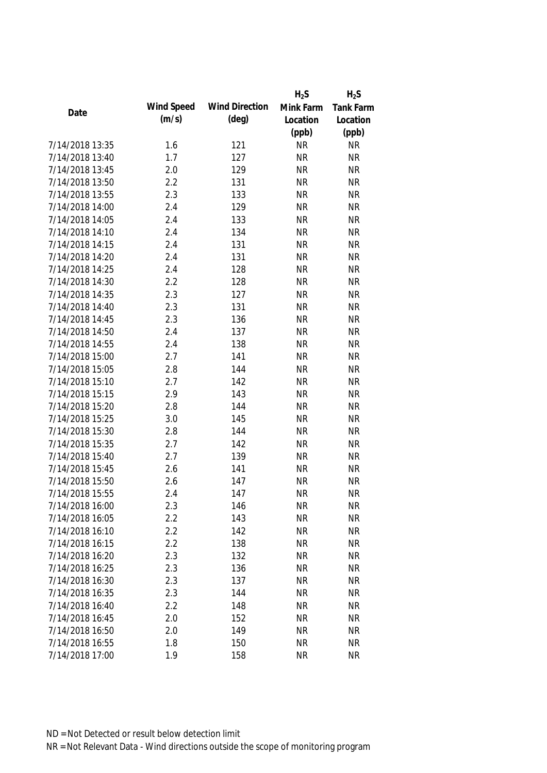|                 |            |                       | $H_2S$    | $H_2S$           |
|-----------------|------------|-----------------------|-----------|------------------|
| Date            | Wind Speed | <b>Wind Direction</b> | Mink Farm | <b>Tank Farm</b> |
|                 | (m/s)      | $(\text{deg})$        | Location  | Location         |
|                 |            |                       | (ppb)     | (ppb)            |
| 7/14/2018 13:35 | 1.6        | 121                   | <b>NR</b> | <b>NR</b>        |
| 7/14/2018 13:40 | 1.7        | 127                   | <b>NR</b> | <b>NR</b>        |
| 7/14/2018 13:45 | 2.0        | 129                   | <b>NR</b> | <b>NR</b>        |
| 7/14/2018 13:50 | 2.2        | 131                   | <b>NR</b> | <b>NR</b>        |
| 7/14/2018 13:55 | 2.3        | 133                   | <b>NR</b> | <b>NR</b>        |
| 7/14/2018 14:00 | 2.4        | 129                   | <b>NR</b> | <b>NR</b>        |
| 7/14/2018 14:05 | 2.4        | 133                   | <b>NR</b> | <b>NR</b>        |
| 7/14/2018 14:10 | 2.4        | 134                   | <b>NR</b> | <b>NR</b>        |
| 7/14/2018 14:15 | 2.4        | 131                   | <b>NR</b> | <b>NR</b>        |
| 7/14/2018 14:20 | 2.4        | 131                   | <b>NR</b> | <b>NR</b>        |
| 7/14/2018 14:25 | 2.4        | 128                   | <b>NR</b> | <b>NR</b>        |
| 7/14/2018 14:30 | 2.2        | 128                   | <b>NR</b> | <b>NR</b>        |
| 7/14/2018 14:35 | 2.3        | 127                   | <b>NR</b> | <b>NR</b>        |
| 7/14/2018 14:40 | 2.3        | 131                   | <b>NR</b> | <b>NR</b>        |
| 7/14/2018 14:45 | 2.3        | 136                   | <b>NR</b> | <b>NR</b>        |
| 7/14/2018 14:50 | 2.4        | 137                   | <b>NR</b> | <b>NR</b>        |
| 7/14/2018 14:55 | 2.4        | 138                   | <b>NR</b> | <b>NR</b>        |
| 7/14/2018 15:00 | 2.7        | 141                   | <b>NR</b> | <b>NR</b>        |
| 7/14/2018 15:05 | 2.8        | 144                   | <b>NR</b> | <b>NR</b>        |
| 7/14/2018 15:10 | 2.7        | 142                   | <b>NR</b> | <b>NR</b>        |
| 7/14/2018 15:15 | 2.9        | 143                   | <b>NR</b> | <b>NR</b>        |
| 7/14/2018 15:20 | 2.8        | 144                   | <b>NR</b> | <b>NR</b>        |
| 7/14/2018 15:25 | 3.0        | 145                   | <b>NR</b> | <b>NR</b>        |
| 7/14/2018 15:30 | 2.8        | 144                   | <b>NR</b> | <b>NR</b>        |
| 7/14/2018 15:35 | 2.7        | 142                   | <b>NR</b> | <b>NR</b>        |
| 7/14/2018 15:40 | 2.7        | 139                   | <b>NR</b> | <b>NR</b>        |
| 7/14/2018 15:45 | 2.6        | 141                   | <b>NR</b> | <b>NR</b>        |
| 7/14/2018 15:50 | 2.6        | 147                   | <b>NR</b> | <b>NR</b>        |
| 7/14/2018 15:55 | 2.4        | 147                   | <b>NR</b> | <b>NR</b>        |
| 7/14/2018 16:00 | 2.3        | 146                   | <b>NR</b> | NR               |
| 7/14/2018 16:05 | 2.2        | 143                   | <b>NR</b> | <b>NR</b>        |
| 7/14/2018 16:10 | 2.2        | 142                   | <b>NR</b> | <b>NR</b>        |
| 7/14/2018 16:15 | 2.2        | 138                   | <b>NR</b> | <b>NR</b>        |
| 7/14/2018 16:20 | 2.3        | 132                   | <b>NR</b> | <b>NR</b>        |
| 7/14/2018 16:25 | 2.3        | 136                   | <b>NR</b> | <b>NR</b>        |
| 7/14/2018 16:30 | 2.3        | 137                   | <b>NR</b> | <b>NR</b>        |
| 7/14/2018 16:35 | 2.3        | 144                   | <b>NR</b> | <b>NR</b>        |
| 7/14/2018 16:40 | 2.2        | 148                   | <b>NR</b> | <b>NR</b>        |
| 7/14/2018 16:45 | 2.0        | 152                   | <b>NR</b> | <b>NR</b>        |
| 7/14/2018 16:50 | 2.0        | 149                   | <b>NR</b> | <b>NR</b>        |
| 7/14/2018 16:55 | 1.8        | 150                   | <b>NR</b> | <b>NR</b>        |
| 7/14/2018 17:00 | 1.9        | 158                   | <b>NR</b> | <b>NR</b>        |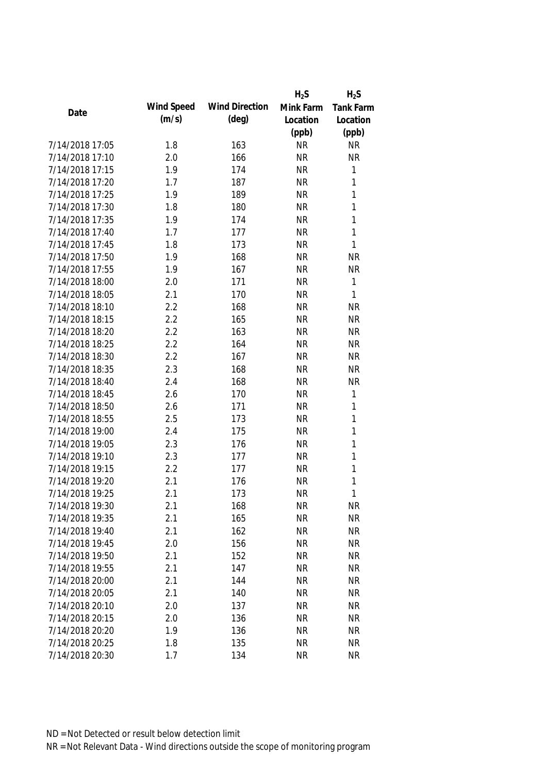|                 |            |                       | $H_2S$    | $H_2S$           |
|-----------------|------------|-----------------------|-----------|------------------|
| Date            | Wind Speed | <b>Wind Direction</b> | Mink Farm | <b>Tank Farm</b> |
|                 | (m/s)      | $(\text{deg})$        | Location  | Location         |
|                 |            |                       | (ppb)     | (ppb)            |
| 7/14/2018 17:05 | 1.8        | 163                   | <b>NR</b> | <b>NR</b>        |
| 7/14/2018 17:10 | 2.0        | 166                   | <b>NR</b> | <b>NR</b>        |
| 7/14/2018 17:15 | 1.9        | 174                   | <b>NR</b> | $\mathbf{1}$     |
| 7/14/2018 17:20 | 1.7        | 187                   | <b>NR</b> | $\mathbf 1$      |
| 7/14/2018 17:25 | 1.9        | 189                   | <b>NR</b> | 1                |
| 7/14/2018 17:30 | 1.8        | 180                   | <b>NR</b> | 1                |
| 7/14/2018 17:35 | 1.9        | 174                   | <b>NR</b> | $\mathbf 1$      |
| 7/14/2018 17:40 | 1.7        | 177                   | <b>NR</b> | 1                |
| 7/14/2018 17:45 | 1.8        | 173                   | <b>NR</b> | 1                |
| 7/14/2018 17:50 | 1.9        | 168                   | <b>NR</b> | <b>NR</b>        |
| 7/14/2018 17:55 | 1.9        | 167                   | <b>NR</b> | <b>NR</b>        |
| 7/14/2018 18:00 | 2.0        | 171                   | <b>NR</b> | $\mathbf{1}$     |
| 7/14/2018 18:05 | 2.1        | 170                   | <b>NR</b> | 1                |
| 7/14/2018 18:10 | 2.2        | 168                   | <b>NR</b> | <b>NR</b>        |
| 7/14/2018 18:15 | 2.2        | 165                   | <b>NR</b> | <b>NR</b>        |
| 7/14/2018 18:20 | 2.2        | 163                   | <b>NR</b> | <b>NR</b>        |
| 7/14/2018 18:25 | 2.2        | 164                   | <b>NR</b> | <b>NR</b>        |
| 7/14/2018 18:30 | 2.2        | 167                   | <b>NR</b> | <b>NR</b>        |
| 7/14/2018 18:35 | 2.3        | 168                   | <b>NR</b> | <b>NR</b>        |
| 7/14/2018 18:40 | 2.4        | 168                   | <b>NR</b> | <b>NR</b>        |
| 7/14/2018 18:45 | 2.6        | 170                   | <b>NR</b> | $\mathbf 1$      |
| 7/14/2018 18:50 | 2.6        | 171                   | <b>NR</b> | $\mathbf 1$      |
| 7/14/2018 18:55 | 2.5        | 173                   | <b>NR</b> | $\mathbf 1$      |
| 7/14/2018 19:00 | 2.4        | 175                   | <b>NR</b> | $\mathbf 1$      |
| 7/14/2018 19:05 | 2.3        | 176                   | <b>NR</b> | $\mathbf 1$      |
| 7/14/2018 19:10 | 2.3        | 177                   | <b>NR</b> | $\mathbf 1$      |
| 7/14/2018 19:15 | 2.2        | 177                   | <b>NR</b> | $\mathbf 1$      |
| 7/14/2018 19:20 | 2.1        | 176                   | <b>NR</b> | 1                |
| 7/14/2018 19:25 | 2.1        | 173                   | <b>NR</b> | 1                |
| 7/14/2018 19:30 | 2.1        | 168                   | <b>NR</b> | <b>NR</b>        |
| 7/14/2018 19:35 | 2.1        | 165                   | <b>NR</b> | <b>NR</b>        |
| 7/14/2018 19:40 | 2.1        | 162                   | <b>NR</b> | <b>NR</b>        |
| 7/14/2018 19:45 | 2.0        | 156                   | <b>NR</b> | <b>NR</b>        |
| 7/14/2018 19:50 | 2.1        | 152                   | <b>NR</b> | <b>NR</b>        |
| 7/14/2018 19:55 | 2.1        | 147                   | <b>NR</b> | <b>NR</b>        |
| 7/14/2018 20:00 | 2.1        | 144                   | <b>NR</b> | <b>NR</b>        |
| 7/14/2018 20:05 | 2.1        | 140                   | <b>NR</b> | <b>NR</b>        |
| 7/14/2018 20:10 | 2.0        | 137                   | <b>NR</b> | <b>NR</b>        |
| 7/14/2018 20:15 | 2.0        | 136                   | <b>NR</b> | <b>NR</b>        |
| 7/14/2018 20:20 | 1.9        | 136                   | <b>NR</b> | <b>NR</b>        |
| 7/14/2018 20:25 | 1.8        | 135                   | <b>NR</b> | <b>NR</b>        |
| 7/14/2018 20:30 | 1.7        | 134                   | <b>NR</b> | <b>NR</b>        |